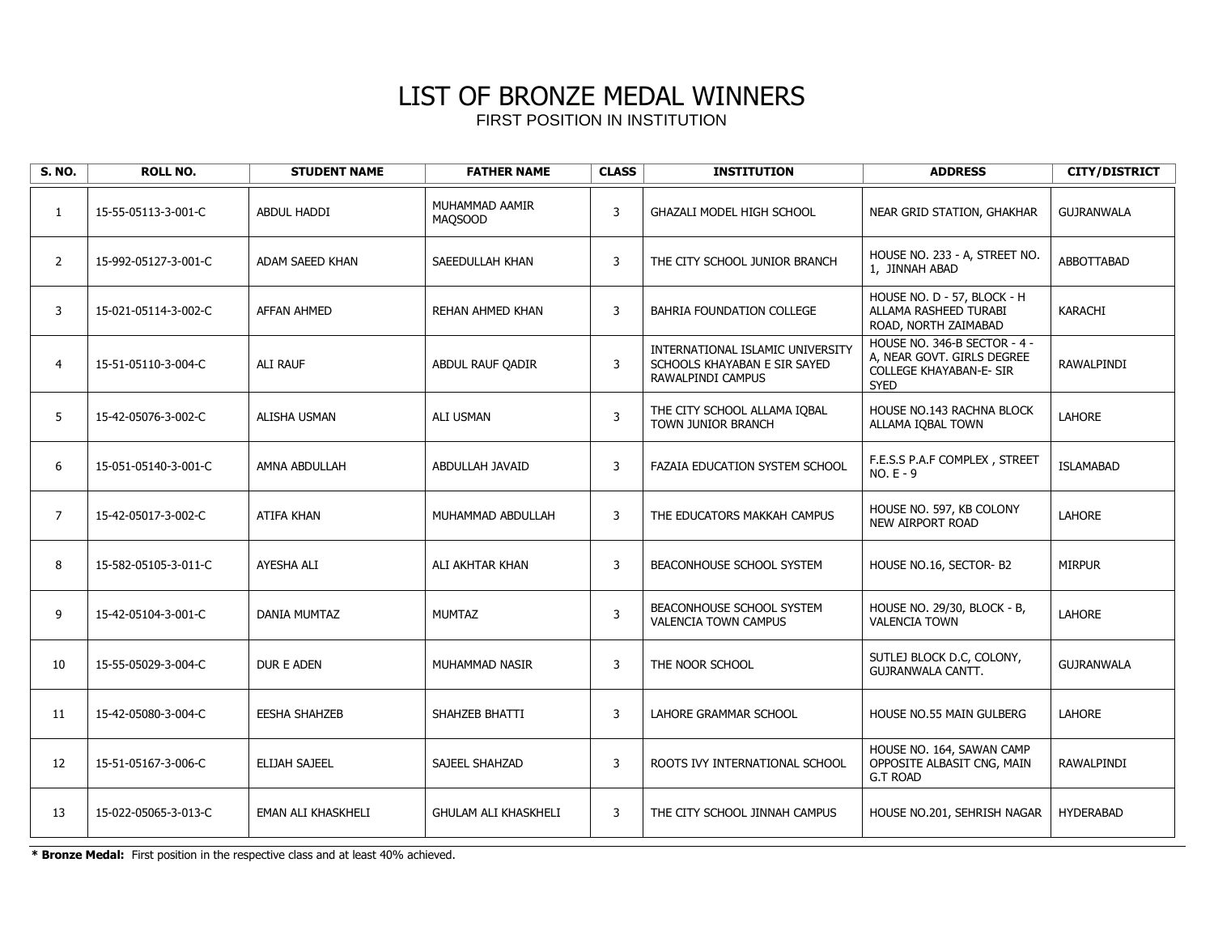| <b>S. NO.</b>  | <b>ROLL NO.</b>      | <b>STUDENT NAME</b>  | <b>FATHER NAME</b>               | <b>CLASS</b>   | <b>INSTITUTION</b>                                                                    | <b>ADDRESS</b>                                                                                              | <b>CITY/DISTRICT</b> |
|----------------|----------------------|----------------------|----------------------------------|----------------|---------------------------------------------------------------------------------------|-------------------------------------------------------------------------------------------------------------|----------------------|
| $\mathbf{1}$   | 15-55-05113-3-001-C  | <b>ABDUL HADDI</b>   | MUHAMMAD AAMIR<br><b>MAQSOOD</b> | $\overline{3}$ | GHAZALI MODEL HIGH SCHOOL                                                             | NEAR GRID STATION, GHAKHAR                                                                                  | <b>GUJRANWALA</b>    |
| $\overline{2}$ | 15-992-05127-3-001-C | ADAM SAEED KHAN      | SAEEDULLAH KHAN                  | 3              | THE CITY SCHOOL JUNIOR BRANCH                                                         | HOUSE NO. 233 - A, STREET NO.<br>1, JINNAH ABAD                                                             | ABBOTTABAD           |
| 3              | 15-021-05114-3-002-C | AFFAN AHMED          | REHAN AHMED KHAN                 | 3              | BAHRIA FOUNDATION COLLEGE                                                             | HOUSE NO. D - 57, BLOCK - H<br>ALLAMA RASHEED TURABI<br>ROAD, NORTH ZAIMABAD                                | <b>KARACHI</b>       |
| 4              | 15-51-05110-3-004-C  | ALI RAUF             | ABDUL RAUF OADIR                 | 3              | INTERNATIONAL ISLAMIC UNIVERSITY<br>SCHOOLS KHAYABAN E SIR SAYED<br>RAWALPINDI CAMPUS | HOUSE NO. 346-B SECTOR - 4 -<br>A. NEAR GOVT. GIRLS DEGREE<br><b>COLLEGE KHAYABAN-E- SIR</b><br><b>SYED</b> | RAWALPINDI           |
| 5              | 15-42-05076-3-002-C  | <b>ALISHA USMAN</b>  | <b>ALI USMAN</b>                 | $\mathbf{3}$   | THE CITY SCHOOL ALLAMA IQBAL<br>TOWN JUNIOR BRANCH                                    | HOUSE NO.143 RACHNA BLOCK<br>ALLAMA IQBAL TOWN                                                              | <b>LAHORE</b>        |
| 6              | 15-051-05140-3-001-C | AMNA ABDULLAH        | ABDULLAH JAVAID                  | 3              | FAZAIA EDUCATION SYSTEM SCHOOL                                                        | F.E.S.S P.A.F COMPLEX, STREET<br>$NO.E - 9$                                                                 | <b>ISLAMABAD</b>     |
| $\overline{7}$ | 15-42-05017-3-002-C  | <b>ATIFA KHAN</b>    | MUHAMMAD ABDULLAH                | 3              | THE EDUCATORS MAKKAH CAMPUS                                                           | HOUSE NO. 597, KB COLONY<br><b>NEW AIRPORT ROAD</b>                                                         | LAHORE               |
| 8              | 15-582-05105-3-011-C | AYESHA ALI           | ALI AKHTAR KHAN                  | 3              | BEACONHOUSE SCHOOL SYSTEM                                                             | HOUSE NO.16, SECTOR-B2                                                                                      | <b>MIRPUR</b>        |
| 9              | 15-42-05104-3-001-C  | <b>DANIA MUMTAZ</b>  | <b>MUMTAZ</b>                    | $\overline{3}$ | BEACONHOUSE SCHOOL SYSTEM<br><b>VALENCIA TOWN CAMPUS</b>                              | HOUSE NO. 29/30, BLOCK - B,<br><b>VALENCIA TOWN</b>                                                         | <b>LAHORE</b>        |
| 10             | 15-55-05029-3-004-C  | DUR E ADEN           | MUHAMMAD NASIR                   | 3              | THE NOOR SCHOOL                                                                       | SUTLEJ BLOCK D.C, COLONY,<br>GUJRANWALA CANTT.                                                              | <b>GUJRANWALA</b>    |
| 11             | 15-42-05080-3-004-C  | <b>EESHA SHAHZEB</b> | SHAHZEB BHATTI                   | 3              | LAHORE GRAMMAR SCHOOL                                                                 | HOUSE NO.55 MAIN GULBERG                                                                                    | <b>LAHORE</b>        |
| 12             | 15-51-05167-3-006-C  | ELIJAH SAJEEL        | SAJEEL SHAHZAD                   | 3              | ROOTS IVY INTERNATIONAL SCHOOL                                                        | HOUSE NO. 164, SAWAN CAMP<br>OPPOSITE ALBASIT CNG, MAIN<br><b>G.T ROAD</b>                                  | RAWALPINDI           |
| 13             | 15-022-05065-3-013-C | EMAN ALI KHASKHELI   | <b>GHULAM ALI KHASKHELI</b>      | 3              | THE CITY SCHOOL JINNAH CAMPUS                                                         | HOUSE NO.201, SEHRISH NAGAR                                                                                 | <b>HYDERABAD</b>     |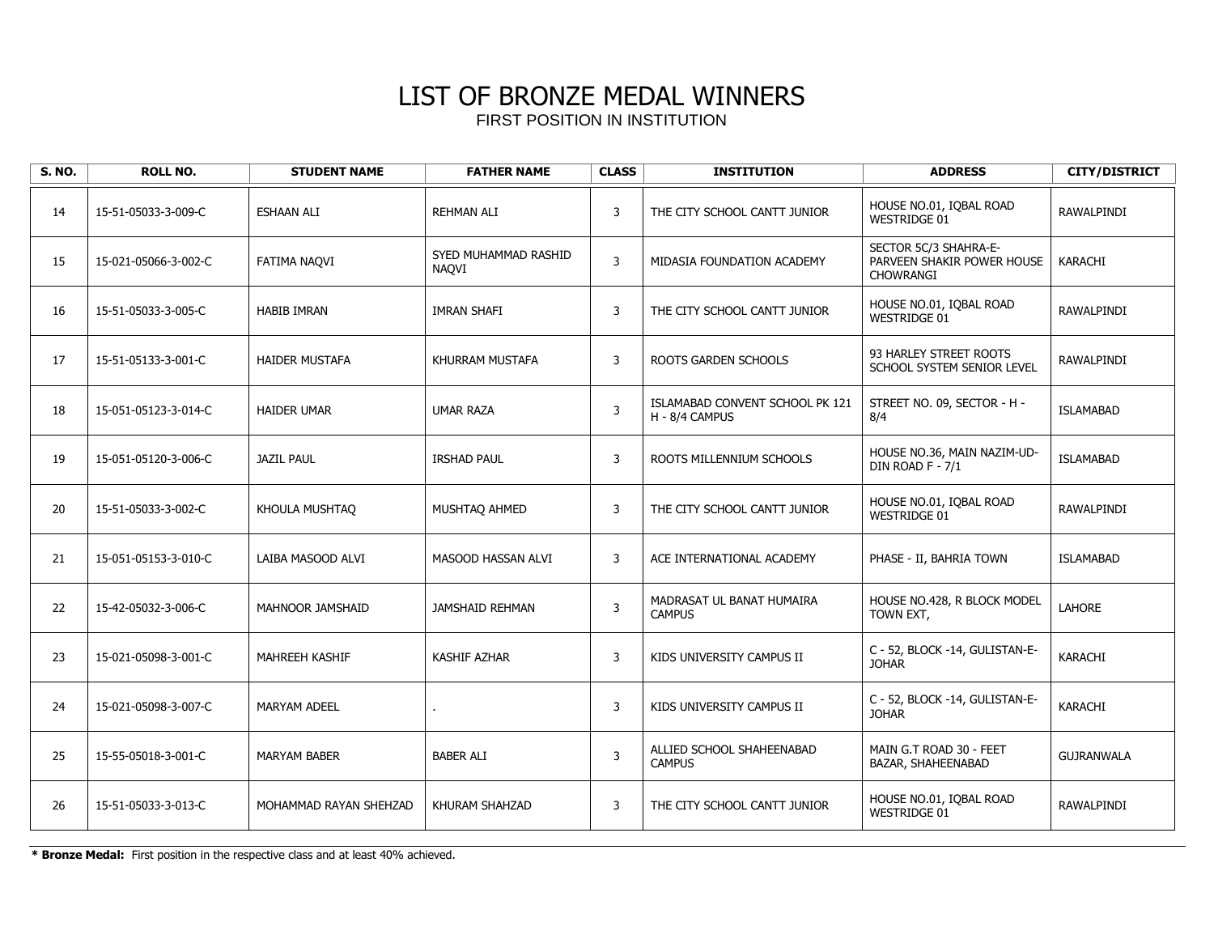| <b>S. NO.</b> | <b>ROLL NO.</b>      | <b>STUDENT NAME</b>    | <b>FATHER NAME</b>            | <b>CLASS</b>   | <b>INSTITUTION</b>                                | <b>ADDRESS</b>                                                          | <b>CITY/DISTRICT</b> |
|---------------|----------------------|------------------------|-------------------------------|----------------|---------------------------------------------------|-------------------------------------------------------------------------|----------------------|
| 14            | 15-51-05033-3-009-C  | <b>ESHAAN ALI</b>      | <b>REHMAN ALI</b>             | 3              | THE CITY SCHOOL CANTT JUNIOR                      | HOUSE NO.01, IQBAL ROAD<br><b>WESTRIDGE 01</b>                          | <b>RAWALPINDI</b>    |
| 15            | 15-021-05066-3-002-C | FATIMA NAQVI           | SYED MUHAMMAD RASHID<br>NAOVI | 3              | MIDASIA FOUNDATION ACADEMY                        | SECTOR 5C/3 SHAHRA-E-<br>PARVEEN SHAKIR POWER HOUSE<br><b>CHOWRANGI</b> | <b>KARACHI</b>       |
| 16            | 15-51-05033-3-005-C  | <b>HABIB IMRAN</b>     | <b>IMRAN SHAFI</b>            | $\mathsf 3$    | THE CITY SCHOOL CANTT JUNIOR                      | HOUSE NO.01, IQBAL ROAD<br>WESTRIDGE 01                                 | RAWALPINDI           |
| 17            | 15-51-05133-3-001-C  | <b>HAIDER MUSTAFA</b>  | KHURRAM MUSTAFA               | $\overline{3}$ | ROOTS GARDEN SCHOOLS                              | 93 HARLEY STREET ROOTS<br>SCHOOL SYSTEM SENIOR LEVEL                    | RAWALPINDI           |
| 18            | 15-051-05123-3-014-C | <b>HAIDER UMAR</b>     | <b>UMAR RAZA</b>              | $\mathbf{3}$   | ISLAMABAD CONVENT SCHOOL PK 121<br>H - 8/4 CAMPUS | STREET NO. 09, SECTOR - H -<br>8/4                                      | <b>ISLAMABAD</b>     |
| 19            | 15-051-05120-3-006-C | <b>JAZIL PAUL</b>      | <b>IRSHAD PAUL</b>            | 3              | ROOTS MILLENNIUM SCHOOLS                          | HOUSE NO.36, MAIN NAZIM-UD-<br>DIN ROAD F - 7/1                         | <b>ISLAMABAD</b>     |
| 20            | 15-51-05033-3-002-C  | KHOULA MUSHTAO         | MUSHTAQ AHMED                 | 3              | THE CITY SCHOOL CANTT JUNIOR                      | HOUSE NO.01, IQBAL ROAD<br><b>WESTRIDGE 01</b>                          | RAWALPINDI           |
| 21            | 15-051-05153-3-010-C | LAIBA MASOOD ALVI      | MASOOD HASSAN ALVI            | 3              | ACE INTERNATIONAL ACADEMY                         | PHASE - II, BAHRIA TOWN                                                 | ISLAMABAD            |
| 22            | 15-42-05032-3-006-C  | MAHNOOR JAMSHAID       | <b>JAMSHAID REHMAN</b>        | $\mathbf{3}$   | MADRASAT UL BANAT HUMAIRA<br><b>CAMPUS</b>        | HOUSE NO.428, R BLOCK MODEL<br>TOWN EXT,                                | LAHORE               |
| 23            | 15-021-05098-3-001-C | MAHREEH KASHIF         | <b>KASHIF AZHAR</b>           | 3              | KIDS UNIVERSITY CAMPUS II                         | C - 52, BLOCK -14, GULISTAN-E-<br><b>JOHAR</b>                          | <b>KARACHI</b>       |
| 24            | 15-021-05098-3-007-C | <b>MARYAM ADEEL</b>    |                               | 3              | KIDS UNIVERSITY CAMPUS II                         | C - 52, BLOCK -14, GULISTAN-E-<br><b>JOHAR</b>                          | <b>KARACHI</b>       |
| 25            | 15-55-05018-3-001-C  | <b>MARYAM BABER</b>    | <b>BABER ALI</b>              | 3              | ALLIED SCHOOL SHAHEENABAD<br><b>CAMPUS</b>        | MAIN G.T ROAD 30 - FEET<br>BAZAR, SHAHEENABAD                           | <b>GUJRANWALA</b>    |
| 26            | 15-51-05033-3-013-C  | MOHAMMAD RAYAN SHEHZAD | KHURAM SHAHZAD                | 3              | THE CITY SCHOOL CANTT JUNIOR                      | HOUSE NO.01, IQBAL ROAD<br><b>WESTRIDGE 01</b>                          | RAWALPINDI           |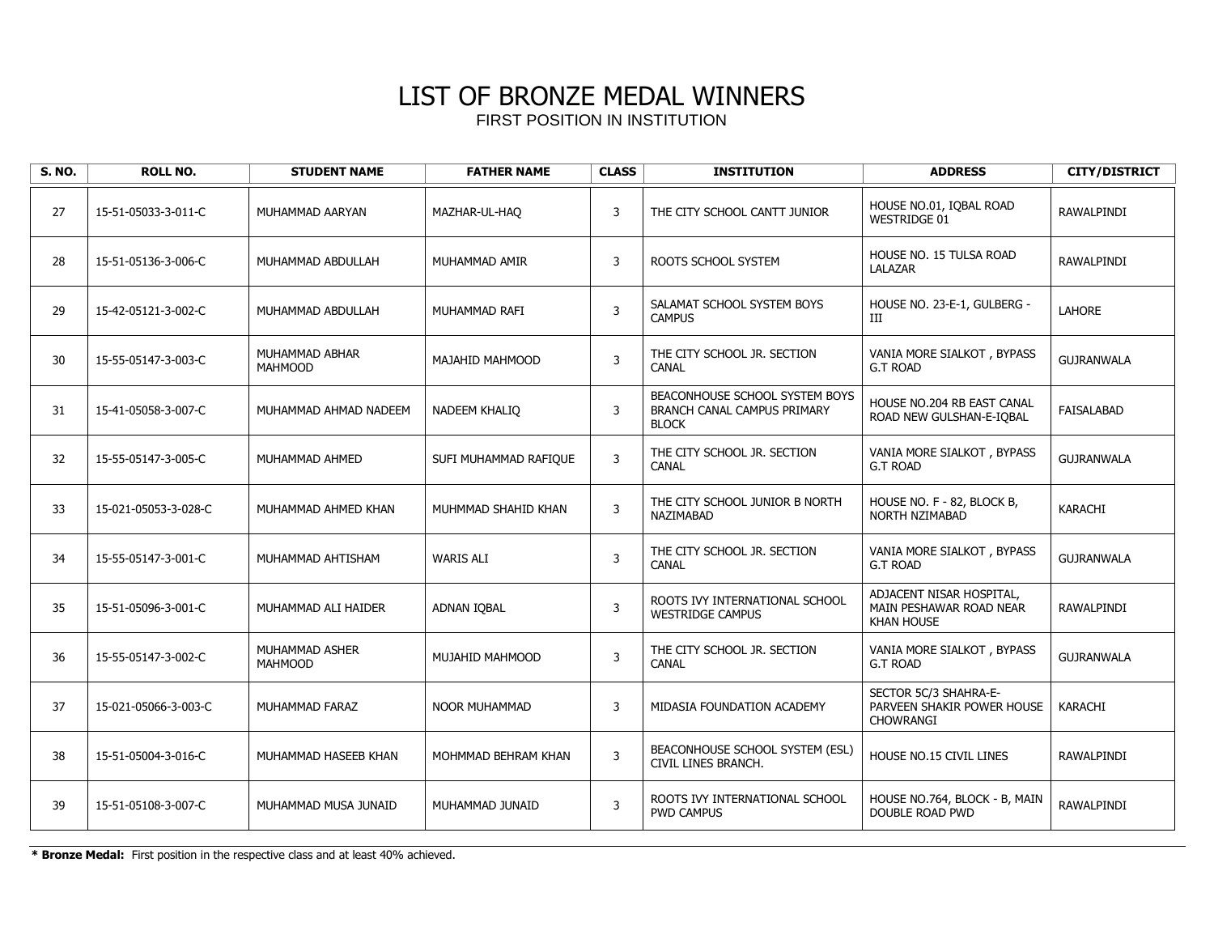| <b>S. NO.</b> | <b>ROLL NO.</b>      | <b>STUDENT NAME</b>              | <b>FATHER NAME</b>    | <b>CLASS</b>   | <b>INSTITUTION</b>                                                            | <b>ADDRESS</b>                                                           | <b>CITY/DISTRICT</b> |
|---------------|----------------------|----------------------------------|-----------------------|----------------|-------------------------------------------------------------------------------|--------------------------------------------------------------------------|----------------------|
| 27            | 15-51-05033-3-011-C  | MUHAMMAD AARYAN                  | MAZHAR-UL-HAQ         | 3              | THE CITY SCHOOL CANTT JUNIOR                                                  | HOUSE NO.01, IOBAL ROAD<br>WESTRIDGE 01                                  | RAWALPINDI           |
| 28            | 15-51-05136-3-006-C  | MUHAMMAD ABDULLAH                | MUHAMMAD AMIR         | 3              | ROOTS SCHOOL SYSTEM                                                           | HOUSE NO. 15 TULSA ROAD<br>LALAZAR                                       | RAWALPINDI           |
| 29            | 15-42-05121-3-002-C  | MUHAMMAD ABDULLAH                | MUHAMMAD RAFI         | $\overline{3}$ | SALAMAT SCHOOL SYSTEM BOYS<br><b>CAMPUS</b>                                   | HOUSE NO. 23-E-1, GULBERG -<br>Ш                                         | LAHORE               |
| 30            | 15-55-05147-3-003-C  | MUHAMMAD ABHAR<br><b>MAHMOOD</b> | MAJAHID MAHMOOD       | 3              | THE CITY SCHOOL JR. SECTION<br><b>CANAL</b>                                   | VANIA MORE SIALKOT, BYPASS<br><b>G.T ROAD</b>                            | <b>GUJRANWALA</b>    |
| 31            | 15-41-05058-3-007-C  | MUHAMMAD AHMAD NADEEM            | NADEEM KHALIQ         | $\overline{3}$ | BEACONHOUSE SCHOOL SYSTEM BOYS<br>BRANCH CANAL CAMPUS PRIMARY<br><b>BLOCK</b> | HOUSE NO.204 RB EAST CANAL<br>ROAD NEW GULSHAN-E-IOBAL                   | FAISALABAD           |
| 32            | 15-55-05147-3-005-C  | MUHAMMAD AHMED                   | SUFI MUHAMMAD RAFIQUE | $\overline{3}$ | THE CITY SCHOOL JR. SECTION<br><b>CANAL</b>                                   | VANIA MORE SIALKOT, BYPASS<br><b>G.T ROAD</b>                            | <b>GUJRANWALA</b>    |
| 33            | 15-021-05053-3-028-C | MUHAMMAD AHMED KHAN              | MUHMMAD SHAHID KHAN   | $\overline{3}$ | THE CITY SCHOOL JUNIOR B NORTH<br>NAZIMABAD                                   | HOUSE NO. F - 82, BLOCK B,<br><b>NORTH NZIMABAD</b>                      | <b>KARACHI</b>       |
| 34            | 15-55-05147-3-001-C  | MUHAMMAD AHTISHAM                | <b>WARIS ALI</b>      | $\overline{3}$ | THE CITY SCHOOL JR. SECTION<br><b>CANAL</b>                                   | VANIA MORE SIALKOT, BYPASS<br><b>G.T ROAD</b>                            | <b>GUJRANWALA</b>    |
| 35            | 15-51-05096-3-001-C  | MUHAMMAD ALI HAIDER              | ADNAN IQBAL           | 3              | ROOTS IVY INTERNATIONAL SCHOOL<br><b>WESTRIDGE CAMPUS</b>                     | ADJACENT NISAR HOSPITAL,<br>MAIN PESHAWAR ROAD NEAR<br><b>KHAN HOUSE</b> | RAWALPINDI           |
| 36            | 15-55-05147-3-002-C  | MUHAMMAD ASHER<br><b>MAHMOOD</b> | MUJAHID MAHMOOD       | $\overline{3}$ | THE CITY SCHOOL JR. SECTION<br><b>CANAL</b>                                   | VANIA MORE SIALKOT, BYPASS<br><b>G.T ROAD</b>                            | <b>GUJRANWALA</b>    |
| 37            | 15-021-05066-3-003-C | MUHAMMAD FARAZ                   | <b>NOOR MUHAMMAD</b>  | 3              | MIDASIA FOUNDATION ACADEMY                                                    | SECTOR 5C/3 SHAHRA-E-<br>PARVEEN SHAKIR POWER HOUSE<br><b>CHOWRANGI</b>  | <b>KARACHI</b>       |
| 38            | 15-51-05004-3-016-C  | MUHAMMAD HASEEB KHAN             | MOHMMAD BEHRAM KHAN   | $\mathbf{3}$   | BEACONHOUSE SCHOOL SYSTEM (ESL)<br>CIVIL LINES BRANCH.                        | HOUSE NO.15 CIVIL LINES                                                  | RAWALPINDI           |
| 39            | 15-51-05108-3-007-C  | MUHAMMAD MUSA JUNAID             | MUHAMMAD JUNAID       | 3              | ROOTS IVY INTERNATIONAL SCHOOL<br><b>PWD CAMPUS</b>                           | HOUSE NO.764, BLOCK - B, MAIN<br>DOUBLE ROAD PWD                         | RAWALPINDI           |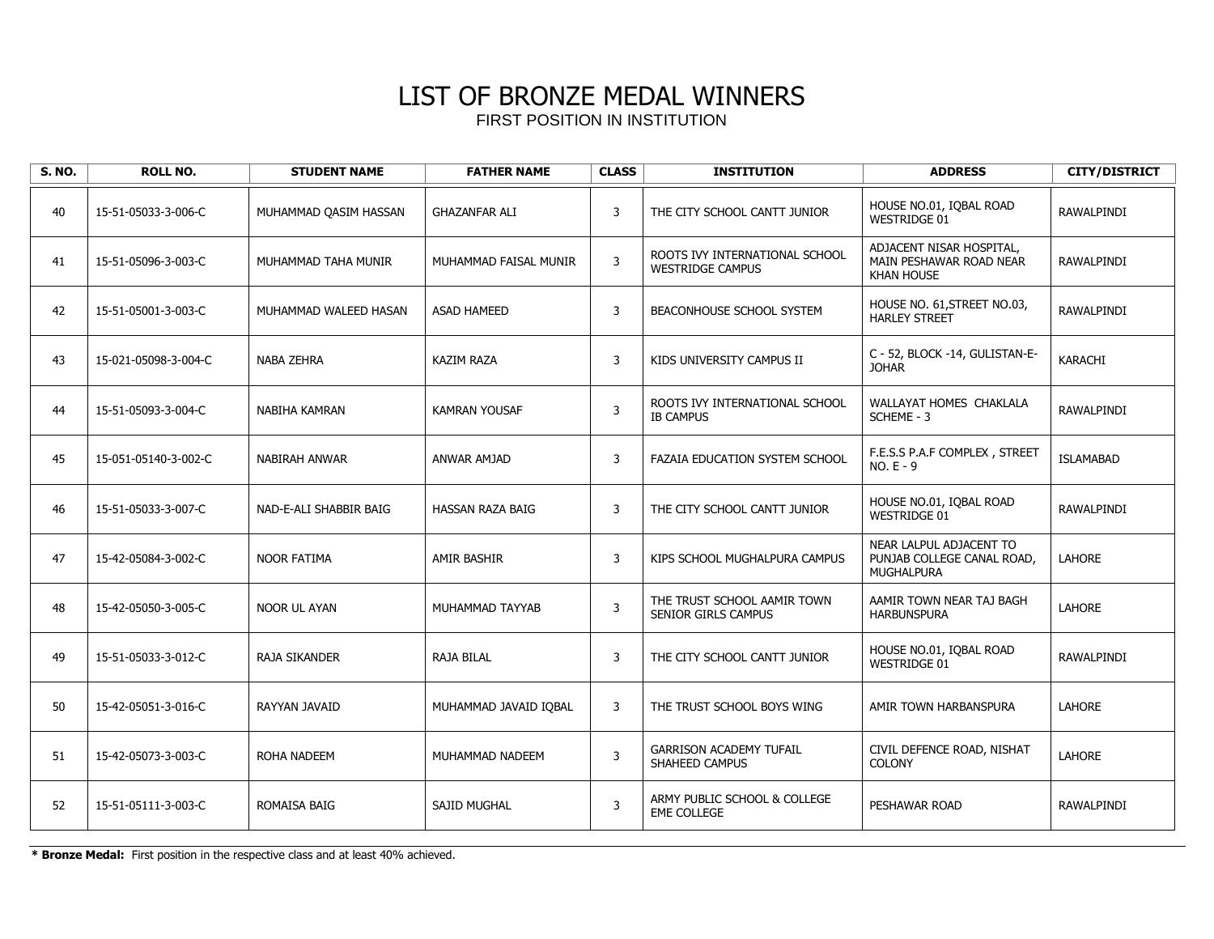| <b>S. NO.</b> | <b>ROLL NO.</b>      | <b>STUDENT NAME</b>    | <b>FATHER NAME</b>      | <b>CLASS</b>   | <b>INSTITUTION</b>                                        | <b>ADDRESS</b>                                                             | <b>CITY/DISTRICT</b> |
|---------------|----------------------|------------------------|-------------------------|----------------|-----------------------------------------------------------|----------------------------------------------------------------------------|----------------------|
| 40            | 15-51-05033-3-006-C  | MUHAMMAD QASIM HASSAN  | <b>GHAZANFAR ALI</b>    | 3              | THE CITY SCHOOL CANTT JUNIOR                              | HOUSE NO.01, IOBAL ROAD<br>WESTRIDGE 01                                    | RAWALPINDI           |
| 41            | 15-51-05096-3-003-C  | MUHAMMAD TAHA MUNIR    | MUHAMMAD FAISAL MUNIR   | 3              | ROOTS IVY INTERNATIONAL SCHOOL<br><b>WESTRIDGE CAMPUS</b> | ADJACENT NISAR HOSPITAL,<br>MAIN PESHAWAR ROAD NEAR<br><b>KHAN HOUSE</b>   | <b>RAWALPINDI</b>    |
| 42            | 15-51-05001-3-003-C  | MUHAMMAD WALEED HASAN  | <b>ASAD HAMEED</b>      | $\mathsf{3}$   | BEACONHOUSE SCHOOL SYSTEM                                 | HOUSE NO. 61, STREET NO.03,<br><b>HARLEY STREET</b>                        | RAWALPINDI           |
| 43            | 15-021-05098-3-004-C | NABA ZEHRA             | <b>KAZIM RAZA</b>       | 3              | KIDS UNIVERSITY CAMPUS II                                 | C - 52, BLOCK -14, GULISTAN-E-<br><b>JOHAR</b>                             | KARACHI              |
| 44            | 15-51-05093-3-004-C  | NABIHA KAMRAN          | <b>KAMRAN YOUSAF</b>    | $\mathsf{3}$   | ROOTS IVY INTERNATIONAL SCHOOL<br><b>IB CAMPUS</b>        | WALLAYAT HOMES CHAKLALA<br>SCHEME - 3                                      | RAWALPINDI           |
| 45            | 15-051-05140-3-002-C | NABIRAH ANWAR          | ANWAR AMJAD             | 3              | FAZAIA EDUCATION SYSTEM SCHOOL                            | F.E.S.S P.A.F COMPLEX, STREET<br>$NO.E - 9$                                | <b>ISLAMABAD</b>     |
| 46            | 15-51-05033-3-007-C  | NAD-E-ALI SHABBIR BAIG | <b>HASSAN RAZA BAIG</b> | 3              | THE CITY SCHOOL CANTT JUNIOR                              | HOUSE NO.01, IQBAL ROAD<br><b>WESTRIDGE 01</b>                             | RAWALPINDI           |
| 47            | 15-42-05084-3-002-C  | <b>NOOR FATIMA</b>     | <b>AMIR BASHIR</b>      | 3              | KIPS SCHOOL MUGHALPURA CAMPUS                             | NEAR LALPUL ADJACENT TO<br>PUNJAB COLLEGE CANAL ROAD,<br><b>MUGHALPURA</b> | <b>LAHORE</b>        |
| 48            | 15-42-05050-3-005-C  | NOOR UL AYAN           | MUHAMMAD TAYYAB         | 3              | THE TRUST SCHOOL AAMIR TOWN<br>SENIOR GIRLS CAMPUS        | AAMIR TOWN NEAR TAJ BAGH<br><b>HARBUNSPURA</b>                             | <b>LAHORE</b>        |
| 49            | 15-51-05033-3-012-C  | <b>RAJA SIKANDER</b>   | <b>RAJA BILAL</b>       | $\mathsf{3}$   | THE CITY SCHOOL CANTT JUNIOR                              | HOUSE NO.01, IOBAL ROAD<br><b>WESTRIDGE 01</b>                             | RAWALPINDI           |
| 50            | 15-42-05051-3-016-C  | RAYYAN JAVAID          | MUHAMMAD JAVAID IQBAL   | 3              | THE TRUST SCHOOL BOYS WING                                | AMIR TOWN HARBANSPURA                                                      | <b>LAHORE</b>        |
| 51            | 15-42-05073-3-003-C  | <b>ROHA NADEEM</b>     | MUHAMMAD NADEEM         | $\overline{3}$ | <b>GARRISON ACADEMY TUFAIL</b><br>SHAHEED CAMPUS          | CIVIL DEFENCE ROAD, NISHAT<br><b>COLONY</b>                                | LAHORE               |
| 52            | 15-51-05111-3-003-C  | <b>ROMAISA BAIG</b>    | <b>SAJID MUGHAL</b>     | 3              | ARMY PUBLIC SCHOOL & COLLEGE<br><b>EME COLLEGE</b>        | PESHAWAR ROAD                                                              | RAWALPINDI           |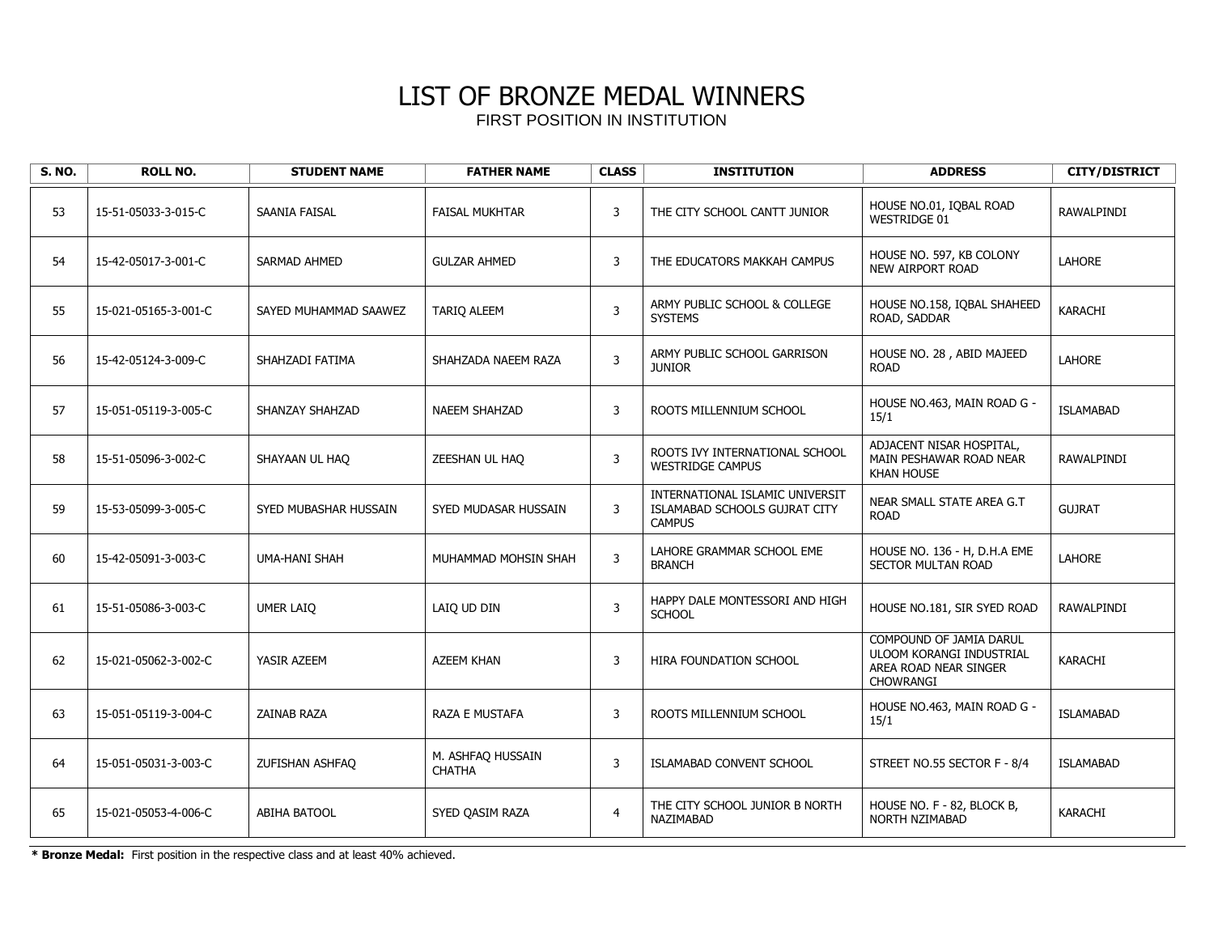| <b>S. NO.</b> | <b>ROLL NO.</b>      | <b>STUDENT NAME</b>   | <b>FATHER NAME</b>                 | <b>CLASS</b>   | <b>INSTITUTION</b>                                                                | <b>ADDRESS</b>                                                                            | <b>CITY/DISTRICT</b> |
|---------------|----------------------|-----------------------|------------------------------------|----------------|-----------------------------------------------------------------------------------|-------------------------------------------------------------------------------------------|----------------------|
| 53            | 15-51-05033-3-015-C  | SAANIA FAISAL         | <b>FAISAL MUKHTAR</b>              | 3              | THE CITY SCHOOL CANTT JUNIOR                                                      | HOUSE NO.01, IQBAL ROAD<br><b>WESTRIDGE 01</b>                                            | <b>RAWALPINDI</b>    |
| 54            | 15-42-05017-3-001-C  | <b>SARMAD AHMED</b>   | <b>GULZAR AHMED</b>                | 3              | THE EDUCATORS MAKKAH CAMPUS                                                       | HOUSE NO. 597, KB COLONY<br>NEW AIRPORT ROAD                                              | <b>LAHORE</b>        |
| 55            | 15-021-05165-3-001-C | SAYED MUHAMMAD SAAWEZ | <b>TARIQ ALEEM</b>                 | 3              | ARMY PUBLIC SCHOOL & COLLEGE<br><b>SYSTEMS</b>                                    | HOUSE NO.158, IQBAL SHAHEED<br>ROAD, SADDAR                                               | KARACHI              |
| 56            | 15-42-05124-3-009-C  | SHAHZADI FATIMA       | SHAHZADA NAEEM RAZA                | 3              | ARMY PUBLIC SCHOOL GARRISON<br><b>JUNIOR</b>                                      | HOUSE NO. 28, ABID MAJEED<br><b>ROAD</b>                                                  | LAHORE               |
| 57            | 15-051-05119-3-005-C | SHANZAY SHAHZAD       | <b>NAEEM SHAHZAD</b>               | 3              | ROOTS MILLENNIUM SCHOOL                                                           | HOUSE NO.463, MAIN ROAD G -<br>15/1                                                       | <b>ISLAMABAD</b>     |
| 58            | 15-51-05096-3-002-C  | SHAYAAN UL HAQ        | ZEESHAN UL HAO                     | 3              | ROOTS IVY INTERNATIONAL SCHOOL<br><b>WESTRIDGE CAMPUS</b>                         | ADJACENT NISAR HOSPITAL,<br>MAIN PESHAWAR ROAD NEAR<br><b>KHAN HOUSE</b>                  | RAWALPINDI           |
| 59            | 15-53-05099-3-005-C  | SYED MUBASHAR HUSSAIN | SYED MUDASAR HUSSAIN               | 3              | INTERNATIONAL ISLAMIC UNIVERSIT<br>ISLAMABAD SCHOOLS GUJRAT CITY<br><b>CAMPUS</b> | NEAR SMALL STATE AREA G.T<br><b>ROAD</b>                                                  | <b>GUJRAT</b>        |
| 60            | 15-42-05091-3-003-C  | UMA-HANI SHAH         | MUHAMMAD MOHSIN SHAH               | $\mathbf{3}$   | LAHORE GRAMMAR SCHOOL EME<br><b>BRANCH</b>                                        | HOUSE NO. 136 - H, D.H.A EME<br>SECTOR MULTAN ROAD                                        | LAHORE               |
| 61            | 15-51-05086-3-003-C  | UMER LAIQ             | LAIQ UD DIN                        | 3              | HAPPY DALE MONTESSORI AND HIGH<br><b>SCHOOL</b>                                   | HOUSE NO.181, SIR SYED ROAD                                                               | RAWALPINDI           |
| 62            | 15-021-05062-3-002-C | YASIR AZEEM           | <b>AZEEM KHAN</b>                  | 3              | HIRA FOUNDATION SCHOOL                                                            | COMPOUND OF JAMIA DARUL<br>ULOOM KORANGI INDUSTRIAL<br>AREA ROAD NEAR SINGER<br>CHOWRANGI | <b>KARACHI</b>       |
| 63            | 15-051-05119-3-004-C | ZAINAB RAZA           | <b>RAZA E MUSTAFA</b>              | 3              | ROOTS MILLENNIUM SCHOOL                                                           | HOUSE NO.463, MAIN ROAD G -<br>15/1                                                       | <b>ISLAMABAD</b>     |
| 64            | 15-051-05031-3-003-C | ZUFISHAN ASHFAQ       | M. ASHFAO HUSSAIN<br><b>CHATHA</b> | 3              | ISLAMABAD CONVENT SCHOOL                                                          | STREET NO.55 SECTOR F - 8/4                                                               | <b>ISLAMABAD</b>     |
| 65            | 15-021-05053-4-006-C | ABIHA BATOOL          | SYED QASIM RAZA                    | $\overline{4}$ | THE CITY SCHOOL JUNIOR B NORTH<br>NAZIMABAD                                       | HOUSE NO. F - 82, BLOCK B,<br>NORTH NZIMABAD                                              | KARACHI              |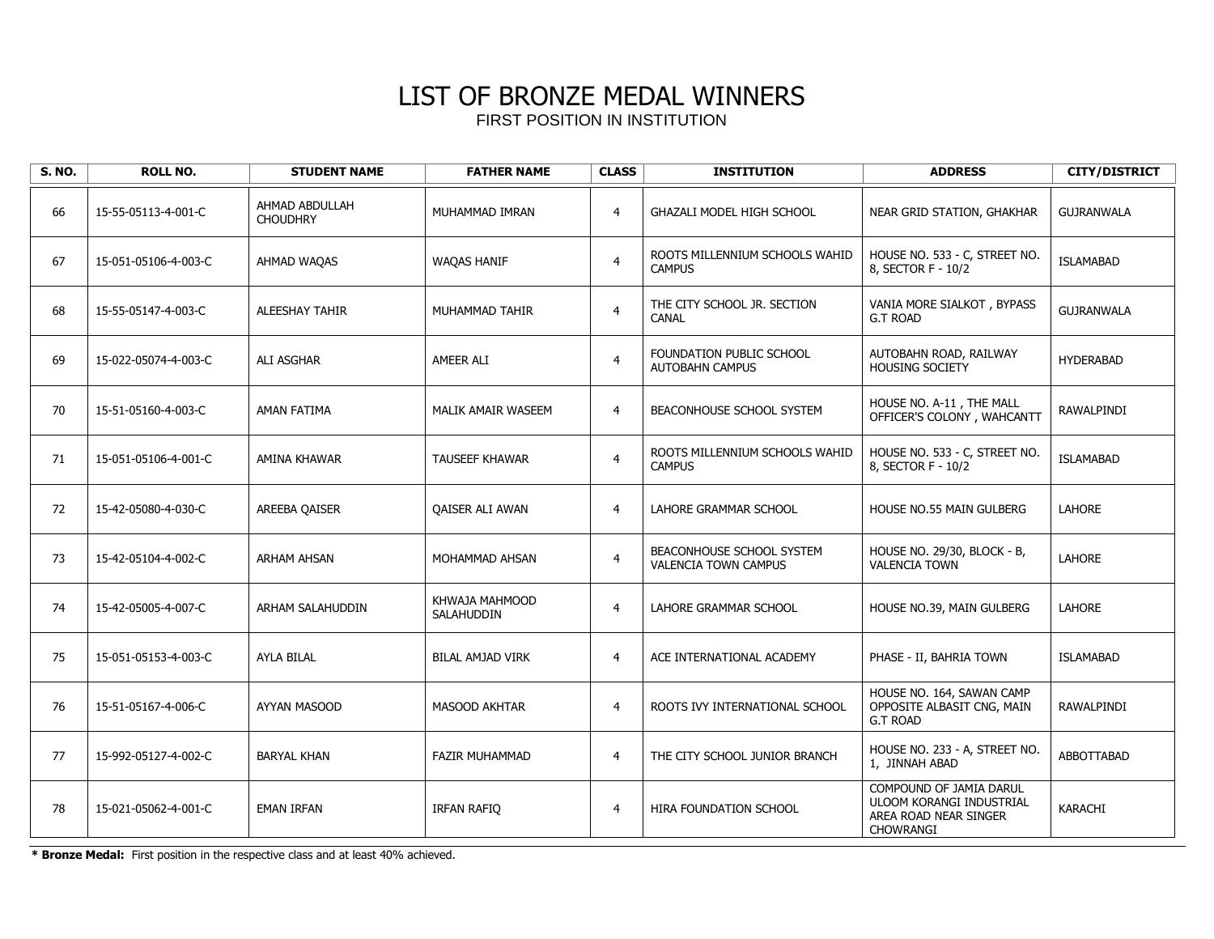| <b>S. NO.</b> | <b>ROLL NO.</b>      | <b>STUDENT NAME</b>               | <b>FATHER NAME</b>           | <b>CLASS</b>   | <b>INSTITUTION</b>                                       | <b>ADDRESS</b>                                                                            | <b>CITY/DISTRICT</b> |
|---------------|----------------------|-----------------------------------|------------------------------|----------------|----------------------------------------------------------|-------------------------------------------------------------------------------------------|----------------------|
| 66            | 15-55-05113-4-001-C  | AHMAD ABDULLAH<br><b>CHOUDHRY</b> | MUHAMMAD IMRAN               | $\overline{4}$ | <b>GHAZALI MODEL HIGH SCHOOL</b>                         | NEAR GRID STATION, GHAKHAR                                                                | <b>GUJRANWALA</b>    |
| 67            | 15-051-05106-4-003-C | AHMAD WAQAS                       | <b>WAQAS HANIF</b>           | $\overline{4}$ | ROOTS MILLENNIUM SCHOOLS WAHID<br><b>CAMPUS</b>          | HOUSE NO. 533 - C, STREET NO.<br>8, SECTOR F - 10/2                                       | <b>ISLAMABAD</b>     |
| 68            | 15-55-05147-4-003-C  | <b>ALEESHAY TAHIR</b>             | MUHAMMAD TAHIR               | $\overline{4}$ | THE CITY SCHOOL JR. SECTION<br><b>CANAL</b>              | VANIA MORE SIALKOT, BYPASS<br><b>G.T ROAD</b>                                             | <b>GUJRANWALA</b>    |
| 69            | 15-022-05074-4-003-C | ALI ASGHAR                        | AMEER ALI                    | $\overline{4}$ | FOUNDATION PUBLIC SCHOOL<br><b>AUTOBAHN CAMPUS</b>       | AUTOBAHN ROAD, RAILWAY<br>HOUSING SOCIETY                                                 | <b>HYDERABAD</b>     |
| 70            | 15-51-05160-4-003-C  | AMAN FATIMA                       | MALIK AMAIR WASEEM           | $\overline{4}$ | BEACONHOUSE SCHOOL SYSTEM                                | HOUSE NO. A-11, THE MALL<br>OFFICER'S COLONY, WAHCANTT                                    | RAWALPINDI           |
| 71            | 15-051-05106-4-001-C | AMINA KHAWAR                      | <b>TAUSEEF KHAWAR</b>        | $\overline{4}$ | ROOTS MILLENNIUM SCHOOLS WAHID<br><b>CAMPUS</b>          | HOUSE NO. 533 - C, STREET NO.<br>8, SECTOR F - 10/2                                       | <b>ISLAMABAD</b>     |
| 72            | 15-42-05080-4-030-C  | AREEBA QAISER                     | <b>OAISER ALI AWAN</b>       | $\overline{4}$ | LAHORE GRAMMAR SCHOOL                                    | HOUSE NO.55 MAIN GULBERG                                                                  | <b>LAHORE</b>        |
| 73            | 15-42-05104-4-002-C  | <b>ARHAM AHSAN</b>                | MOHAMMAD AHSAN               | $\overline{4}$ | BEACONHOUSE SCHOOL SYSTEM<br><b>VALENCIA TOWN CAMPUS</b> | HOUSE NO. 29/30, BLOCK - B,<br><b>VALENCIA TOWN</b>                                       | LAHORE               |
| 74            | 15-42-05005-4-007-C  | ARHAM SALAHUDDIN                  | KHWAJA MAHMOOD<br>SALAHUDDIN | $\overline{4}$ | LAHORE GRAMMAR SCHOOL                                    | HOUSE NO.39, MAIN GULBERG                                                                 | LAHORE               |
| 75            | 15-051-05153-4-003-C | <b>AYLA BILAL</b>                 | <b>BILAL AMJAD VIRK</b>      | $\overline{4}$ | ACE INTERNATIONAL ACADEMY                                | PHASE - II, BAHRIA TOWN                                                                   | ISLAMABAD            |
| 76            | 15-51-05167-4-006-C  | AYYAN MASOOD                      | <b>MASOOD AKHTAR</b>         | $\overline{4}$ | ROOTS IVY INTERNATIONAL SCHOOL                           | HOUSE NO. 164, SAWAN CAMP<br>OPPOSITE ALBASIT CNG, MAIN<br><b>G.T ROAD</b>                | RAWALPINDI           |
| 77            | 15-992-05127-4-002-C | <b>BARYAL KHAN</b>                | <b>FAZIR MUHAMMAD</b>        | $\overline{4}$ | THE CITY SCHOOL JUNIOR BRANCH                            | HOUSE NO. 233 - A, STREET NO.<br>1, JINNAH ABAD                                           | <b>ABBOTTABAD</b>    |
| 78            | 15-021-05062-4-001-C | <b>EMAN IRFAN</b>                 | IRFAN RAFIO                  | $\overline{4}$ | HIRA FOUNDATION SCHOOL                                   | COMPOUND OF JAMIA DARUL<br>ULOOM KORANGI INDUSTRIAL<br>AREA ROAD NEAR SINGER<br>CHOWRANGI | <b>KARACHI</b>       |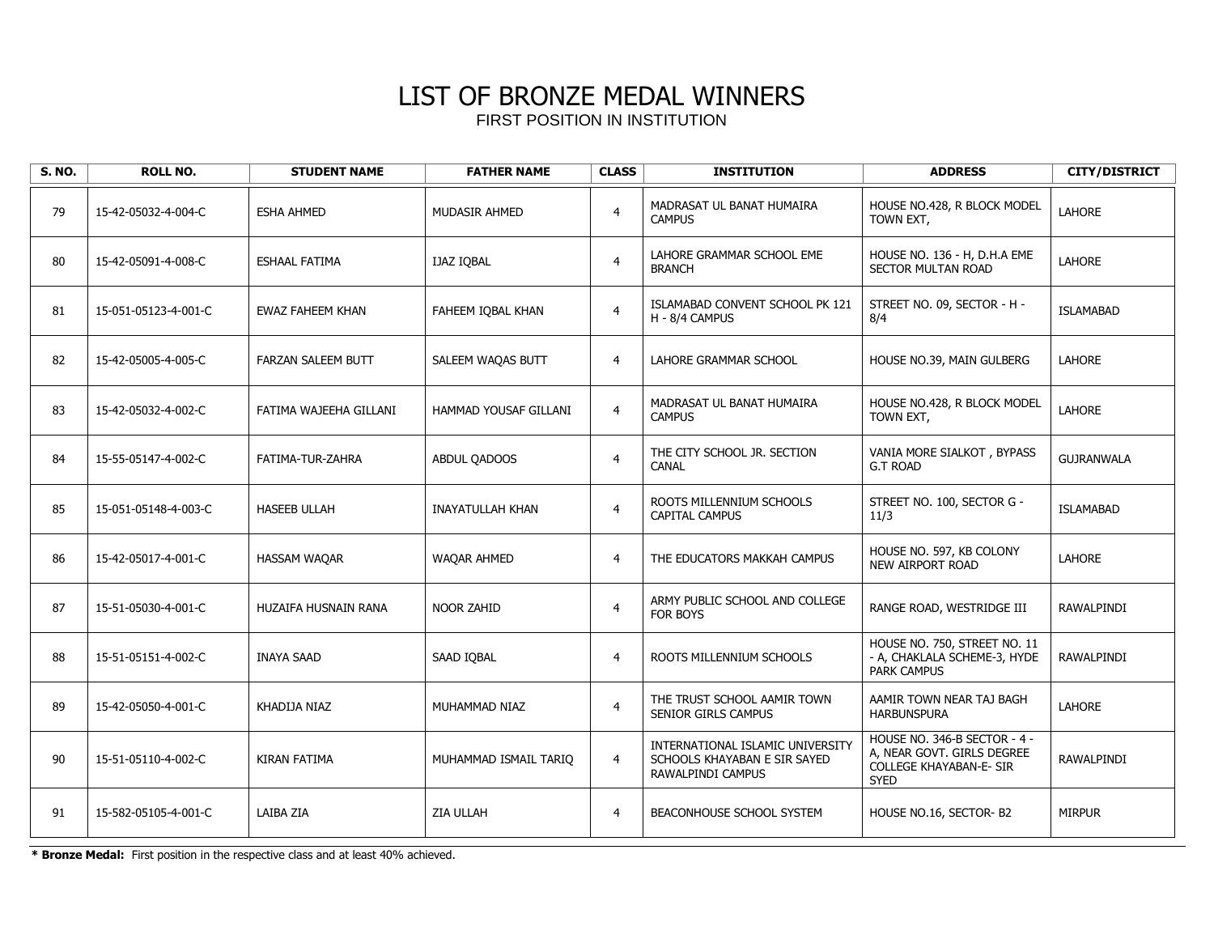| <b>S. NO.</b> | <b>ROLL NO.</b>      | <b>STUDENT NAME</b>       | <b>FATHER NAME</b>      | <b>CLASS</b>   | <b>INSTITUTION</b>                                                                    | <b>ADDRESS</b>                                                                                              | <b>CITY/DISTRICT</b> |
|---------------|----------------------|---------------------------|-------------------------|----------------|---------------------------------------------------------------------------------------|-------------------------------------------------------------------------------------------------------------|----------------------|
| 79            | 15-42-05032-4-004-C  | <b>ESHA AHMED</b>         | <b>MUDASIR AHMED</b>    | $\overline{4}$ | MADRASAT UL BANAT HUMAIRA<br><b>CAMPUS</b>                                            | HOUSE NO.428, R BLOCK MODEL<br>TOWN EXT,                                                                    | LAHORE               |
| 80            | 15-42-05091-4-008-C  | <b>ESHAAL FATIMA</b>      | <b>IJAZ IOBAL</b>       | $\overline{4}$ | LAHORE GRAMMAR SCHOOL EME<br><b>BRANCH</b>                                            | HOUSE NO. 136 - H, D.H.A EME<br>SECTOR MULTAN ROAD                                                          | <b>LAHORE</b>        |
| 81            | 15-051-05123-4-001-C | EWAZ FAHEEM KHAN          | FAHEEM IQBAL KHAN       | $\overline{4}$ | ISLAMABAD CONVENT SCHOOL PK 121<br>H - 8/4 CAMPUS                                     | STREET NO. 09, SECTOR - H -<br>8/4                                                                          | <b>ISLAMABAD</b>     |
| 82            | 15-42-05005-4-005-C  | <b>FARZAN SALEEM BUTT</b> | SALEEM WAQAS BUTT       | $\overline{4}$ | LAHORE GRAMMAR SCHOOL                                                                 | HOUSE NO.39, MAIN GULBERG                                                                                   | <b>LAHORE</b>        |
| 83            | 15-42-05032-4-002-C  | FATIMA WAJEEHA GILLANI    | HAMMAD YOUSAF GILLANI   | $\overline{4}$ | MADRASAT UL BANAT HUMAIRA<br><b>CAMPUS</b>                                            | HOUSE NO.428, R BLOCK MODEL<br>TOWN EXT,                                                                    | LAHORE               |
| 84            | 15-55-05147-4-002-C  | FATIMA-TUR-ZAHRA          | ABDUL QADOOS            | $\overline{4}$ | THE CITY SCHOOL JR. SECTION<br><b>CANAL</b>                                           | VANIA MORE SIALKOT, BYPASS<br><b>G.T ROAD</b>                                                               | <b>GUJRANWALA</b>    |
| 85            | 15-051-05148-4-003-C | <b>HASEEB ULLAH</b>       | <b>INAYATULLAH KHAN</b> | $\overline{4}$ | ROOTS MILLENNIUM SCHOOLS<br>CAPITAL CAMPUS                                            | STREET NO. 100, SECTOR G -<br>11/3                                                                          | <b>ISLAMABAD</b>     |
| 86            | 15-42-05017-4-001-C  | <b>HASSAM WAQAR</b>       | <b>WAQAR AHMED</b>      | $\overline{4}$ | THE EDUCATORS MAKKAH CAMPUS                                                           | HOUSE NO. 597, KB COLONY<br><b>NEW AIRPORT ROAD</b>                                                         | <b>LAHORE</b>        |
| 87            | 15-51-05030-4-001-C  | HUZAIFA HUSNAIN RANA      | <b>NOOR ZAHID</b>       | $\overline{4}$ | ARMY PUBLIC SCHOOL AND COLLEGE<br>FOR BOYS                                            | RANGE ROAD, WESTRIDGE III                                                                                   | <b>RAWALPINDI</b>    |
| 88            | 15-51-05151-4-002-C  | <b>INAYA SAAD</b>         | SAAD IOBAL              | $\overline{4}$ | ROOTS MILLENNIUM SCHOOLS                                                              | HOUSE NO. 750, STREET NO. 11<br>- A, CHAKLALA SCHEME-3, HYDE<br><b>PARK CAMPUS</b>                          | RAWALPINDI           |
| 89            | 15-42-05050-4-001-C  | KHADIJA NIAZ              | MUHAMMAD NIAZ           | $\overline{4}$ | THE TRUST SCHOOL AAMIR TOWN<br>SENIOR GIRLS CAMPUS                                    | AAMIR TOWN NEAR TAJ BAGH<br><b>HARBUNSPURA</b>                                                              | <b>LAHORE</b>        |
| 90            | 15-51-05110-4-002-C  | KIRAN FATIMA              | MUHAMMAD ISMAIL TARIO   | $\overline{4}$ | INTERNATIONAL ISLAMIC UNIVERSITY<br>SCHOOLS KHAYABAN E SIR SAYED<br>RAWALPINDI CAMPUS | HOUSE NO. 346-B SECTOR - 4 -<br>A, NEAR GOVT. GIRLS DEGREE<br><b>COLLEGE KHAYABAN-E- SIR</b><br><b>SYED</b> | RAWALPINDI           |
| 91            | 15-582-05105-4-001-C | LAIBA ZIA                 | <b>ZIA ULLAH</b>        | $\overline{4}$ | BEACONHOUSE SCHOOL SYSTEM                                                             | HOUSE NO.16, SECTOR-B2                                                                                      | <b>MIRPUR</b>        |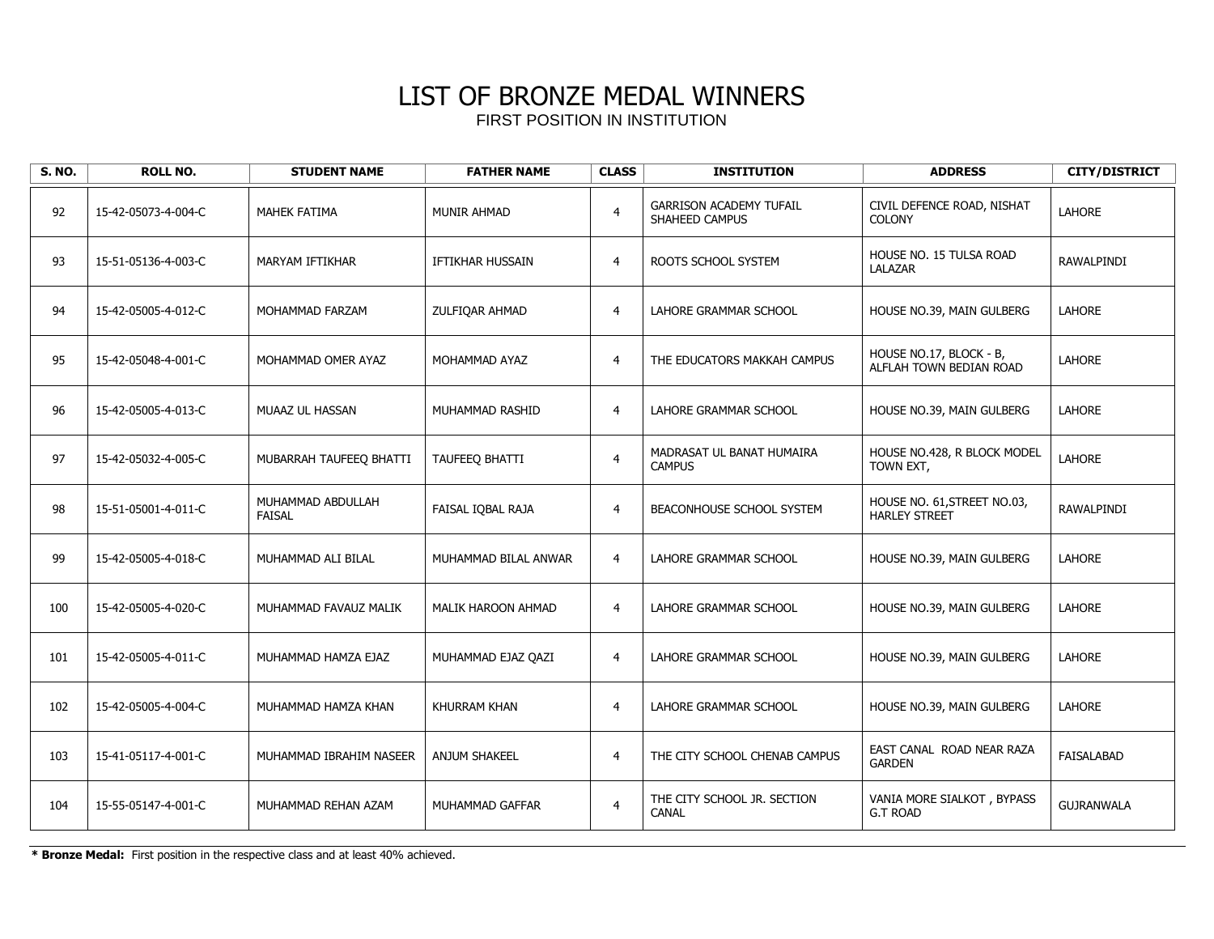| <b>S. NO.</b> | <b>ROLL NO.</b>     | <b>STUDENT NAME</b>                | <b>FATHER NAME</b>        | <b>CLASS</b>   | <b>INSTITUTION</b>                               | <b>ADDRESS</b>                                      | <b>CITY/DISTRICT</b> |
|---------------|---------------------|------------------------------------|---------------------------|----------------|--------------------------------------------------|-----------------------------------------------------|----------------------|
| 92            | 15-42-05073-4-004-C | <b>MAHEK FATIMA</b>                | <b>MUNIR AHMAD</b>        | $\overline{4}$ | <b>GARRISON ACADEMY TUFAIL</b><br>SHAHEED CAMPUS | CIVIL DEFENCE ROAD, NISHAT<br><b>COLONY</b>         | <b>LAHORE</b>        |
| 93            | 15-51-05136-4-003-C | MARYAM IFTIKHAR                    | IFTIKHAR HUSSAIN          | $\overline{4}$ | ROOTS SCHOOL SYSTEM                              | HOUSE NO. 15 TULSA ROAD<br>LALAZAR                  | RAWALPINDI           |
| 94            | 15-42-05005-4-012-C | MOHAMMAD FARZAM                    | ZULFIQAR AHMAD            | $\overline{4}$ | LAHORE GRAMMAR SCHOOL                            | HOUSE NO.39, MAIN GULBERG                           | LAHORE               |
| 95            | 15-42-05048-4-001-C | MOHAMMAD OMER AYAZ                 | MOHAMMAD AYAZ             | $\overline{4}$ | THE EDUCATORS MAKKAH CAMPUS                      | HOUSE NO.17, BLOCK - B,<br>ALFLAH TOWN BEDIAN ROAD  | LAHORE               |
| 96            | 15-42-05005-4-013-C | MUAAZ UL HASSAN                    | MUHAMMAD RASHID           | $\overline{4}$ | LAHORE GRAMMAR SCHOOL                            | HOUSE NO.39, MAIN GULBERG                           | LAHORE               |
| 97            | 15-42-05032-4-005-C | MUBARRAH TAUFEEQ BHATTI            | TAUFEEQ BHATTI            | $\overline{4}$ | MADRASAT UL BANAT HUMAIRA<br><b>CAMPUS</b>       | HOUSE NO.428, R BLOCK MODEL<br>TOWN EXT,            | <b>LAHORE</b>        |
| 98            | 15-51-05001-4-011-C | MUHAMMAD ABDULLAH<br><b>FAISAL</b> | FAISAL IQBAL RAJA         | $\overline{4}$ | BEACONHOUSE SCHOOL SYSTEM                        | HOUSE NO. 61, STREET NO.03,<br><b>HARLEY STREET</b> | <b>RAWALPINDI</b>    |
| 99            | 15-42-05005-4-018-C | MUHAMMAD ALI BILAL                 | MUHAMMAD BILAL ANWAR      | $\overline{4}$ | LAHORE GRAMMAR SCHOOL                            | HOUSE NO.39, MAIN GULBERG                           | LAHORE               |
| 100           | 15-42-05005-4-020-C | MUHAMMAD FAVAUZ MALIK              | <b>MALIK HAROON AHMAD</b> | $\overline{4}$ | LAHORE GRAMMAR SCHOOL                            | HOUSE NO.39, MAIN GULBERG                           | LAHORE               |
| 101           | 15-42-05005-4-011-C | MUHAMMAD HAMZA EJAZ                | MUHAMMAD EJAZ QAZI        | $\overline{4}$ | LAHORE GRAMMAR SCHOOL                            | HOUSE NO.39, MAIN GULBERG                           | <b>LAHORE</b>        |
| 102           | 15-42-05005-4-004-C | MUHAMMAD HAMZA KHAN                | KHURRAM KHAN              | $\overline{4}$ | LAHORE GRAMMAR SCHOOL                            | HOUSE NO.39, MAIN GULBERG                           | <b>LAHORE</b>        |
| 103           | 15-41-05117-4-001-C | MUHAMMAD IBRAHIM NASEER            | <b>ANJUM SHAKEEL</b>      | $\overline{4}$ | THE CITY SCHOOL CHENAB CAMPUS                    | EAST CANAL ROAD NEAR RAZA<br><b>GARDEN</b>          | FAISALABAD           |
| 104           | 15-55-05147-4-001-C | MUHAMMAD REHAN AZAM                | MUHAMMAD GAFFAR           | $\overline{4}$ | THE CITY SCHOOL JR. SECTION<br>CANAL             | VANIA MORE SIALKOT, BYPASS<br><b>G.T ROAD</b>       | <b>GUJRANWALA</b>    |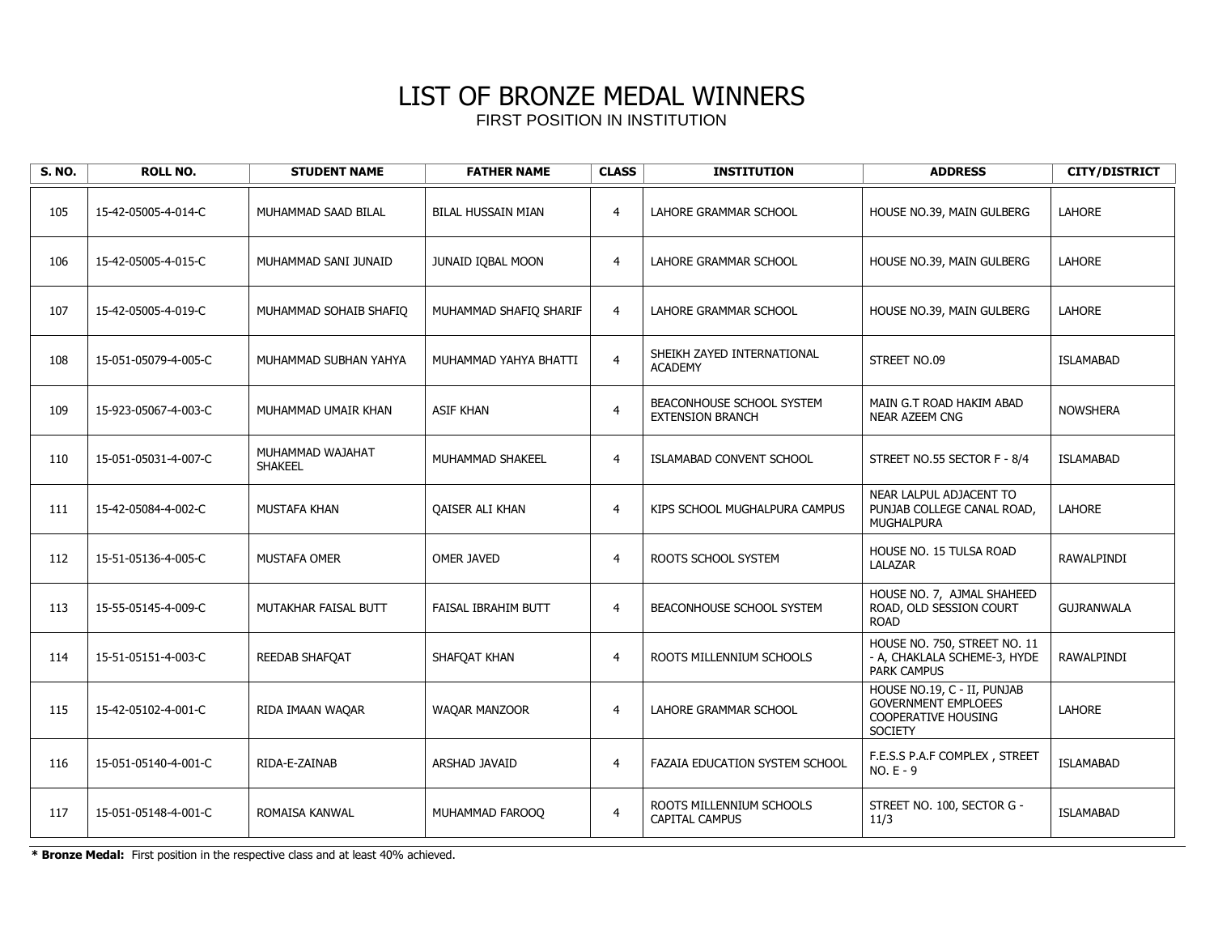| <b>S. NO.</b> | <b>ROLL NO.</b>      | <b>STUDENT NAME</b>                | <b>FATHER NAME</b>        | <b>CLASS</b>   | <b>INSTITUTION</b>                                   | <b>ADDRESS</b>                                                                                            | <b>CITY/DISTRICT</b> |
|---------------|----------------------|------------------------------------|---------------------------|----------------|------------------------------------------------------|-----------------------------------------------------------------------------------------------------------|----------------------|
| 105           | 15-42-05005-4-014-C  | MUHAMMAD SAAD BILAL                | <b>BILAL HUSSAIN MIAN</b> | $\overline{4}$ | LAHORE GRAMMAR SCHOOL                                | HOUSE NO.39, MAIN GULBERG                                                                                 | LAHORE               |
| 106           | 15-42-05005-4-015-C  | MUHAMMAD SANI JUNAID               | JUNAID IQBAL MOON         | $\overline{4}$ | LAHORE GRAMMAR SCHOOL                                | HOUSE NO.39, MAIN GULBERG                                                                                 | <b>LAHORE</b>        |
| 107           | 15-42-05005-4-019-C  | MUHAMMAD SOHAIB SHAFIQ             | MUHAMMAD SHAFIQ SHARIF    | $\overline{4}$ | LAHORE GRAMMAR SCHOOL                                | HOUSE NO.39, MAIN GULBERG                                                                                 | <b>LAHORE</b>        |
| 108           | 15-051-05079-4-005-C | MUHAMMAD SUBHAN YAHYA              | MUHAMMAD YAHYA BHATTI     | $\overline{4}$ | SHEIKH ZAYED INTERNATIONAL<br><b>ACADEMY</b>         | STREET NO.09                                                                                              | <b>ISLAMABAD</b>     |
| 109           | 15-923-05067-4-003-C | MUHAMMAD UMAIR KHAN                | <b>ASIF KHAN</b>          | $\overline{4}$ | BEACONHOUSE SCHOOL SYSTEM<br><b>EXTENSION BRANCH</b> | MAIN G.T ROAD HAKIM ABAD<br><b>NEAR AZEEM CNG</b>                                                         | <b>NOWSHERA</b>      |
| 110           | 15-051-05031-4-007-C | MUHAMMAD WAJAHAT<br><b>SHAKEEL</b> | MUHAMMAD SHAKEEL          | $\overline{4}$ | ISLAMABAD CONVENT SCHOOL                             | STREET NO.55 SECTOR F - 8/4                                                                               | <b>ISLAMABAD</b>     |
| 111           | 15-42-05084-4-002-C  | <b>MUSTAFA KHAN</b>                | <b>OAISER ALI KHAN</b>    | $\overline{4}$ | KIPS SCHOOL MUGHALPURA CAMPUS                        | NEAR LALPUL ADJACENT TO<br>PUNJAB COLLEGE CANAL ROAD,<br><b>MUGHALPURA</b>                                | <b>LAHORE</b>        |
| 112           | 15-51-05136-4-005-C  | <b>MUSTAFA OMER</b>                | <b>OMER JAVED</b>         | $\overline{4}$ | ROOTS SCHOOL SYSTEM                                  | HOUSE NO. 15 TULSA ROAD<br>LALAZAR                                                                        | <b>RAWALPINDI</b>    |
| 113           | 15-55-05145-4-009-C  | MUTAKHAR FAISAL BUTT               | FAISAL IBRAHIM BUTT       | $\overline{4}$ | BEACONHOUSE SCHOOL SYSTEM                            | HOUSE NO. 7, AJMAL SHAHEED<br>ROAD, OLD SESSION COURT<br><b>ROAD</b>                                      | <b>GUJRANWALA</b>    |
| 114           | 15-51-05151-4-003-C  | REEDAB SHAFQAT                     | SHAFQAT KHAN              | $\overline{4}$ | ROOTS MILLENNIUM SCHOOLS                             | HOUSE NO. 750, STREET NO. 11<br>- A, CHAKLALA SCHEME-3, HYDE<br>PARK CAMPUS                               | RAWALPINDI           |
| 115           | 15-42-05102-4-001-C  | RIDA IMAAN WAQAR                   | WAQAR MANZOOR             | $\overline{4}$ | LAHORE GRAMMAR SCHOOL                                | HOUSE NO.19, C - II, PUNJAB<br><b>GOVERNMENT EMPLOEES</b><br><b>COOPERATIVE HOUSING</b><br><b>SOCIETY</b> | LAHORE               |
| 116           | 15-051-05140-4-001-C | RIDA-E-ZAINAB                      | <b>ARSHAD JAVAID</b>      | $\overline{4}$ | <b>FAZAIA EDUCATION SYSTEM SCHOOL</b>                | F.E.S.S P.A.F COMPLEX, STREET<br>NO. E - 9                                                                | <b>ISLAMABAD</b>     |
| 117           | 15-051-05148-4-001-C | ROMAISA KANWAL                     | MUHAMMAD FAROOO           | $\overline{4}$ | ROOTS MILLENNIUM SCHOOLS<br><b>CAPITAL CAMPUS</b>    | STREET NO. 100, SECTOR G -<br>11/3                                                                        | <b>ISLAMABAD</b>     |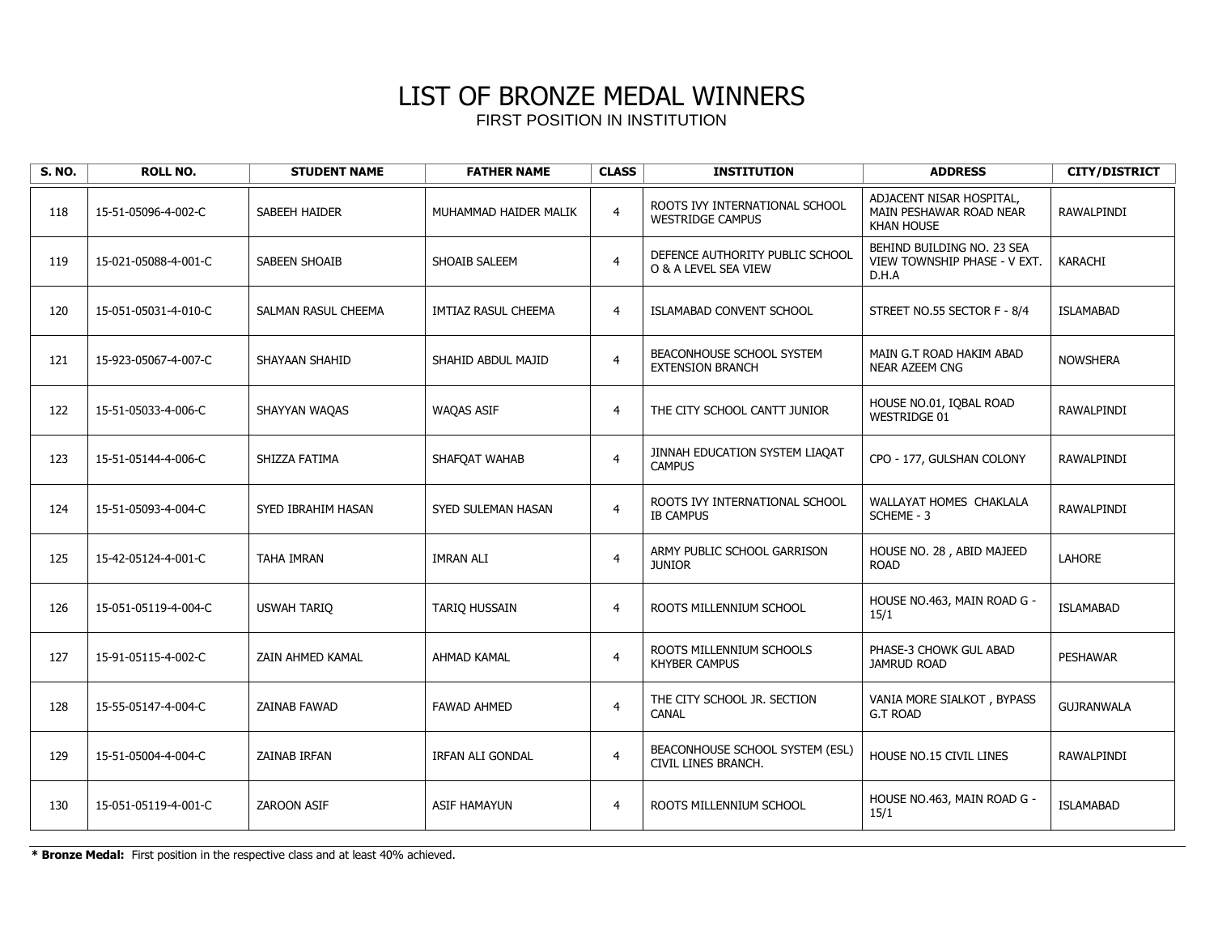| <b>S. NO.</b> | <b>ROLL NO.</b>      | <b>STUDENT NAME</b>  | <b>FATHER NAME</b>      | <b>CLASS</b>   | <b>INSTITUTION</b>                                        | <b>ADDRESS</b>                                                           | <b>CITY/DISTRICT</b> |
|---------------|----------------------|----------------------|-------------------------|----------------|-----------------------------------------------------------|--------------------------------------------------------------------------|----------------------|
| 118           | 15-51-05096-4-002-C  | SABEEH HAIDER        | MUHAMMAD HAIDER MALIK   | $\overline{4}$ | ROOTS IVY INTERNATIONAL SCHOOL<br><b>WESTRIDGE CAMPUS</b> | ADJACENT NISAR HOSPITAL,<br>MAIN PESHAWAR ROAD NEAR<br><b>KHAN HOUSE</b> | <b>RAWALPINDI</b>    |
| 119           | 15-021-05088-4-001-C | <b>SABEEN SHOAIB</b> | SHOAIB SALEEM           | $\overline{4}$ | DEFENCE AUTHORITY PUBLIC SCHOOL<br>O & A LEVEL SEA VIEW   | BEHIND BUILDING NO. 23 SEA<br>VIEW TOWNSHIP PHASE - V EXT.<br>D.H.A      | KARACHI              |
| 120           | 15-051-05031-4-010-C | SALMAN RASUL CHEEMA  | IMTIAZ RASUL CHEEMA     | $\overline{4}$ | <b>ISLAMABAD CONVENT SCHOOL</b>                           | STREET NO.55 SECTOR F - 8/4                                              | <b>ISLAMABAD</b>     |
| 121           | 15-923-05067-4-007-C | SHAYAAN SHAHID       | SHAHID ABDUL MAJID      | $\overline{4}$ | BEACONHOUSE SCHOOL SYSTEM<br><b>EXTENSION BRANCH</b>      | MAIN G.T ROAD HAKIM ABAD<br>NEAR AZEEM CNG                               | <b>NOWSHERA</b>      |
| 122           | 15-51-05033-4-006-C  | SHAYYAN WAQAS        | <b>WAQAS ASIF</b>       | $\overline{4}$ | THE CITY SCHOOL CANTT JUNIOR                              | HOUSE NO.01, IQBAL ROAD<br><b>WESTRIDGE 01</b>                           | RAWALPINDI           |
| 123           | 15-51-05144-4-006-C  | SHIZZA FATIMA        | SHAFOAT WAHAB           | $\overline{4}$ | JINNAH EDUCATION SYSTEM LIAQAT<br><b>CAMPUS</b>           | CPO - 177, GULSHAN COLONY                                                | RAWALPINDI           |
| 124           | 15-51-05093-4-004-C  | SYED IBRAHIM HASAN   | SYED SULEMAN HASAN      | $\overline{4}$ | ROOTS IVY INTERNATIONAL SCHOOL<br><b>IB CAMPUS</b>        | WALLAYAT HOMES CHAKLALA<br>SCHEME - 3                                    | RAWALPINDI           |
| 125           | 15-42-05124-4-001-C  | <b>TAHA IMRAN</b>    | <b>IMRAN ALI</b>        | $\overline{4}$ | ARMY PUBLIC SCHOOL GARRISON<br><b>JUNIOR</b>              | HOUSE NO. 28, ABID MAJEED<br><b>ROAD</b>                                 | <b>LAHORE</b>        |
| 126           | 15-051-05119-4-004-C | <b>USWAH TARIO</b>   | <b>TARIO HUSSAIN</b>    | $\overline{4}$ | ROOTS MILLENNIUM SCHOOL                                   | HOUSE NO.463, MAIN ROAD G -<br>15/1                                      | <b>ISLAMABAD</b>     |
| 127           | 15-91-05115-4-002-C  | ZAIN AHMED KAMAL     | <b>AHMAD KAMAL</b>      | $\overline{4}$ | ROOTS MILLENNIUM SCHOOLS<br><b>KHYBER CAMPUS</b>          | PHASE-3 CHOWK GUL ABAD<br><b>JAMRUD ROAD</b>                             | <b>PESHAWAR</b>      |
| 128           | 15-55-05147-4-004-C  | <b>ZAINAB FAWAD</b>  | <b>FAWAD AHMED</b>      | $\overline{4}$ | THE CITY SCHOOL JR. SECTION<br><b>CANAL</b>               | VANIA MORE SIALKOT, BYPASS<br><b>G.T ROAD</b>                            | <b>GUJRANWALA</b>    |
| 129           | 15-51-05004-4-004-C  | ZAINAB IRFAN         | <b>IRFAN ALI GONDAL</b> | $\overline{4}$ | BEACONHOUSE SCHOOL SYSTEM (ESL)<br>CIVIL LINES BRANCH.    | HOUSE NO.15 CIVIL LINES                                                  | RAWALPINDI           |
| 130           | 15-051-05119-4-001-C | ZAROON ASIF          | <b>ASIF HAMAYUN</b>     | $\overline{4}$ | ROOTS MILLENNIUM SCHOOL                                   | HOUSE NO.463, MAIN ROAD G -<br>15/1                                      | <b>ISLAMABAD</b>     |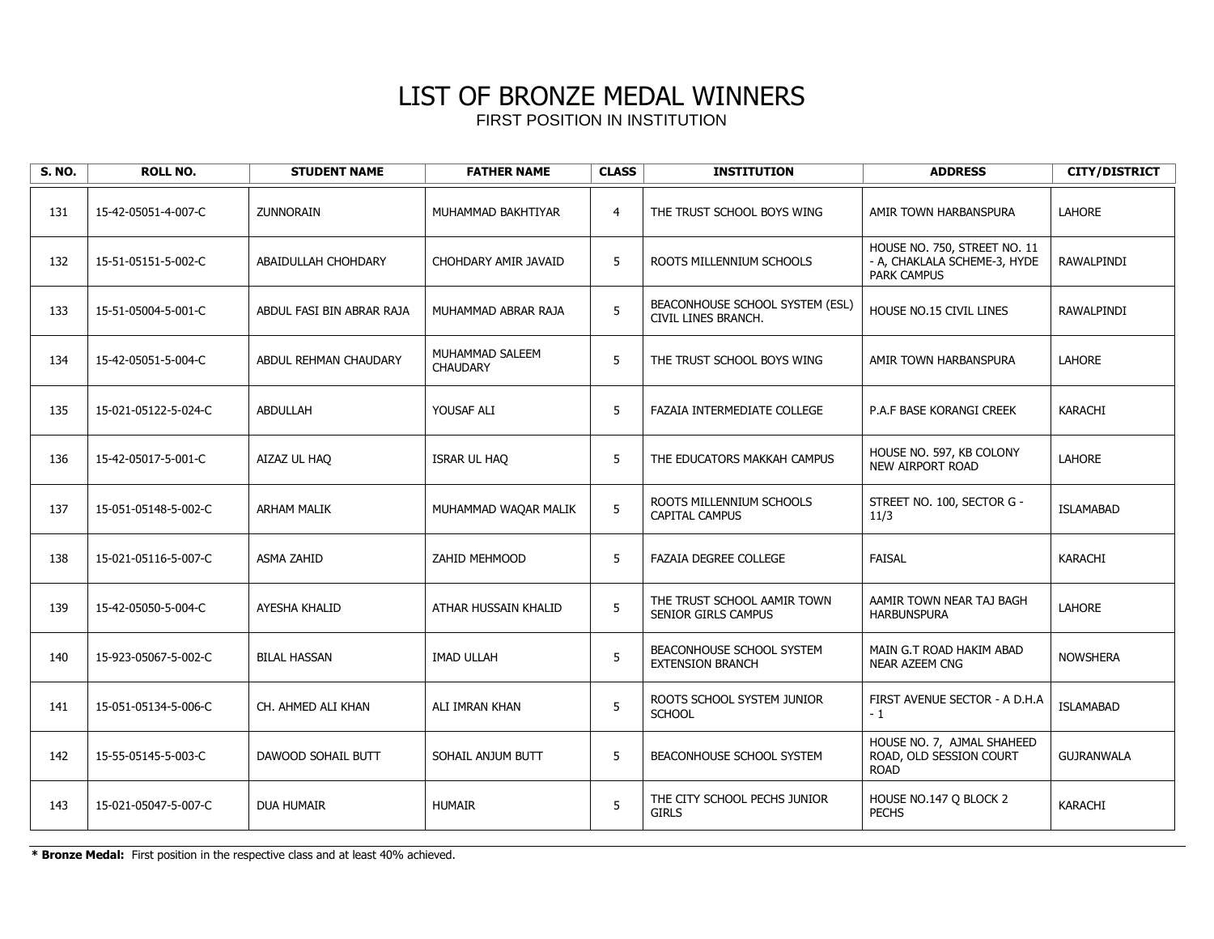| <b>S. NO.</b> | <b>ROLL NO.</b>      | <b>STUDENT NAME</b>       | <b>FATHER NAME</b>                 | <b>CLASS</b>    | <b>INSTITUTION</b>                                        | <b>ADDRESS</b>                                                                     | <b>CITY/DISTRICT</b> |
|---------------|----------------------|---------------------------|------------------------------------|-----------------|-----------------------------------------------------------|------------------------------------------------------------------------------------|----------------------|
| 131           | 15-42-05051-4-007-C  | <b>ZUNNORAIN</b>          | MUHAMMAD BAKHTIYAR                 | $\overline{4}$  | THE TRUST SCHOOL BOYS WING                                | AMIR TOWN HARBANSPURA                                                              | <b>LAHORE</b>        |
| 132           | 15-51-05151-5-002-C  | ABAIDULLAH CHOHDARY       | CHOHDARY AMIR JAVAID               | 5               | ROOTS MILLENNIUM SCHOOLS                                  | HOUSE NO. 750, STREET NO. 11<br>- A, CHAKLALA SCHEME-3, HYDE<br><b>PARK CAMPUS</b> | RAWALPINDI           |
| 133           | 15-51-05004-5-001-C  | ABDUL FASI BIN ABRAR RAJA | MUHAMMAD ABRAR RAJA                | 5               | BEACONHOUSE SCHOOL SYSTEM (ESL)<br>CIVIL LINES BRANCH.    | HOUSE NO.15 CIVIL LINES                                                            | RAWALPINDI           |
| 134           | 15-42-05051-5-004-C  | ABDUL REHMAN CHAUDARY     | MUHAMMAD SALEEM<br><b>CHAUDARY</b> | 5               | THE TRUST SCHOOL BOYS WING                                | AMIR TOWN HARBANSPURA                                                              | <b>LAHORE</b>        |
| 135           | 15-021-05122-5-024-C | <b>ABDULLAH</b>           | YOUSAF ALI                         | 5               | <b>FAZAIA INTERMEDIATE COLLEGE</b>                        | <b>P.A.F BASE KORANGI CREEK</b>                                                    | KARACHI              |
| 136           | 15-42-05017-5-001-C  | AIZAZ UL HAO              | ISRAR UL HAQ                       | 5               | THE EDUCATORS MAKKAH CAMPUS                               | HOUSE NO. 597, KB COLONY<br><b>NEW AIRPORT ROAD</b>                                | <b>LAHORE</b>        |
| 137           | 15-051-05148-5-002-C | <b>ARHAM MALIK</b>        | MUHAMMAD WAQAR MALIK               | 5               | ROOTS MILLENNIUM SCHOOLS<br><b>CAPITAL CAMPUS</b>         | STREET NO. 100, SECTOR G -<br>11/3                                                 | <b>ISLAMABAD</b>     |
| 138           | 15-021-05116-5-007-C | <b>ASMA ZAHID</b>         | ZAHID MEHMOOD                      | 5               | FAZAIA DEGREE COLLEGE                                     | <b>FAISAL</b>                                                                      | KARACHI              |
| 139           | 15-42-05050-5-004-C  | AYESHA KHALID             | ATHAR HUSSAIN KHALID               | 5               | THE TRUST SCHOOL AAMIR TOWN<br><b>SENIOR GIRLS CAMPUS</b> | AAMIR TOWN NEAR TAJ BAGH<br><b>HARBUNSPURA</b>                                     | LAHORE               |
| 140           | 15-923-05067-5-002-C | <b>BILAL HASSAN</b>       | <b>IMAD ULLAH</b>                  | 5               | BEACONHOUSE SCHOOL SYSTEM<br><b>EXTENSION BRANCH</b>      | MAIN G.T ROAD HAKIM ABAD<br><b>NEAR AZEEM CNG</b>                                  | <b>NOWSHERA</b>      |
| 141           | 15-051-05134-5-006-C | CH. AHMED ALI KHAN        | ALI IMRAN KHAN                     | 5               | ROOTS SCHOOL SYSTEM JUNIOR<br><b>SCHOOL</b>               | FIRST AVENUE SECTOR - A D.H.A<br>$-1$                                              | <b>ISLAMABAD</b>     |
| 142           | 15-55-05145-5-003-C  | DAWOOD SOHAIL BUTT        | SOHAIL ANJUM BUTT                  | 5               | BEACONHOUSE SCHOOL SYSTEM                                 | HOUSE NO. 7, AJMAL SHAHEED<br>ROAD, OLD SESSION COURT<br><b>ROAD</b>               | <b>GUJRANWALA</b>    |
| 143           | 15-021-05047-5-007-C | DUA HUMAIR                | <b>HUMAIR</b>                      | $5\phantom{.0}$ | THE CITY SCHOOL PECHS JUNIOR<br><b>GIRLS</b>              | HOUSE NO.147 Q BLOCK 2<br><b>PECHS</b>                                             | KARACHI              |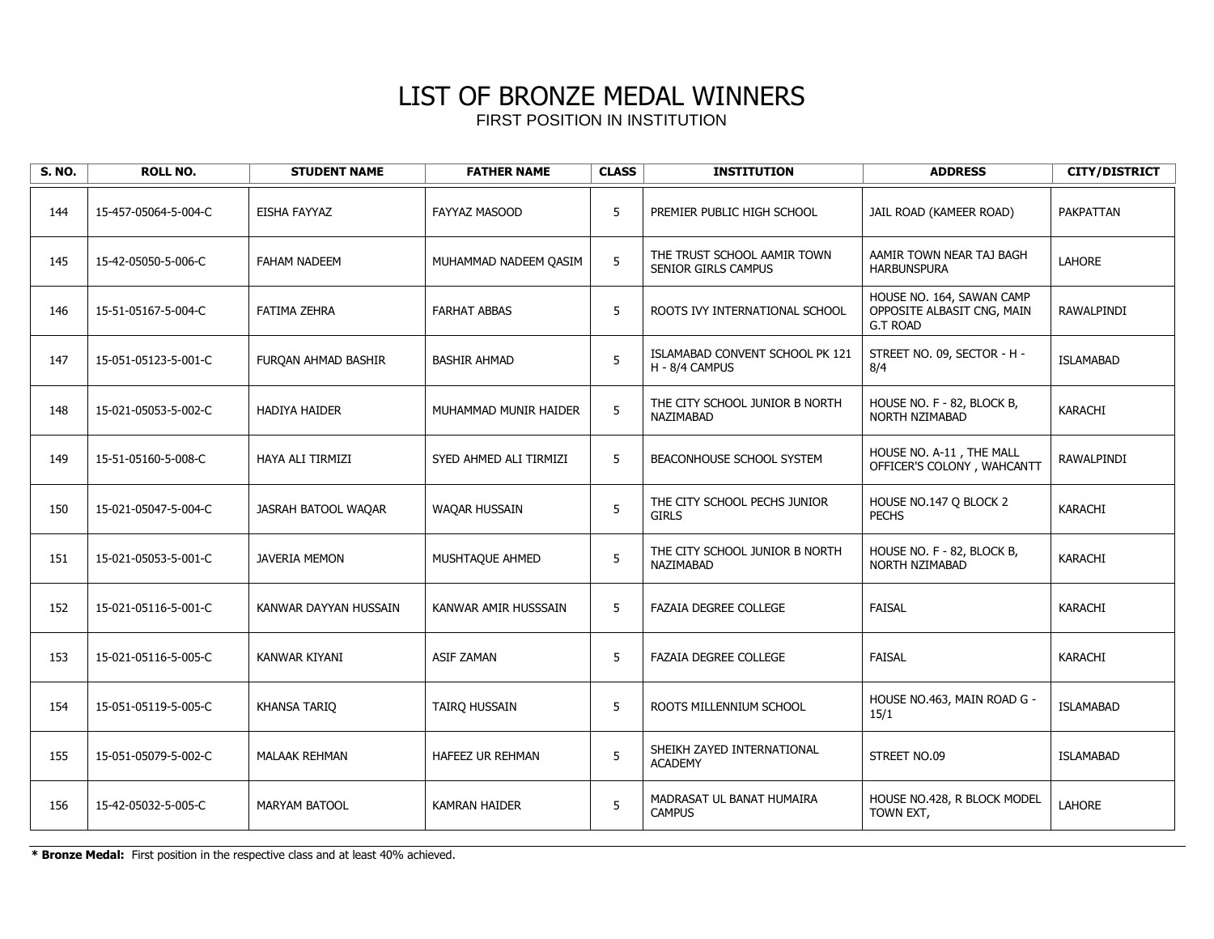| <b>S. NO.</b> | <b>ROLL NO.</b>      | <b>STUDENT NAME</b>     | <b>FATHER NAME</b>     | <b>CLASS</b> | <b>INSTITUTION</b>                                 | <b>ADDRESS</b>                                                             | <b>CITY/DISTRICT</b> |
|---------------|----------------------|-------------------------|------------------------|--------------|----------------------------------------------------|----------------------------------------------------------------------------|----------------------|
| 144           | 15-457-05064-5-004-C | EISHA FAYYAZ            | <b>FAYYAZ MASOOD</b>   | 5            | PREMIER PUBLIC HIGH SCHOOL                         | JAIL ROAD (KAMEER ROAD)                                                    | <b>PAKPATTAN</b>     |
| 145           | 15-42-05050-5-006-C  | <b>FAHAM NADEEM</b>     | MUHAMMAD NADEEM QASIM  | 5            | THE TRUST SCHOOL AAMIR TOWN<br>SENIOR GIRLS CAMPUS | AAMIR TOWN NEAR TAJ BAGH<br><b>HARBUNSPURA</b>                             | <b>LAHORE</b>        |
| 146           | 15-51-05167-5-004-C  | <b>FATIMA ZEHRA</b>     | <b>FARHAT ABBAS</b>    | 5            | ROOTS IVY INTERNATIONAL SCHOOL                     | HOUSE NO. 164, SAWAN CAMP<br>OPPOSITE ALBASIT CNG, MAIN<br><b>G.T ROAD</b> | RAWALPINDI           |
| 147           | 15-051-05123-5-001-C | FUROAN AHMAD BASHIR     | <b>BASHIR AHMAD</b>    | 5            | ISLAMABAD CONVENT SCHOOL PK 121<br>H - 8/4 CAMPUS  | STREET NO. 09, SECTOR - H -<br>8/4                                         | <b>ISLAMABAD</b>     |
| 148           | 15-021-05053-5-002-C | <b>HADIYA HAIDER</b>    | MUHAMMAD MUNIR HAIDER  | 5            | THE CITY SCHOOL JUNIOR B NORTH<br>NAZIMABAD        | HOUSE NO. F - 82, BLOCK B,<br>NORTH NZIMABAD                               | KARACHI              |
| 149           | 15-51-05160-5-008-C  | <b>HAYA ALI TIRMIZI</b> | SYED AHMED ALI TIRMIZI | 5            | BEACONHOUSE SCHOOL SYSTEM                          | HOUSE NO. A-11, THE MALL<br>OFFICER'S COLONY, WAHCANTT                     | RAWALPINDI           |
| 150           | 15-021-05047-5-004-C | JASRAH BATOOL WAQAR     | <b>WAQAR HUSSAIN</b>   | 5            | THE CITY SCHOOL PECHS JUNIOR<br><b>GIRLS</b>       | HOUSE NO.147 Q BLOCK 2<br><b>PECHS</b>                                     | <b>KARACHI</b>       |
| 151           | 15-021-05053-5-001-C | <b>JAVERIA MEMON</b>    | MUSHTAQUE AHMED        | 5            | THE CITY SCHOOL JUNIOR B NORTH<br>NAZIMABAD        | HOUSE NO. F - 82, BLOCK B,<br>NORTH NZIMABAD                               | <b>KARACHI</b>       |
| 152           | 15-021-05116-5-001-C | KANWAR DAYYAN HUSSAIN   | KANWAR AMIR HUSSSAIN   | 5            | <b>FAZAIA DEGREE COLLEGE</b>                       | <b>FAISAL</b>                                                              | KARACHI              |
| 153           | 15-021-05116-5-005-C | KANWAR KIYANI           | <b>ASIF ZAMAN</b>      | 5            | <b>FAZAIA DEGREE COLLEGE</b>                       | <b>FAISAL</b>                                                              | <b>KARACHI</b>       |
| 154           | 15-051-05119-5-005-C | <b>KHANSA TARIO</b>     | TAIRQ HUSSAIN          | 5            | ROOTS MILLENNIUM SCHOOL                            | HOUSE NO.463, MAIN ROAD G -<br>15/1                                        | <b>ISLAMABAD</b>     |
| 155           | 15-051-05079-5-002-C | <b>MALAAK REHMAN</b>    | HAFEEZ UR REHMAN       | 5            | SHEIKH ZAYED INTERNATIONAL<br><b>ACADEMY</b>       | STREET NO.09                                                               | <b>ISLAMABAD</b>     |
| 156           | 15-42-05032-5-005-C  | <b>MARYAM BATOOL</b>    | <b>KAMRAN HAIDER</b>   | $\sqrt{5}$   | MADRASAT UL BANAT HUMAIRA<br><b>CAMPUS</b>         | HOUSE NO.428, R BLOCK MODEL<br>TOWN EXT,                                   | LAHORE               |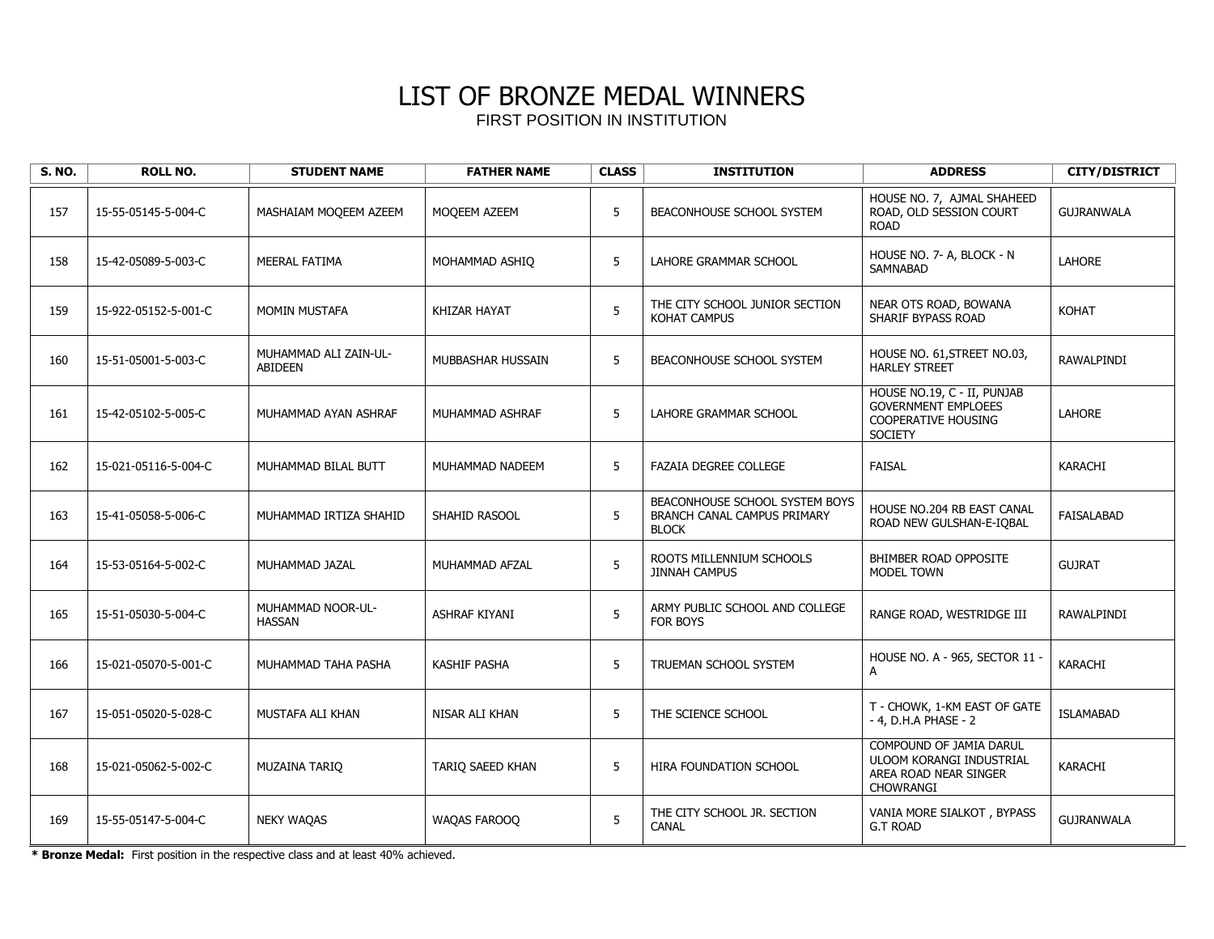| <b>S. NO.</b> | <b>ROLL NO.</b>      | <b>STUDENT NAME</b>                     | <b>FATHER NAME</b>  | <b>CLASS</b> | <b>INSTITUTION</b>                                                            | <b>ADDRESS</b>                                                                                     | <b>CITY/DISTRICT</b> |
|---------------|----------------------|-----------------------------------------|---------------------|--------------|-------------------------------------------------------------------------------|----------------------------------------------------------------------------------------------------|----------------------|
| 157           | 15-55-05145-5-004-C  | MASHAIAM MOQEEM AZEEM                   | MOQEEM AZEEM        | 5            | BEACONHOUSE SCHOOL SYSTEM                                                     | HOUSE NO. 7, AJMAL SHAHEED<br>ROAD, OLD SESSION COURT<br><b>ROAD</b>                               | <b>GUJRANWALA</b>    |
| 158           | 15-42-05089-5-003-C  | <b>MEERAL FATIMA</b>                    | MOHAMMAD ASHIO      | 5            | LAHORE GRAMMAR SCHOOL                                                         | HOUSE NO. 7- A, BLOCK - N<br><b>SAMNABAD</b>                                                       | <b>LAHORE</b>        |
| 159           | 15-922-05152-5-001-C | <b>MOMIN MUSTAFA</b>                    | KHIZAR HAYAT        | 5            | THE CITY SCHOOL JUNIOR SECTION<br><b>KOHAT CAMPUS</b>                         | NEAR OTS ROAD, BOWANA<br>SHARIF BYPASS ROAD                                                        | <b>KOHAT</b>         |
| 160           | 15-51-05001-5-003-C  | MUHAMMAD ALI ZAIN-UL-<br><b>ABIDEEN</b> | MUBBASHAR HUSSAIN   | 5            | BEACONHOUSE SCHOOL SYSTEM                                                     | HOUSE NO. 61, STREET NO.03,<br><b>HARLEY STREET</b>                                                | RAWALPINDI           |
| 161           | 15-42-05102-5-005-C  | MUHAMMAD AYAN ASHRAF                    | MUHAMMAD ASHRAF     | 5            | <b>LAHORE GRAMMAR SCHOOL</b>                                                  | HOUSE NO.19, C - II, PUNJAB<br><b>GOVERNMENT EMPLOEES</b><br>COOPERATIVE HOUSING<br><b>SOCIETY</b> | <b>LAHORE</b>        |
| 162           | 15-021-05116-5-004-C | MUHAMMAD BILAL BUTT                     | MUHAMMAD NADEEM     | 5            | <b>FAZAIA DEGREE COLLEGE</b>                                                  | <b>FAISAL</b>                                                                                      | KARACHI              |
| 163           | 15-41-05058-5-006-C  | MUHAMMAD IRTIZA SHAHID                  | SHAHID RASOOL       | 5            | BEACONHOUSE SCHOOL SYSTEM BOYS<br>BRANCH CANAL CAMPUS PRIMARY<br><b>BLOCK</b> | HOUSE NO.204 RB EAST CANAL<br>ROAD NEW GULSHAN-E-IQBAL                                             | <b>FAISALABAD</b>    |
| 164           | 15-53-05164-5-002-C  | MUHAMMAD JAZAL                          | MUHAMMAD AFZAL      | 5            | ROOTS MILLENNIUM SCHOOLS<br><b>JINNAH CAMPUS</b>                              | BHIMBER ROAD OPPOSITE<br>MODEL TOWN                                                                | <b>GUJRAT</b>        |
| 165           | 15-51-05030-5-004-C  | MUHAMMAD NOOR-UL-<br><b>HASSAN</b>      | ASHRAF KIYANI       | 5            | ARMY PUBLIC SCHOOL AND COLLEGE<br><b>FOR BOYS</b>                             | RANGE ROAD, WESTRIDGE III                                                                          | RAWALPINDI           |
| 166           | 15-021-05070-5-001-C | MUHAMMAD TAHA PASHA                     | <b>KASHIF PASHA</b> | 5            | TRUEMAN SCHOOL SYSTEM                                                         | HOUSE NO. A - 965, SECTOR 11 -<br>A                                                                | KARACHI              |
| 167           | 15-051-05020-5-028-C | MUSTAFA ALI KHAN                        | NISAR ALI KHAN      | 5            | THE SCIENCE SCHOOL                                                            | T - CHOWK, 1-KM EAST OF GATE<br>- 4, D.H.A PHASE - 2                                               | <b>ISLAMABAD</b>     |
| 168           | 15-021-05062-5-002-C | <b>MUZAINA TARIO</b>                    | TARIO SAEED KHAN    | 5            | <b>HIRA FOUNDATION SCHOOL</b>                                                 | COMPOUND OF JAMIA DARUL<br>ULOOM KORANGI INDUSTRIAL<br>AREA ROAD NEAR SINGER<br>CHOWRANGI          | <b>KARACHI</b>       |
| 169           | 15-55-05147-5-004-C  | <b>NEKY WAQAS</b>                       | WAQAS FAROOQ        | 5            | THE CITY SCHOOL JR. SECTION<br><b>CANAL</b>                                   | VANIA MORE SIALKOT, BYPASS<br><b>G.T ROAD</b>                                                      | <b>GUJRANWALA</b>    |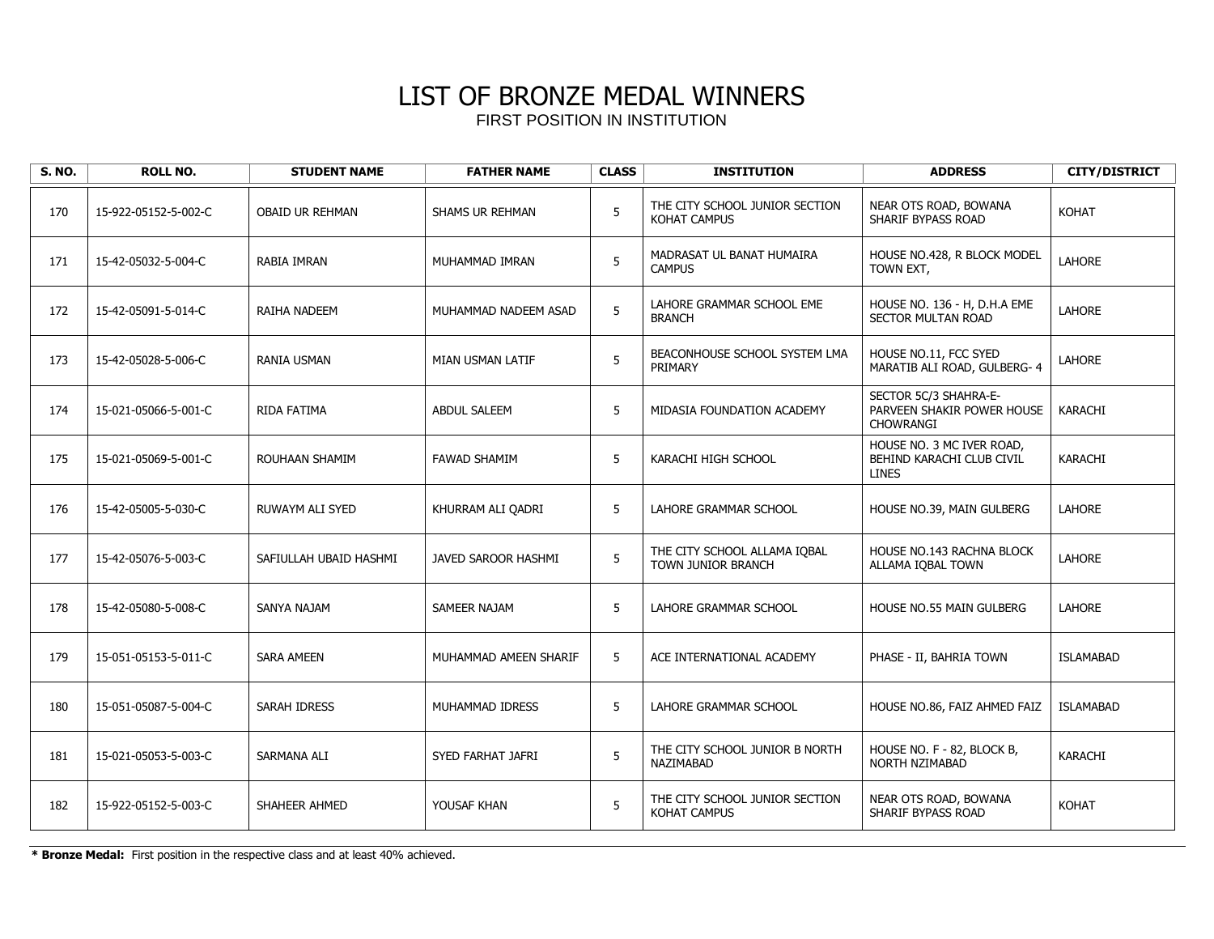| <b>S. NO.</b> | <b>ROLL NO.</b>      | <b>STUDENT NAME</b>    | <b>FATHER NAME</b>      | <b>CLASS</b> | <b>INSTITUTION</b>                                        | <b>ADDRESS</b>                                                          | <b>CITY/DISTRICT</b> |
|---------------|----------------------|------------------------|-------------------------|--------------|-----------------------------------------------------------|-------------------------------------------------------------------------|----------------------|
| 170           | 15-922-05152-5-002-C | <b>OBAID UR REHMAN</b> | SHAMS UR REHMAN         | 5            | THE CITY SCHOOL JUNIOR SECTION<br><b>KOHAT CAMPUS</b>     | NEAR OTS ROAD, BOWANA<br>SHARIF BYPASS ROAD                             | KOHAT                |
| 171           | 15-42-05032-5-004-C  | RABIA IMRAN            | MUHAMMAD IMRAN          | 5            | MADRASAT UL BANAT HUMAIRA<br><b>CAMPUS</b>                | HOUSE NO.428, R BLOCK MODEL<br>TOWN EXT,                                | <b>LAHORE</b>        |
| 172           | 15-42-05091-5-014-C  | RAIHA NADEEM           | MUHAMMAD NADEEM ASAD    | 5            | LAHORE GRAMMAR SCHOOL EME<br><b>BRANCH</b>                | HOUSE NO. 136 - H, D.H.A EME<br><b>SECTOR MULTAN ROAD</b>               | <b>LAHORE</b>        |
| 173           | 15-42-05028-5-006-C  | RANIA USMAN            | <b>MIAN USMAN LATIF</b> | 5            | BEACONHOUSE SCHOOL SYSTEM LMA<br>PRIMARY                  | HOUSE NO.11, FCC SYED<br>MARATIB ALI ROAD, GULBERG- 4                   | <b>LAHORE</b>        |
| 174           | 15-021-05066-5-001-C | RIDA FATIMA            | <b>ABDUL SALEEM</b>     | 5            | MIDASIA FOUNDATION ACADEMY                                | SECTOR 5C/3 SHAHRA-E-<br>PARVEEN SHAKIR POWER HOUSE<br><b>CHOWRANGI</b> | KARACHI              |
| 175           | 15-021-05069-5-001-C | ROUHAAN SHAMIM         | <b>FAWAD SHAMIM</b>     | 5            | KARACHI HIGH SCHOOL                                       | HOUSE NO. 3 MC IVER ROAD,<br>BEHIND KARACHI CLUB CIVIL<br><b>LINES</b>  | <b>KARACHI</b>       |
| 176           | 15-42-05005-5-030-C  | RUWAYM ALI SYED        | KHURRAM ALI QADRI       | 5            | LAHORE GRAMMAR SCHOOL                                     | HOUSE NO.39, MAIN GULBERG                                               | <b>LAHORE</b>        |
| 177           | 15-42-05076-5-003-C  | SAFIULLAH UBAID HASHMI | JAVED SAROOR HASHMI     | 5            | THE CITY SCHOOL ALLAMA IQBAL<br><b>TOWN JUNIOR BRANCH</b> | HOUSE NO.143 RACHNA BLOCK<br>ALLAMA IQBAL TOWN                          | <b>LAHORE</b>        |
| 178           | 15-42-05080-5-008-C  | SANYA NAJAM            | SAMEER NAJAM            | 5            | LAHORE GRAMMAR SCHOOL                                     | <b>HOUSE NO.55 MAIN GULBERG</b>                                         | <b>LAHORE</b>        |
| 179           | 15-051-05153-5-011-C | <b>SARA AMEEN</b>      | MUHAMMAD AMEEN SHARIF   | 5            | ACE INTERNATIONAL ACADEMY                                 | PHASE - II, BAHRIA TOWN                                                 | <b>ISLAMABAD</b>     |
| 180           | 15-051-05087-5-004-C | SARAH IDRESS           | MUHAMMAD IDRESS         | 5            | LAHORE GRAMMAR SCHOOL                                     | HOUSE NO.86, FAIZ AHMED FAIZ                                            | <b>ISLAMABAD</b>     |
| 181           | 15-021-05053-5-003-C | SARMANA ALI            | SYED FARHAT JAFRI       | 5            | THE CITY SCHOOL JUNIOR B NORTH<br>NAZIMABAD               | HOUSE NO. F - 82, BLOCK B,<br><b>NORTH NZIMABAD</b>                     | KARACHI              |
| 182           | 15-922-05152-5-003-C | SHAHEER AHMED          | YOUSAF KHAN             | 5            | THE CITY SCHOOL JUNIOR SECTION<br><b>KOHAT CAMPUS</b>     | NEAR OTS ROAD, BOWANA<br>SHARIF BYPASS ROAD                             | <b>KOHAT</b>         |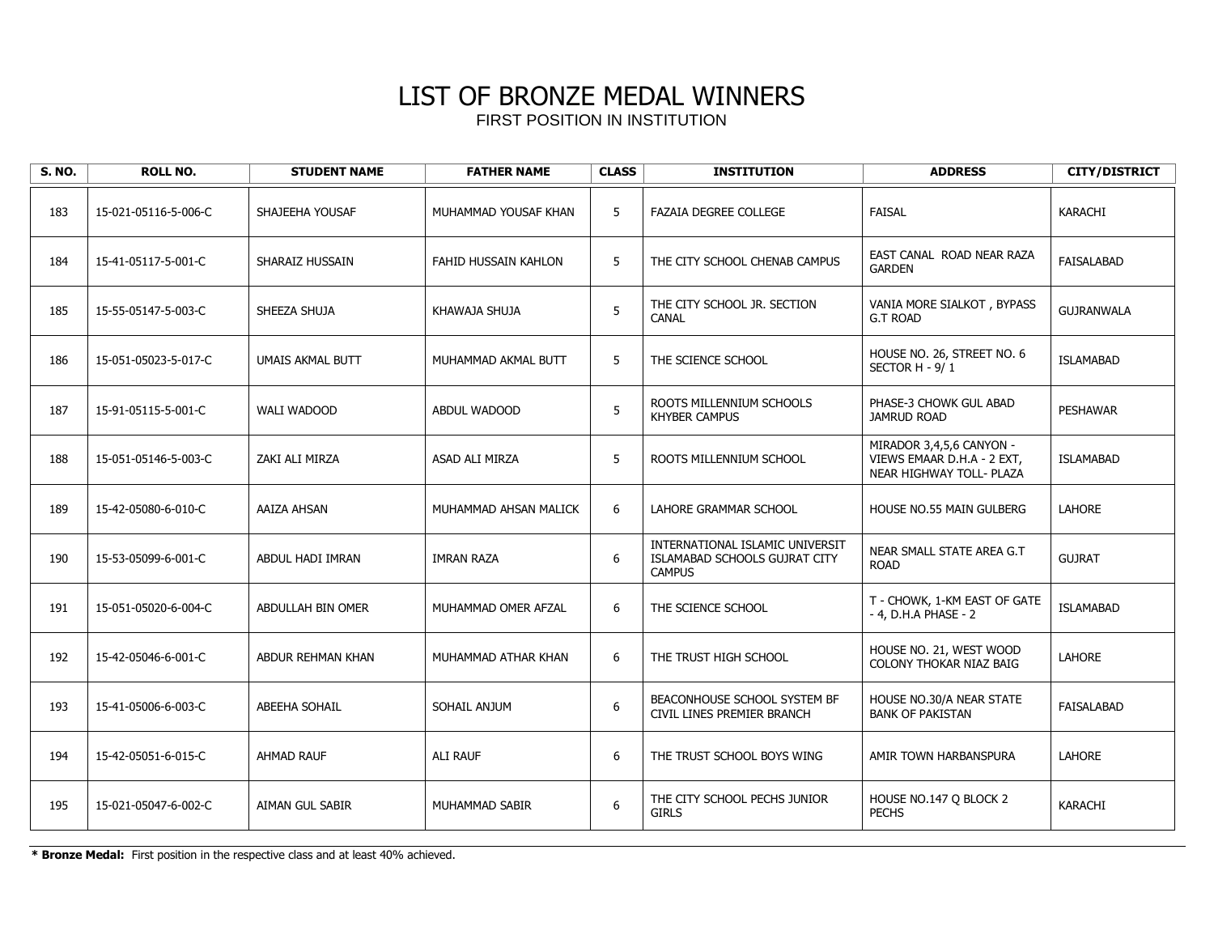| <b>S. NO.</b> | <b>ROLL NO.</b>      | <b>STUDENT NAME</b>     | <b>FATHER NAME</b>    | <b>CLASS</b> | <b>INSTITUTION</b>                                                                | <b>ADDRESS</b>                                                                     | <b>CITY/DISTRICT</b> |
|---------------|----------------------|-------------------------|-----------------------|--------------|-----------------------------------------------------------------------------------|------------------------------------------------------------------------------------|----------------------|
| 183           | 15-021-05116-5-006-C | SHAJEEHA YOUSAF         | MUHAMMAD YOUSAF KHAN  | 5            | <b>FAZAIA DEGREE COLLEGE</b>                                                      | <b>FAISAL</b>                                                                      | KARACHI              |
| 184           | 15-41-05117-5-001-C  | SHARAIZ HUSSAIN         | FAHID HUSSAIN KAHLON  | 5            | THE CITY SCHOOL CHENAB CAMPUS                                                     | EAST CANAL ROAD NEAR RAZA<br><b>GARDEN</b>                                         | <b>FAISALABAD</b>    |
| 185           | 15-55-05147-5-003-C  | SHEEZA SHUJA            | KHAWAJA SHUJA         | 5            | THE CITY SCHOOL JR. SECTION<br>CANAL                                              | VANIA MORE SIALKOT, BYPASS<br><b>G.T ROAD</b>                                      | <b>GUJRANWALA</b>    |
| 186           | 15-051-05023-5-017-C | <b>UMAIS AKMAL BUTT</b> | MUHAMMAD AKMAL BUTT   | 5            | THE SCIENCE SCHOOL                                                                | HOUSE NO. 26, STREET NO. 6<br>SECTOR H - 9/1                                       | <b>ISLAMABAD</b>     |
| 187           | 15-91-05115-5-001-C  | WALI WADOOD             | ABDUL WADOOD          | 5            | ROOTS MILLENNIUM SCHOOLS<br><b>KHYBER CAMPUS</b>                                  | PHASE-3 CHOWK GUL ABAD<br><b>JAMRUD ROAD</b>                                       | <b>PESHAWAR</b>      |
| 188           | 15-051-05146-5-003-C | ZAKI ALI MIRZA          | ASAD ALI MIRZA        | 5            | ROOTS MILLENNIUM SCHOOL                                                           | MIRADOR 3,4,5,6 CANYON -<br>VIEWS EMAAR D.H.A - 2 EXT,<br>NEAR HIGHWAY TOLL- PLAZA | <b>ISLAMABAD</b>     |
| 189           | 15-42-05080-6-010-C  | AAIZA AHSAN             | MUHAMMAD AHSAN MALICK | 6            | LAHORE GRAMMAR SCHOOL                                                             | <b>HOUSE NO.55 MAIN GULBERG</b>                                                    | <b>LAHORE</b>        |
| 190           | 15-53-05099-6-001-C  | ABDUL HADI IMRAN        | <b>IMRAN RAZA</b>     | 6            | INTERNATIONAL ISLAMIC UNIVERSIT<br>ISLAMABAD SCHOOLS GUJRAT CITY<br><b>CAMPUS</b> | NEAR SMALL STATE AREA G.T<br><b>ROAD</b>                                           | <b>GUJRAT</b>        |
| 191           | 15-051-05020-6-004-C | ABDULLAH BIN OMER       | MUHAMMAD OMER AFZAL   | 6            | THE SCIENCE SCHOOL                                                                | T - CHOWK, 1-KM EAST OF GATE<br>- 4, D.H.A PHASE - 2                               | <b>ISLAMABAD</b>     |
| 192           | 15-42-05046-6-001-C  | ABDUR REHMAN KHAN       | MUHAMMAD ATHAR KHAN   | 6            | THE TRUST HIGH SCHOOL                                                             | HOUSE NO. 21, WEST WOOD<br>COLONY THOKAR NIAZ BAIG                                 | LAHORE               |
| 193           | 15-41-05006-6-003-C  | ABEEHA SOHAIL           | SOHAIL ANJUM          | 6            | BEACONHOUSE SCHOOL SYSTEM BF<br>CIVIL LINES PREMIER BRANCH                        | HOUSE NO.30/A NEAR STATE<br><b>BANK OF PAKISTAN</b>                                | FAISALABAD           |
| 194           | 15-42-05051-6-015-C  | <b>AHMAD RAUF</b>       | ALI RAUF              | 6            | THE TRUST SCHOOL BOYS WING                                                        | AMIR TOWN HARBANSPURA                                                              | LAHORE               |
| 195           | 15-021-05047-6-002-C | AIMAN GUL SABIR         | MUHAMMAD SABIR        | $6\,$        | THE CITY SCHOOL PECHS JUNIOR<br><b>GIRLS</b>                                      | HOUSE NO.147 Q BLOCK 2<br><b>PECHS</b>                                             | KARACHI              |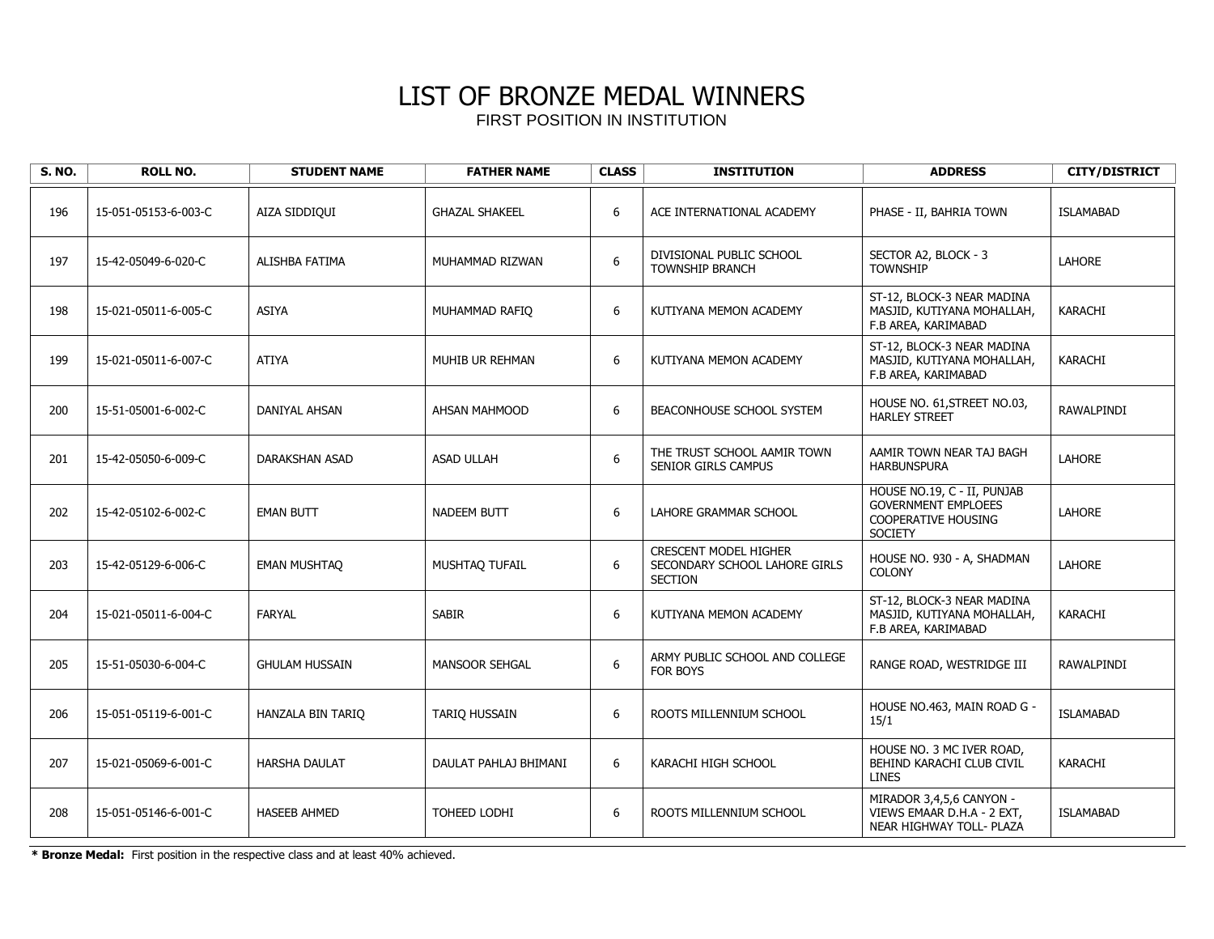| <b>S. NO.</b> | <b>ROLL NO.</b>      | <b>STUDENT NAME</b>   | <b>FATHER NAME</b>    | <b>CLASS</b>     | <b>INSTITUTION</b>                                                              | <b>ADDRESS</b>                                                                                            | <b>CITY/DISTRICT</b> |
|---------------|----------------------|-----------------------|-----------------------|------------------|---------------------------------------------------------------------------------|-----------------------------------------------------------------------------------------------------------|----------------------|
| 196           | 15-051-05153-6-003-C | AIZA SIDDIQUI         | <b>GHAZAL SHAKEEL</b> | $\boldsymbol{6}$ | ACE INTERNATIONAL ACADEMY                                                       | PHASE - II, BAHRIA TOWN                                                                                   | <b>ISLAMABAD</b>     |
| 197           | 15-42-05049-6-020-C  | ALISHBA FATIMA        | MUHAMMAD RIZWAN       | 6                | DIVISIONAL PUBLIC SCHOOL<br><b>TOWNSHIP BRANCH</b>                              | SECTOR A2, BLOCK - 3<br><b>TOWNSHIP</b>                                                                   | <b>LAHORE</b>        |
| 198           | 15-021-05011-6-005-C | <b>ASIYA</b>          | MUHAMMAD RAFIO        | 6                | KUTIYANA MEMON ACADEMY                                                          | ST-12, BLOCK-3 NEAR MADINA<br>MASJID, KUTIYANA MOHALLAH,<br>F.B AREA, KARIMABAD                           | KARACHI              |
| 199           | 15-021-05011-6-007-C | <b>ATIYA</b>          | MUHIB UR REHMAN       | 6                | KUTIYANA MEMON ACADEMY                                                          | ST-12, BLOCK-3 NEAR MADINA<br>MASJID, KUTIYANA MOHALLAH,<br>F.B AREA, KARIMABAD                           | <b>KARACHI</b>       |
| 200           | 15-51-05001-6-002-C  | DANIYAL AHSAN         | AHSAN MAHMOOD         | 6                | BEACONHOUSE SCHOOL SYSTEM                                                       | HOUSE NO. 61, STREET NO.03,<br><b>HARLEY STREET</b>                                                       | RAWALPINDI           |
| 201           | 15-42-05050-6-009-C  | DARAKSHAN ASAD        | <b>ASAD ULLAH</b>     | 6                | THE TRUST SCHOOL AAMIR TOWN<br>SENIOR GIRLS CAMPUS                              | AAMIR TOWN NEAR TAJ BAGH<br><b>HARBUNSPURA</b>                                                            | LAHORE               |
| 202           | 15-42-05102-6-002-C  | <b>EMAN BUTT</b>      | <b>NADEEM BUTT</b>    | $\boldsymbol{6}$ | LAHORE GRAMMAR SCHOOL                                                           | HOUSE NO.19, C - II, PUNJAB<br><b>GOVERNMENT EMPLOEES</b><br><b>COOPERATIVE HOUSING</b><br><b>SOCIETY</b> | <b>LAHORE</b>        |
| 203           | 15-42-05129-6-006-C  | <b>EMAN MUSHTAQ</b>   | MUSHTAQ TUFAIL        | 6                | <b>CRESCENT MODEL HIGHER</b><br>SECONDARY SCHOOL LAHORE GIRLS<br><b>SECTION</b> | HOUSE NO. 930 - A, SHADMAN<br><b>COLONY</b>                                                               | LAHORE               |
| 204           | 15-021-05011-6-004-C | FARYAL                | <b>SABIR</b>          | 6                | KUTIYANA MEMON ACADEMY                                                          | ST-12, BLOCK-3 NEAR MADINA<br>MASJID, KUTIYANA MOHALLAH,<br>F.B AREA, KARIMABAD                           | <b>KARACHI</b>       |
| 205           | 15-51-05030-6-004-C  | <b>GHULAM HUSSAIN</b> | <b>MANSOOR SEHGAL</b> | $\boldsymbol{6}$ | ARMY PUBLIC SCHOOL AND COLLEGE<br>FOR BOYS                                      | RANGE ROAD, WESTRIDGE III                                                                                 | RAWALPINDI           |
| 206           | 15-051-05119-6-001-C | HANZALA BIN TARIO     | TARIO HUSSAIN         | 6                | ROOTS MILLENNIUM SCHOOL                                                         | HOUSE NO.463, MAIN ROAD G -<br>15/1                                                                       | <b>ISLAMABAD</b>     |
| 207           | 15-021-05069-6-001-C | <b>HARSHA DAULAT</b>  | DAULAT PAHLAJ BHIMANI | 6                | KARACHI HIGH SCHOOL                                                             | HOUSE NO. 3 MC IVER ROAD,<br>BEHIND KARACHI CLUB CIVIL<br><b>LINES</b>                                    | <b>KARACHI</b>       |
| 208           | 15-051-05146-6-001-C | <b>HASEEB AHMED</b>   | TOHEED LODHI          | $\boldsymbol{6}$ | ROOTS MILLENNIUM SCHOOL                                                         | MIRADOR 3,4,5,6 CANYON -<br>VIEWS EMAAR D.H.A - 2 EXT,<br>NEAR HIGHWAY TOLL- PLAZA                        | <b>ISLAMABAD</b>     |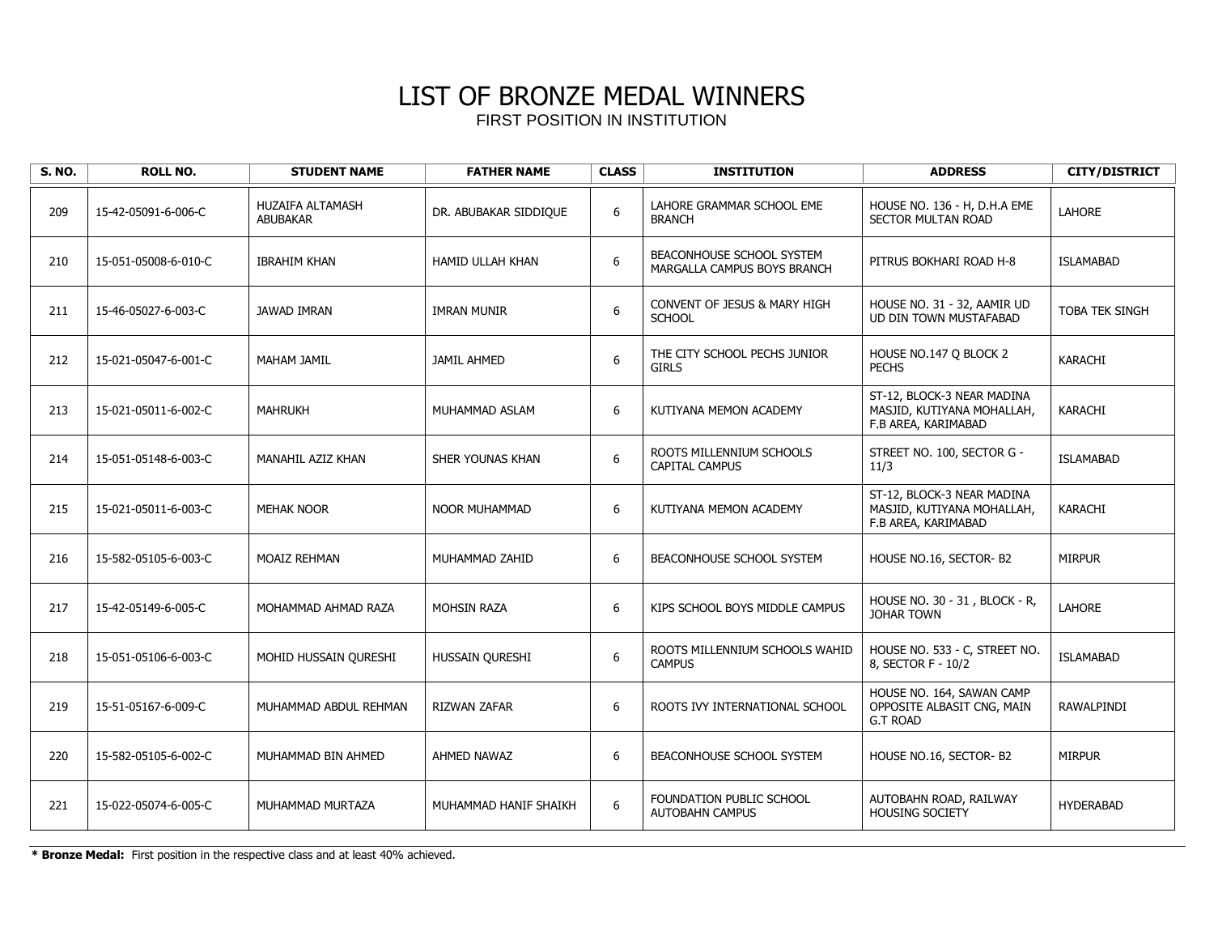| <b>S. NO.</b> | <b>ROLL NO.</b>      | <b>STUDENT NAME</b>                        | <b>FATHER NAME</b>      | <b>CLASS</b>     | <b>INSTITUTION</b>                                       | <b>ADDRESS</b>                                                                  | <b>CITY/DISTRICT</b>  |
|---------------|----------------------|--------------------------------------------|-------------------------|------------------|----------------------------------------------------------|---------------------------------------------------------------------------------|-----------------------|
| 209           | 15-42-05091-6-006-C  | <b>HUZAIFA ALTAMASH</b><br><b>ABUBAKAR</b> | DR. ABUBAKAR SIDDIQUE   | 6                | LAHORE GRAMMAR SCHOOL EME<br><b>BRANCH</b>               | HOUSE NO. 136 - H, D.H.A EME<br><b>SECTOR MULTAN ROAD</b>                       | <b>LAHORE</b>         |
| 210           | 15-051-05008-6-010-C | <b>IBRAHIM KHAN</b>                        | <b>HAMID ULLAH KHAN</b> | 6                | BEACONHOUSE SCHOOL SYSTEM<br>MARGALLA CAMPUS BOYS BRANCH | PITRUS BOKHARI ROAD H-8                                                         | <b>ISLAMABAD</b>      |
| 211           | 15-46-05027-6-003-C  | <b>JAWAD IMRAN</b>                         | <b>IMRAN MUNIR</b>      | 6                | <b>CONVENT OF JESUS &amp; MARY HIGH</b><br><b>SCHOOL</b> | HOUSE NO. 31 - 32, AAMIR UD<br>UD DIN TOWN MUSTAFABAD                           | <b>TOBA TEK SINGH</b> |
| 212           | 15-021-05047-6-001-C | MAHAM JAMIL                                | <b>JAMIL AHMED</b>      | $\boldsymbol{6}$ | THE CITY SCHOOL PECHS JUNIOR<br><b>GIRLS</b>             | HOUSE NO.147 Q BLOCK 2<br><b>PECHS</b>                                          | <b>KARACHI</b>        |
| 213           | 15-021-05011-6-002-C | <b>MAHRUKH</b>                             | MUHAMMAD ASLAM          | $\boldsymbol{6}$ | KUTIYANA MEMON ACADEMY                                   | ST-12, BLOCK-3 NEAR MADINA<br>MASJID, KUTIYANA MOHALLAH,<br>F.B AREA, KARIMABAD | <b>KARACHI</b>        |
| 214           | 15-051-05148-6-003-C | MANAHIL AZIZ KHAN                          | SHER YOUNAS KHAN        | $\boldsymbol{6}$ | ROOTS MILLENNIUM SCHOOLS<br><b>CAPITAL CAMPUS</b>        | STREET NO. 100, SECTOR G -<br>11/3                                              | <b>ISLAMABAD</b>      |
| 215           | 15-021-05011-6-003-C | <b>MEHAK NOOR</b>                          | <b>NOOR MUHAMMAD</b>    | $\boldsymbol{6}$ | KUTIYANA MEMON ACADEMY                                   | ST-12, BLOCK-3 NEAR MADINA<br>MASJID, KUTIYANA MOHALLAH,<br>F.B AREA, KARIMABAD | KARACHI               |
| 216           | 15-582-05105-6-003-C | <b>MOAIZ REHMAN</b>                        | MUHAMMAD ZAHID          | 6                | BEACONHOUSE SCHOOL SYSTEM                                | HOUSE NO.16, SECTOR-B2                                                          | <b>MIRPUR</b>         |
| 217           | 15-42-05149-6-005-C  | MOHAMMAD AHMAD RAZA                        | <b>MOHSIN RAZA</b>      | $\boldsymbol{6}$ | KIPS SCHOOL BOYS MIDDLE CAMPUS                           | HOUSE NO. 30 - 31, BLOCK - R,<br><b>JOHAR TOWN</b>                              | <b>LAHORE</b>         |
| 218           | 15-051-05106-6-003-C | MOHID HUSSAIN QURESHI                      | HUSSAIN OURESHI         | $\boldsymbol{6}$ | ROOTS MILLENNIUM SCHOOLS WAHID<br><b>CAMPUS</b>          | HOUSE NO. 533 - C, STREET NO.<br>8, SECTOR F - 10/2                             | <b>ISLAMABAD</b>      |
| 219           | 15-51-05167-6-009-C  | MUHAMMAD ABDUL REHMAN                      | <b>RIZWAN ZAFAR</b>     | 6                | ROOTS IVY INTERNATIONAL SCHOOL                           | HOUSE NO. 164, SAWAN CAMP<br>OPPOSITE ALBASIT CNG, MAIN<br><b>G.T ROAD</b>      | RAWALPINDI            |
| 220           | 15-582-05105-6-002-C | MUHAMMAD BIN AHMED                         | AHMED NAWAZ             | 6                | BEACONHOUSE SCHOOL SYSTEM                                | HOUSE NO.16, SECTOR- B2                                                         | <b>MIRPUR</b>         |
| 221           | 15-022-05074-6-005-C | MUHAMMAD MURTAZA                           | MUHAMMAD HANIF SHAIKH   | $\boldsymbol{6}$ | FOUNDATION PUBLIC SCHOOL<br><b>AUTOBAHN CAMPUS</b>       | AUTOBAHN ROAD, RAILWAY<br><b>HOUSING SOCIETY</b>                                | <b>HYDERABAD</b>      |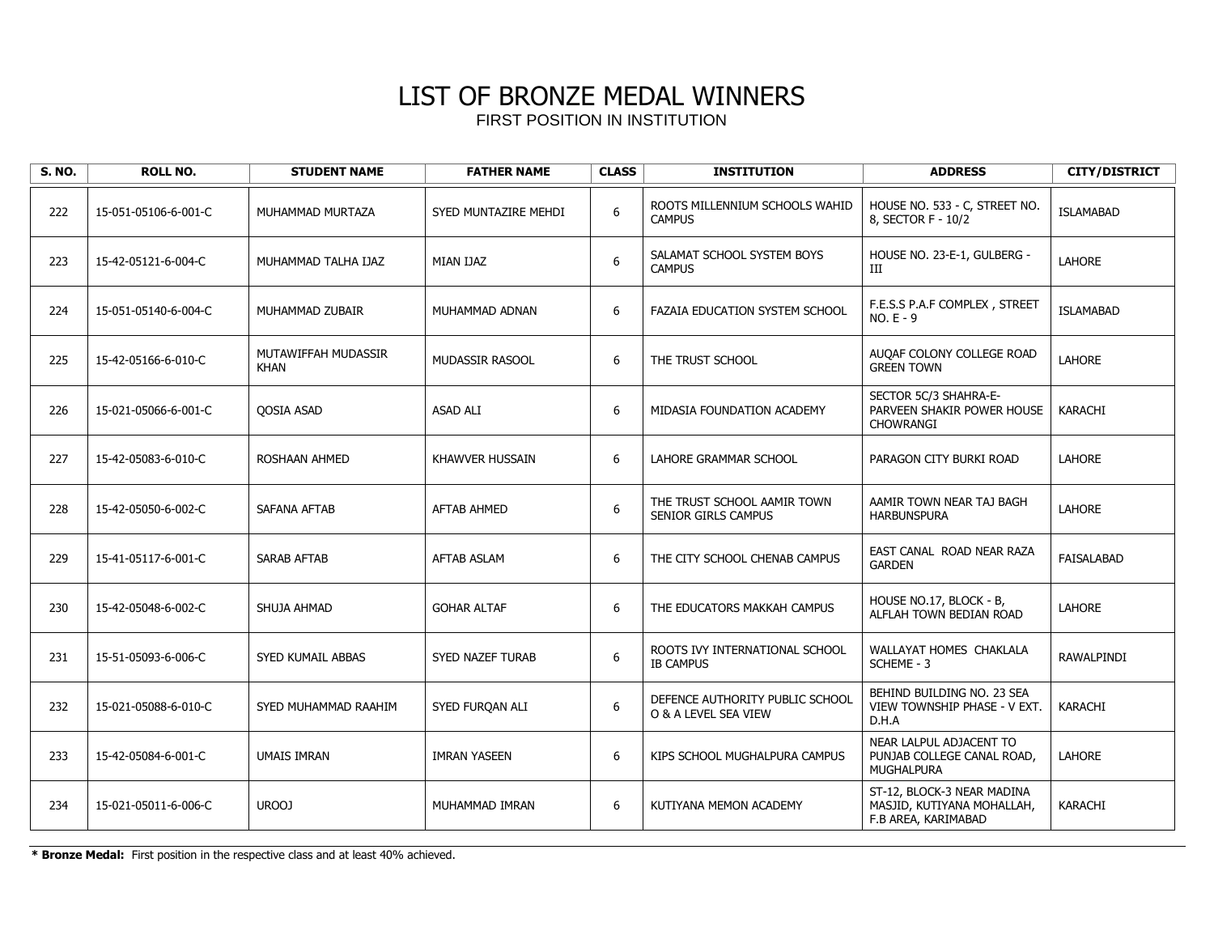| <b>S. NO.</b> | <b>ROLL NO.</b>      | <b>STUDENT NAME</b>                | <b>FATHER NAME</b>     | <b>CLASS</b>     | <b>INSTITUTION</b>                                      | <b>ADDRESS</b>                                                                  | <b>CITY/DISTRICT</b> |
|---------------|----------------------|------------------------------------|------------------------|------------------|---------------------------------------------------------|---------------------------------------------------------------------------------|----------------------|
| 222           | 15-051-05106-6-001-C | MUHAMMAD MURTAZA                   | SYED MUNTAZIRE MEHDI   | 6                | ROOTS MILLENNIUM SCHOOLS WAHID<br><b>CAMPUS</b>         | HOUSE NO. 533 - C, STREET NO.<br>8, SECTOR F - 10/2                             | <b>ISLAMABAD</b>     |
| 223           | 15-42-05121-6-004-C  | MUHAMMAD TALHA IJAZ                | MIAN IJAZ              | $\boldsymbol{6}$ | SALAMAT SCHOOL SYSTEM BOYS<br><b>CAMPUS</b>             | HOUSE NO. 23-E-1, GULBERG -<br>Ш                                                | <b>LAHORE</b>        |
| 224           | 15-051-05140-6-004-C | MUHAMMAD ZUBAIR                    | MUHAMMAD ADNAN         | 6                | FAZAIA EDUCATION SYSTEM SCHOOL                          | F.E.S.S P.A.F COMPLEX, STREET<br>$NO.E - 9$                                     | <b>ISLAMABAD</b>     |
| 225           | 15-42-05166-6-010-C  | MUTAWIFFAH MUDASSIR<br><b>KHAN</b> | <b>MUDASSIR RASOOL</b> | 6                | THE TRUST SCHOOL                                        | AUQAF COLONY COLLEGE ROAD<br><b>GREEN TOWN</b>                                  | <b>LAHORE</b>        |
| 226           | 15-021-05066-6-001-C | <b>QOSIA ASAD</b>                  | <b>ASAD ALI</b>        | 6                | MIDASIA FOUNDATION ACADEMY                              | SECTOR 5C/3 SHAHRA-E-<br>PARVEEN SHAKIR POWER HOUSE<br>CHOWRANGI                | KARACHI              |
| 227           | 15-42-05083-6-010-C  | ROSHAAN AHMED                      | <b>KHAWVER HUSSAIN</b> | 6                | LAHORE GRAMMAR SCHOOL                                   | PARAGON CITY BURKI ROAD                                                         | <b>LAHORE</b>        |
| 228           | 15-42-05050-6-002-C  | SAFANA AFTAB                       | <b>AFTAB AHMED</b>     | 6                | THE TRUST SCHOOL AAMIR TOWN<br>SENIOR GIRLS CAMPUS      | AAMIR TOWN NEAR TAJ BAGH<br><b>HARBUNSPURA</b>                                  | <b>LAHORE</b>        |
| 229           | 15-41-05117-6-001-C  | <b>SARAB AFTAB</b>                 | <b>AFTAB ASLAM</b>     | 6                | THE CITY SCHOOL CHENAB CAMPUS                           | EAST CANAL ROAD NEAR RAZA<br><b>GARDEN</b>                                      | FAISALABAD           |
| 230           | 15-42-05048-6-002-C  | SHUJA AHMAD                        | <b>GOHAR ALTAF</b>     | 6                | THE EDUCATORS MAKKAH CAMPUS                             | HOUSE NO.17, BLOCK - B,<br>ALFLAH TOWN BEDIAN ROAD                              | <b>LAHORE</b>        |
| 231           | 15-51-05093-6-006-C  | SYED KUMAIL ABBAS                  | SYED NAZEF TURAB       | 6                | ROOTS IVY INTERNATIONAL SCHOOL<br><b>IB CAMPUS</b>      | WALLAYAT HOMES CHAKLALA<br>SCHEME - 3                                           | RAWALPINDI           |
| 232           | 15-021-05088-6-010-C | SYED MUHAMMAD RAAHIM               | SYED FURQAN ALI        | 6                | DEFENCE AUTHORITY PUBLIC SCHOOL<br>O & A LEVEL SEA VIEW | BEHIND BUILDING NO. 23 SEA<br>VIEW TOWNSHIP PHASE - V EXT.<br>D.H.A             | KARACHI              |
| 233           | 15-42-05084-6-001-C  | <b>UMAIS IMRAN</b>                 | <b>IMRAN YASEEN</b>    | 6                | KIPS SCHOOL MUGHALPURA CAMPUS                           | NEAR LALPUL ADJACENT TO<br>PUNJAB COLLEGE CANAL ROAD,<br>MUGHALPURA             | LAHORE               |
| 234           | 15-021-05011-6-006-C | UROOJ                              | MUHAMMAD IMRAN         | 6                | KUTIYANA MEMON ACADEMY                                  | ST-12, BLOCK-3 NEAR MADINA<br>MASJID, KUTIYANA MOHALLAH,<br>F.B AREA, KARIMABAD | KARACHI              |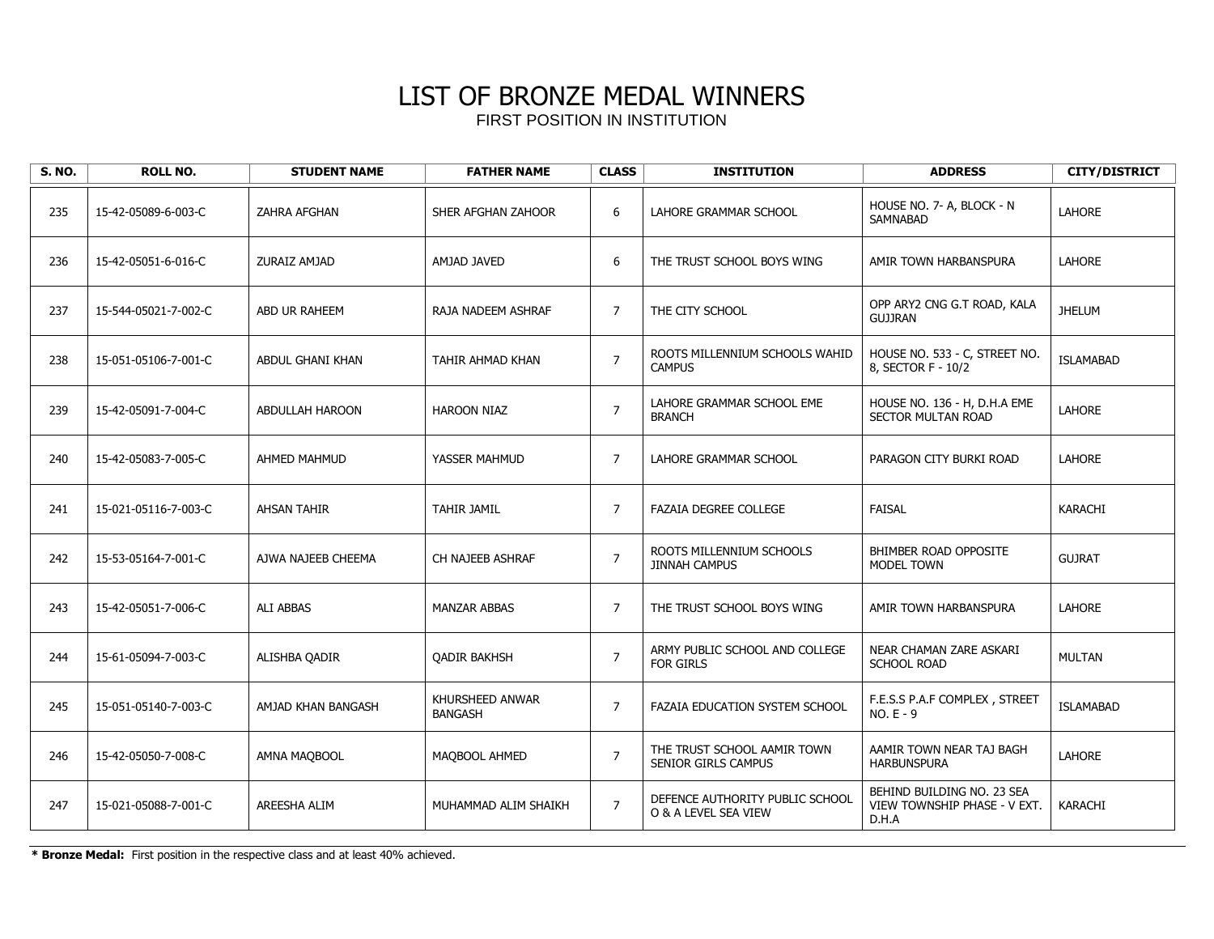| <b>S. NO.</b> | <b>ROLL NO.</b>      | <b>STUDENT NAME</b>    | <b>FATHER NAME</b>                | <b>CLASS</b>   | <b>INSTITUTION</b>                                      | <b>ADDRESS</b>                                                      | <b>CITY/DISTRICT</b> |
|---------------|----------------------|------------------------|-----------------------------------|----------------|---------------------------------------------------------|---------------------------------------------------------------------|----------------------|
| 235           | 15-42-05089-6-003-C  | ZAHRA AFGHAN           | SHER AFGHAN ZAHOOR                | 6              | LAHORE GRAMMAR SCHOOL                                   | HOUSE NO. 7- A, BLOCK - N<br>SAMNABAD                               | <b>LAHORE</b>        |
| 236           | 15-42-05051-6-016-C  | ZURAIZ AMJAD           | AMJAD JAVED                       | 6              | THE TRUST SCHOOL BOYS WING                              | AMIR TOWN HARBANSPURA                                               | <b>LAHORE</b>        |
| 237           | 15-544-05021-7-002-C | ABD UR RAHEEM          | RAJA NADEEM ASHRAF                | 7              | THE CITY SCHOOL                                         | OPP ARY2 CNG G.T ROAD, KALA<br><b>GUJJRAN</b>                       | <b>JHELUM</b>        |
| 238           | 15-051-05106-7-001-C | ABDUL GHANI KHAN       | TAHIR AHMAD KHAN                  | $\overline{7}$ | ROOTS MILLENNIUM SCHOOLS WAHID<br><b>CAMPUS</b>         | HOUSE NO. 533 - C, STREET NO.<br>8, SECTOR F - 10/2                 | <b>ISLAMABAD</b>     |
| 239           | 15-42-05091-7-004-C  | <b>ABDULLAH HAROON</b> | <b>HAROON NIAZ</b>                | $\overline{7}$ | LAHORE GRAMMAR SCHOOL EME<br><b>BRANCH</b>              | HOUSE NO. 136 - H, D.H.A EME<br><b>SECTOR MULTAN ROAD</b>           | <b>LAHORE</b>        |
| 240           | 15-42-05083-7-005-C  | AHMED MAHMUD           | YASSER MAHMUD                     | $\overline{7}$ | LAHORE GRAMMAR SCHOOL                                   | PARAGON CITY BURKI ROAD                                             | <b>LAHORE</b>        |
| 241           | 15-021-05116-7-003-C | <b>AHSAN TAHIR</b>     | TAHIR JAMIL                       | 7              | <b>FAZAIA DEGREE COLLEGE</b>                            | <b>FAISAL</b>                                                       | KARACHI              |
| 242           | 15-53-05164-7-001-C  | AJWA NAJEEB CHEEMA     | CH NAJEEB ASHRAF                  | $\overline{7}$ | ROOTS MILLENNIUM SCHOOLS<br><b>JINNAH CAMPUS</b>        | BHIMBER ROAD OPPOSITE<br><b>MODEL TOWN</b>                          | <b>GUJRAT</b>        |
| 243           | 15-42-05051-7-006-C  | <b>ALI ABBAS</b>       | <b>MANZAR ABBAS</b>               | $\overline{7}$ | THE TRUST SCHOOL BOYS WING                              | AMIR TOWN HARBANSPURA                                               | <b>LAHORE</b>        |
| 244           | 15-61-05094-7-003-C  | ALISHBA QADIR          | <b>QADIR BAKHSH</b>               | $\overline{7}$ | ARMY PUBLIC SCHOOL AND COLLEGE<br><b>FOR GIRLS</b>      | NEAR CHAMAN ZARE ASKARI<br><b>SCHOOL ROAD</b>                       | <b>MULTAN</b>        |
| 245           | 15-051-05140-7-003-C | AMJAD KHAN BANGASH     | KHURSHEED ANWAR<br><b>BANGASH</b> | $\overline{7}$ | FAZAIA EDUCATION SYSTEM SCHOOL                          | F.E.S.S P.A.F COMPLEX, STREET<br>$NO.E - 9$                         | <b>ISLAMABAD</b>     |
| 246           | 15-42-05050-7-008-C  | AMNA MAQBOOL           | MAQBOOL AHMED                     | $\overline{7}$ | THE TRUST SCHOOL AAMIR TOWN<br>SENIOR GIRLS CAMPUS      | AAMIR TOWN NEAR TAJ BAGH<br><b>HARBUNSPURA</b>                      | <b>LAHORE</b>        |
| 247           | 15-021-05088-7-001-C | AREESHA ALIM           | MUHAMMAD ALIM SHAIKH              | $\overline{7}$ | DEFENCE AUTHORITY PUBLIC SCHOOL<br>O & A LEVEL SEA VIEW | BEHIND BUILDING NO. 23 SEA<br>VIEW TOWNSHIP PHASE - V EXT.<br>D.H.A | KARACHI              |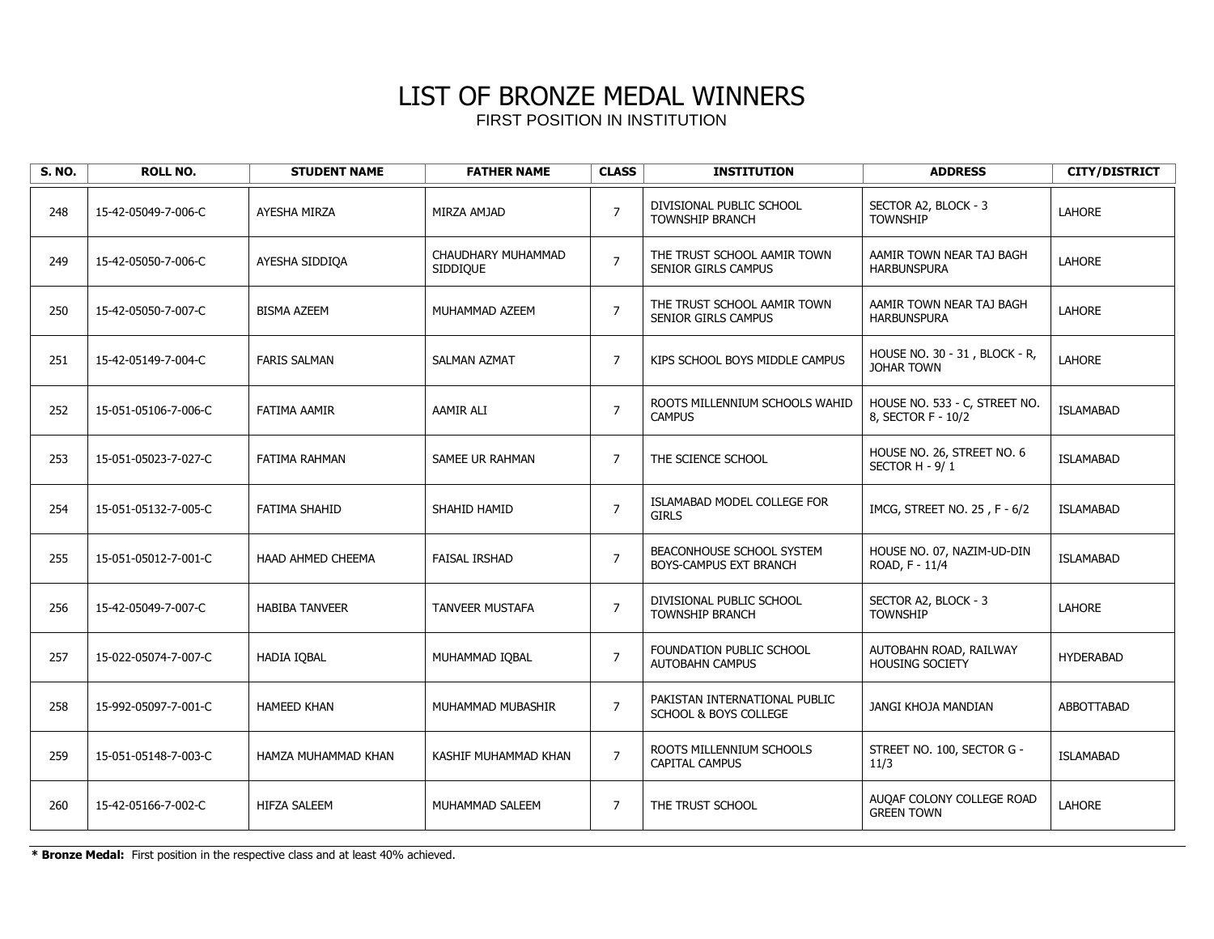| <b>S. NO.</b> | <b>ROLL NO.</b>      | <b>STUDENT NAME</b>   | <b>FATHER NAME</b>             | <b>CLASS</b>   | <b>INSTITUTION</b>                                        | <b>ADDRESS</b>                                      | <b>CITY/DISTRICT</b> |
|---------------|----------------------|-----------------------|--------------------------------|----------------|-----------------------------------------------------------|-----------------------------------------------------|----------------------|
| 248           | 15-42-05049-7-006-C  | AYESHA MIRZA          | MIRZA AMJAD                    | $\overline{7}$ | DIVISIONAL PUBLIC SCHOOL<br><b>TOWNSHIP BRANCH</b>        | SECTOR A2, BLOCK - 3<br><b>TOWNSHIP</b>             | <b>LAHORE</b>        |
| 249           | 15-42-05050-7-006-C  | AYESHA SIDDIQA        | CHAUDHARY MUHAMMAD<br>SIDDIQUE | $\overline{7}$ | THE TRUST SCHOOL AAMIR TOWN<br><b>SENIOR GIRLS CAMPUS</b> | AAMIR TOWN NEAR TAJ BAGH<br><b>HARBUNSPURA</b>      | LAHORE               |
| 250           | 15-42-05050-7-007-C  | <b>BISMA AZEEM</b>    | MUHAMMAD AZEEM                 | $\overline{7}$ | THE TRUST SCHOOL AAMIR TOWN<br>SENIOR GIRLS CAMPUS        | AAMIR TOWN NEAR TAJ BAGH<br><b>HARBUNSPURA</b>      | LAHORE               |
| 251           | 15-42-05149-7-004-C  | <b>FARIS SALMAN</b>   | <b>SALMAN AZMAT</b>            | $\overline{7}$ | KIPS SCHOOL BOYS MIDDLE CAMPUS                            | HOUSE NO. 30 - 31, BLOCK - R,<br><b>JOHAR TOWN</b>  | LAHORE               |
| 252           | 15-051-05106-7-006-C | <b>FATIMA AAMIR</b>   | AAMIR ALI                      | $\overline{7}$ | ROOTS MILLENNIUM SCHOOLS WAHID<br><b>CAMPUS</b>           | HOUSE NO. 533 - C, STREET NO.<br>8, SECTOR F - 10/2 | <b>ISLAMABAD</b>     |
| 253           | 15-051-05023-7-027-C | <b>FATIMA RAHMAN</b>  | SAMEE UR RAHMAN                | $\overline{7}$ | THE SCIENCE SCHOOL                                        | HOUSE NO. 26, STREET NO. 6<br>SECTOR H - 9/1        | <b>ISLAMABAD</b>     |
| 254           | 15-051-05132-7-005-C | FATIMA SHAHID         | SHAHID HAMID                   | $\overline{7}$ | ISLAMABAD MODEL COLLEGE FOR<br><b>GIRLS</b>               | IMCG, STREET NO. 25, F - 6/2                        | <b>ISLAMABAD</b>     |
| 255           | 15-051-05012-7-001-C | HAAD AHMED CHEEMA     | <b>FAISAL IRSHAD</b>           | $\overline{7}$ | BEACONHOUSE SCHOOL SYSTEM<br>BOYS-CAMPUS EXT BRANCH       | HOUSE NO. 07, NAZIM-UD-DIN<br>ROAD, F - 11/4        | <b>ISLAMABAD</b>     |
| 256           | 15-42-05049-7-007-C  | <b>HABIBA TANVEER</b> | TANVEER MUSTAFA                | $\overline{7}$ | DIVISIONAL PUBLIC SCHOOL<br>TOWNSHIP BRANCH               | SECTOR A2, BLOCK - 3<br><b>TOWNSHIP</b>             | LAHORE               |
| 257           | 15-022-05074-7-007-C | <b>HADIA IOBAL</b>    | MUHAMMAD IOBAL                 | $\overline{7}$ | FOUNDATION PUBLIC SCHOOL<br><b>AUTOBAHN CAMPUS</b>        | AUTOBAHN ROAD, RAILWAY<br><b>HOUSING SOCIETY</b>    | <b>HYDERABAD</b>     |
| 258           | 15-992-05097-7-001-C | <b>HAMEED KHAN</b>    | MUHAMMAD MUBASHIR              | $\overline{7}$ | PAKISTAN INTERNATIONAL PUBLIC<br>SCHOOL & BOYS COLLEGE    | JANGI KHOJA MANDIAN                                 | ABBOTTABAD           |
| 259           | 15-051-05148-7-003-C | HAMZA MUHAMMAD KHAN   | KASHIF MUHAMMAD KHAN           | $\overline{7}$ | ROOTS MILLENNIUM SCHOOLS<br><b>CAPITAL CAMPUS</b>         | STREET NO. 100, SECTOR G -<br>11/3                  | <b>ISLAMABAD</b>     |
| 260           | 15-42-05166-7-002-C  | <b>HIFZA SALEEM</b>   | MUHAMMAD SALEEM                | $\overline{7}$ | THE TRUST SCHOOL                                          | AUQAF COLONY COLLEGE ROAD<br><b>GREEN TOWN</b>      | LAHORE               |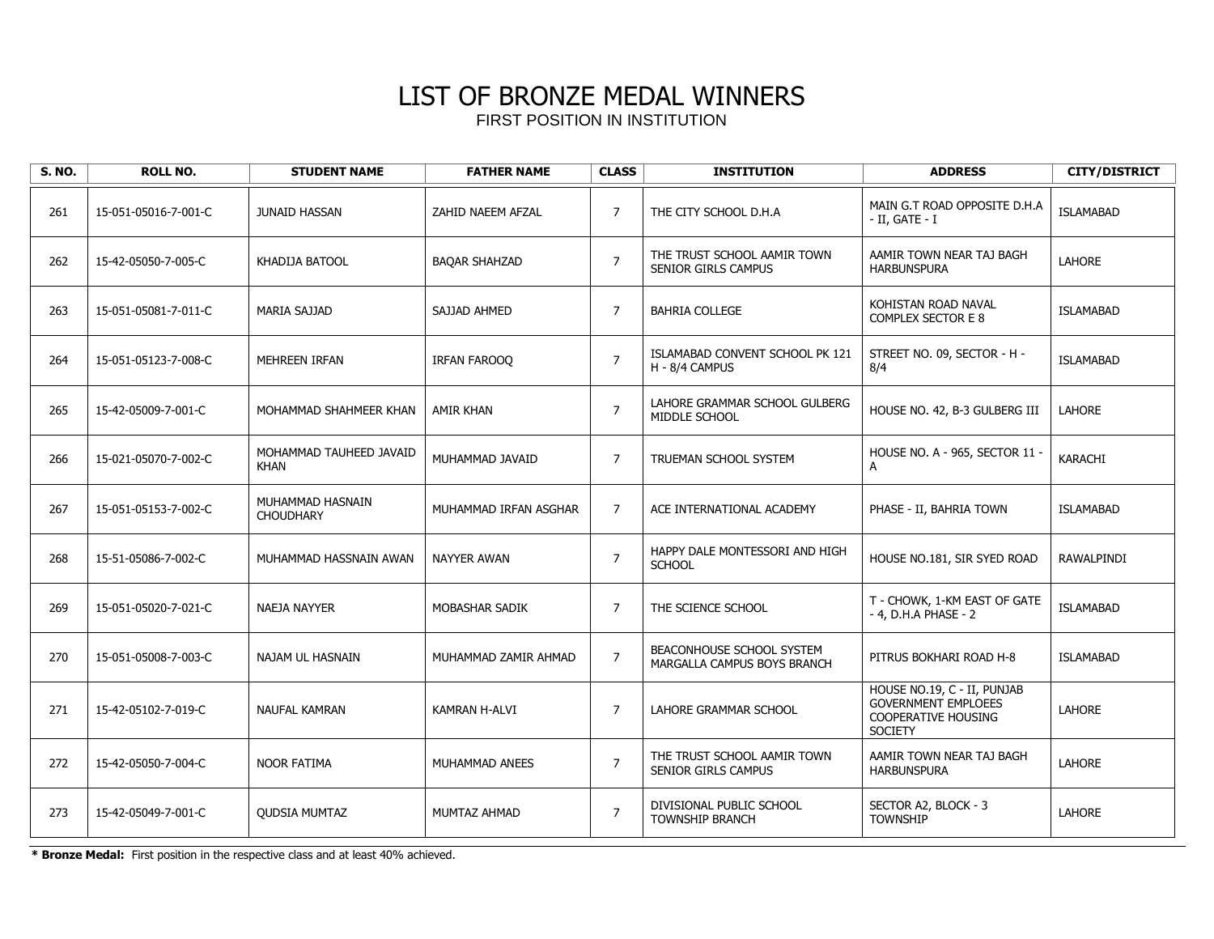| <b>S. NO.</b> | <b>ROLL NO.</b>      | <b>STUDENT NAME</b>                    | <b>FATHER NAME</b>    | <b>CLASS</b>   | <b>INSTITUTION</b>                                       | <b>ADDRESS</b>                                                                                            | <b>CITY/DISTRICT</b> |
|---------------|----------------------|----------------------------------------|-----------------------|----------------|----------------------------------------------------------|-----------------------------------------------------------------------------------------------------------|----------------------|
| 261           | 15-051-05016-7-001-C | <b>JUNAID HASSAN</b>                   | ZAHID NAEEM AFZAL     | $\overline{7}$ | THE CITY SCHOOL D.H.A                                    | MAIN G.T ROAD OPPOSITE D.H.A<br>$-$ II, GATE $-$ I                                                        | <b>ISLAMABAD</b>     |
| 262           | 15-42-05050-7-005-C  | KHADIJA BATOOL                         | <b>BAQAR SHAHZAD</b>  | $\overline{7}$ | THE TRUST SCHOOL AAMIR TOWN<br>SENIOR GIRLS CAMPUS       | AAMIR TOWN NEAR TAJ BAGH<br><b>HARBUNSPURA</b>                                                            | <b>LAHORE</b>        |
| 263           | 15-051-05081-7-011-C | <b>MARIA SAJJAD</b>                    | SAJJAD AHMED          | $\overline{7}$ | <b>BAHRIA COLLEGE</b>                                    | KOHISTAN ROAD NAVAL<br>COMPLEX SECTOR E 8                                                                 | <b>ISLAMABAD</b>     |
| 264           | 15-051-05123-7-008-C | MEHREEN IRFAN                          | IRFAN FAROOO          | $\overline{7}$ | ISLAMABAD CONVENT SCHOOL PK 121<br>H - 8/4 CAMPUS        | STREET NO. 09, SECTOR - H -<br>8/4                                                                        | <b>ISLAMABAD</b>     |
| 265           | 15-42-05009-7-001-C  | MOHAMMAD SHAHMEER KHAN                 | <b>AMIR KHAN</b>      | $\overline{7}$ | LAHORE GRAMMAR SCHOOL GULBERG<br>MIDDLE SCHOOL           | HOUSE NO. 42, B-3 GULBERG III                                                                             | LAHORE               |
| 266           | 15-021-05070-7-002-C | MOHAMMAD TAUHEED JAVAID<br><b>KHAN</b> | MUHAMMAD JAVAID       | $\overline{7}$ | TRUEMAN SCHOOL SYSTEM                                    | HOUSE NO. A - 965, SECTOR 11 -<br>A                                                                       | KARACHI              |
| 267           | 15-051-05153-7-002-C | MUHAMMAD HASNAIN<br><b>CHOUDHARY</b>   | MUHAMMAD IRFAN ASGHAR | $\overline{7}$ | ACE INTERNATIONAL ACADEMY                                | PHASE - II, BAHRIA TOWN                                                                                   | <b>ISLAMABAD</b>     |
| 268           | 15-51-05086-7-002-C  | MUHAMMAD HASSNAIN AWAN                 | <b>NAYYER AWAN</b>    | $\overline{7}$ | HAPPY DALE MONTESSORI AND HIGH<br><b>SCHOOL</b>          | HOUSE NO.181, SIR SYED ROAD                                                                               | <b>RAWALPINDI</b>    |
| 269           | 15-051-05020-7-021-C | <b>NAEJA NAYYER</b>                    | MOBASHAR SADIK        | $\overline{7}$ | THE SCIENCE SCHOOL                                       | T - CHOWK, 1-KM EAST OF GATE<br>- 4, D.H.A PHASE - 2                                                      | <b>ISLAMABAD</b>     |
| 270           | 15-051-05008-7-003-C | NAJAM UL HASNAIN                       | MUHAMMAD ZAMIR AHMAD  | $\overline{7}$ | BEACONHOUSE SCHOOL SYSTEM<br>MARGALLA CAMPUS BOYS BRANCH | PITRUS BOKHARI ROAD H-8                                                                                   | <b>ISLAMABAD</b>     |
| 271           | 15-42-05102-7-019-C  | <b>NAUFAL KAMRAN</b>                   | KAMRAN H-ALVI         | $\overline{7}$ | LAHORE GRAMMAR SCHOOL                                    | HOUSE NO.19, C - II, PUNJAB<br><b>GOVERNMENT EMPLOEES</b><br><b>COOPERATIVE HOUSING</b><br><b>SOCIETY</b> | LAHORE               |
| 272           | 15-42-05050-7-004-C  | <b>NOOR FATIMA</b>                     | MUHAMMAD ANEES        | $\overline{7}$ | THE TRUST SCHOOL AAMIR TOWN<br>SENIOR GIRLS CAMPUS       | AAMIR TOWN NEAR TAJ BAGH<br><b>HARBUNSPURA</b>                                                            | <b>LAHORE</b>        |
| 273           | 15-42-05049-7-001-C  | <b>QUDSIA MUMTAZ</b>                   | MUMTAZ AHMAD          | $\overline{7}$ | DIVISIONAL PUBLIC SCHOOL<br><b>TOWNSHIP BRANCH</b>       | SECTOR A2, BLOCK - 3<br><b>TOWNSHIP</b>                                                                   | LAHORE               |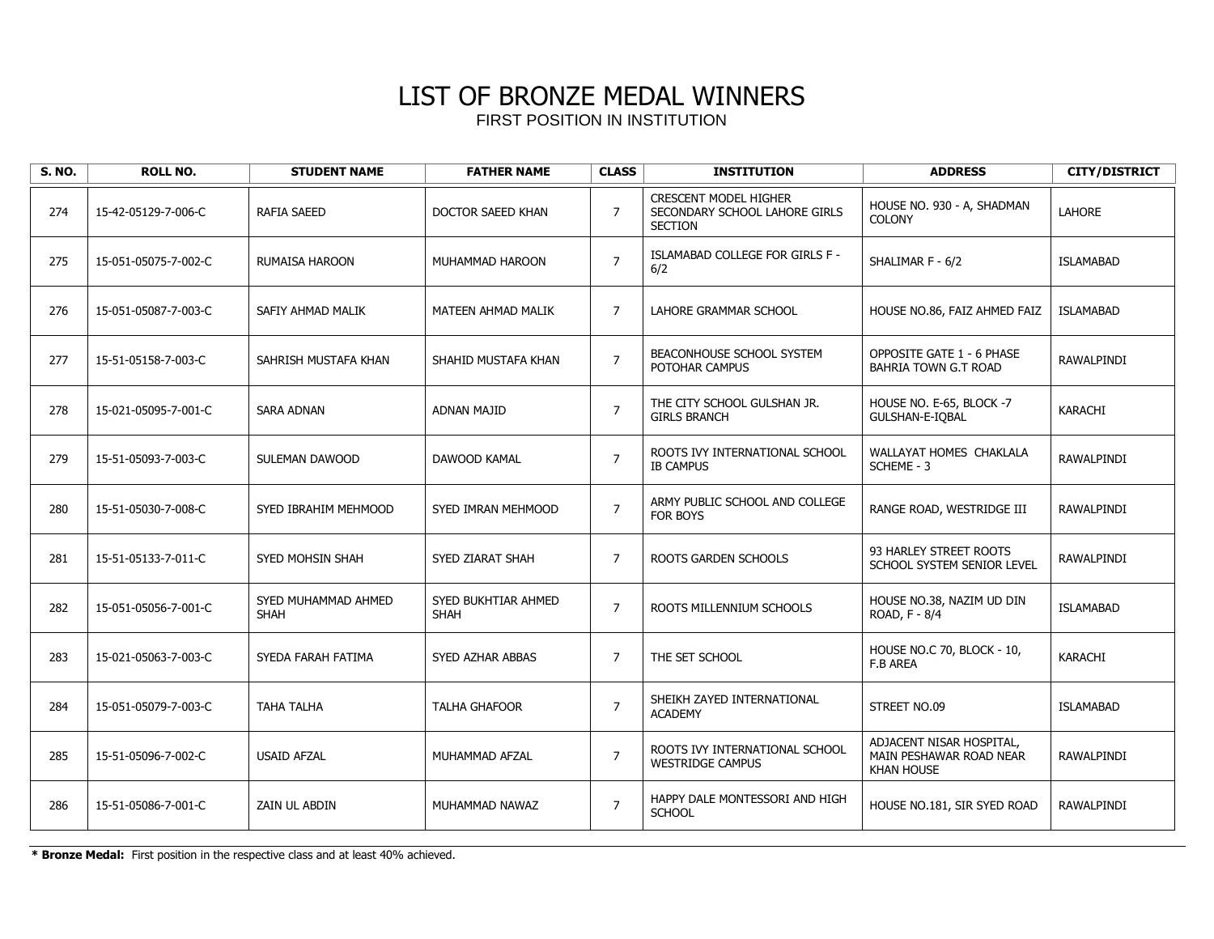| <b>S. NO.</b> | <b>ROLL NO.</b>      | <b>STUDENT NAME</b>                | <b>FATHER NAME</b>                 | <b>CLASS</b>   | <b>INSTITUTION</b>                                                              | <b>ADDRESS</b>                                                           | <b>CITY/DISTRICT</b> |
|---------------|----------------------|------------------------------------|------------------------------------|----------------|---------------------------------------------------------------------------------|--------------------------------------------------------------------------|----------------------|
| 274           | 15-42-05129-7-006-C  | RAFIA SAEED                        | DOCTOR SAEED KHAN                  | $\overline{7}$ | <b>CRESCENT MODEL HIGHER</b><br>SECONDARY SCHOOL LAHORE GIRLS<br><b>SECTION</b> | HOUSE NO. 930 - A, SHADMAN<br><b>COLONY</b>                              | <b>LAHORE</b>        |
| 275           | 15-051-05075-7-002-C | <b>RUMAISA HAROON</b>              | MUHAMMAD HAROON                    | $\overline{7}$ | ISLAMABAD COLLEGE FOR GIRLS F -<br>6/2                                          | SHALIMAR F - 6/2                                                         | <b>ISLAMABAD</b>     |
| 276           | 15-051-05087-7-003-C | SAFIY AHMAD MALIK                  | MATEEN AHMAD MALIK                 | $\overline{7}$ | LAHORE GRAMMAR SCHOOL                                                           | HOUSE NO.86, FAIZ AHMED FAIZ                                             | <b>ISLAMABAD</b>     |
| 277           | 15-51-05158-7-003-C  | SAHRISH MUSTAFA KHAN               | SHAHID MUSTAFA KHAN                | $\overline{7}$ | BEACONHOUSE SCHOOL SYSTEM<br>POTOHAR CAMPUS                                     | <b>OPPOSITE GATE 1 - 6 PHASE</b><br>BAHRIA TOWN G.T ROAD                 | RAWALPINDI           |
| 278           | 15-021-05095-7-001-C | <b>SARA ADNAN</b>                  | <b>ADNAN MAJID</b>                 | $\overline{7}$ | THE CITY SCHOOL GULSHAN JR.<br><b>GIRLS BRANCH</b>                              | HOUSE NO. E-65, BLOCK -7<br>GULSHAN-E-IOBAL                              | <b>KARACHI</b>       |
| 279           | 15-51-05093-7-003-C  | SULEMAN DAWOOD                     | DAWOOD KAMAL                       | $\overline{7}$ | ROOTS IVY INTERNATIONAL SCHOOL<br><b>IB CAMPUS</b>                              | WALLAYAT HOMES CHAKLALA<br>SCHEME - 3                                    | RAWALPINDI           |
| 280           | 15-51-05030-7-008-C  | SYED IBRAHIM MEHMOOD               | SYED IMRAN MEHMOOD                 | $\overline{7}$ | ARMY PUBLIC SCHOOL AND COLLEGE<br>FOR BOYS                                      | RANGE ROAD, WESTRIDGE III                                                | RAWALPINDI           |
| 281           | 15-51-05133-7-011-C  | SYED MOHSIN SHAH                   | SYED ZIARAT SHAH                   | $\overline{7}$ | ROOTS GARDEN SCHOOLS                                                            | 93 HARLEY STREET ROOTS<br>SCHOOL SYSTEM SENIOR LEVEL                     | RAWALPINDI           |
| 282           | 15-051-05056-7-001-C | SYED MUHAMMAD AHMED<br><b>SHAH</b> | SYED BUKHTIAR AHMED<br><b>SHAH</b> | $\overline{7}$ | ROOTS MILLENNIUM SCHOOLS                                                        | HOUSE NO.38, NAZIM UD DIN<br>ROAD, F - 8/4                               | <b>ISLAMABAD</b>     |
| 283           | 15-021-05063-7-003-C | SYEDA FARAH FATIMA                 | SYED AZHAR ABBAS                   | $\overline{7}$ | THE SET SCHOOL                                                                  | HOUSE NO.C 70, BLOCK - 10,<br><b>F.B AREA</b>                            | <b>KARACHI</b>       |
| 284           | 15-051-05079-7-003-C | <b>TAHA TALHA</b>                  | <b>TALHA GHAFOOR</b>               | $\overline{7}$ | SHEIKH ZAYED INTERNATIONAL<br><b>ACADEMY</b>                                    | STREET NO.09                                                             | <b>ISLAMABAD</b>     |
| 285           | 15-51-05096-7-002-C  | <b>USAID AFZAL</b>                 | MUHAMMAD AFZAL                     | $\overline{7}$ | ROOTS IVY INTERNATIONAL SCHOOL<br><b>WESTRIDGE CAMPUS</b>                       | ADJACENT NISAR HOSPITAL,<br>MAIN PESHAWAR ROAD NEAR<br><b>KHAN HOUSE</b> | RAWALPINDI           |
| 286           | 15-51-05086-7-001-C  | ZAIN UL ABDIN                      | MUHAMMAD NAWAZ                     | $\overline{7}$ | HAPPY DALE MONTESSORI AND HIGH<br><b>SCHOOL</b>                                 | HOUSE NO.181, SIR SYED ROAD                                              | RAWALPINDI           |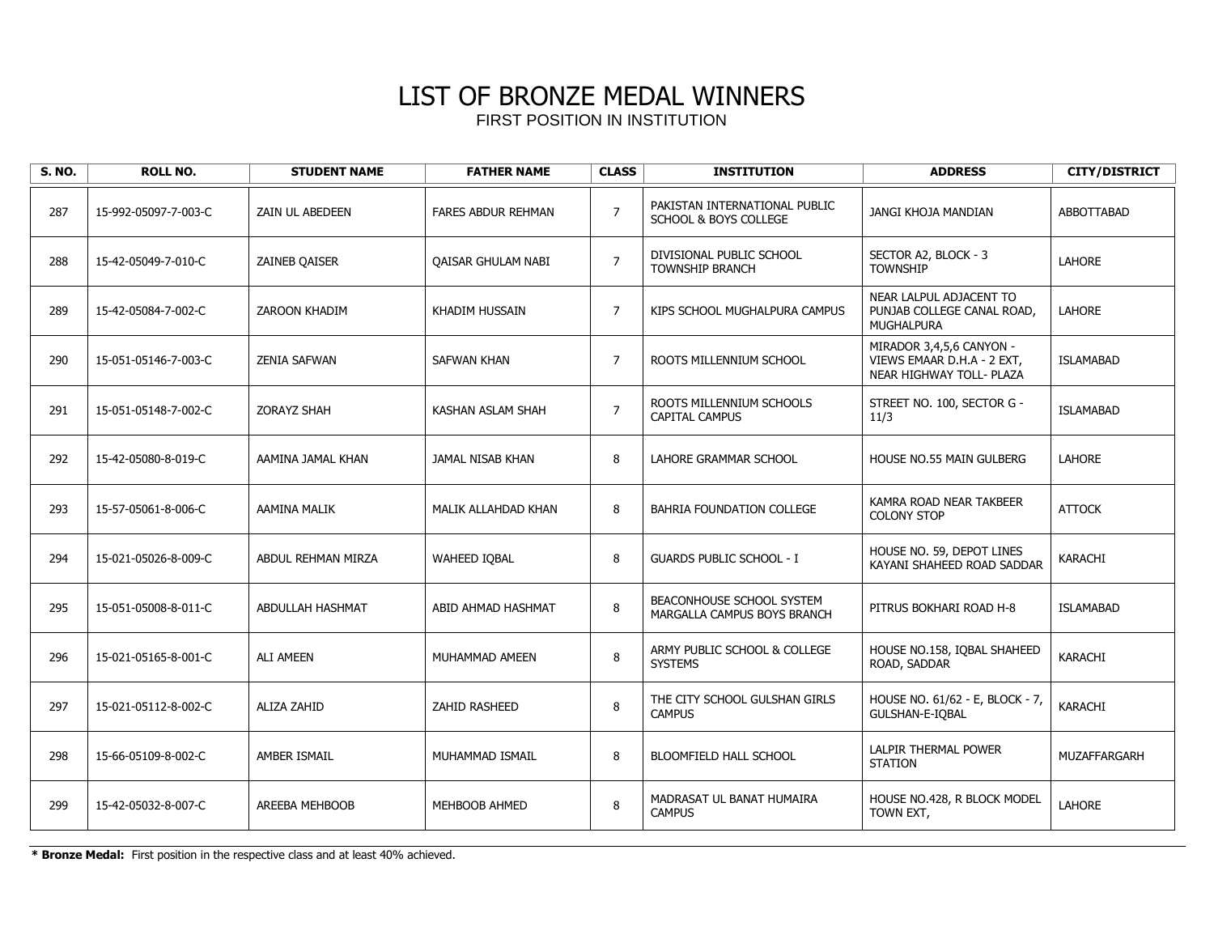| <b>S. NO.</b> | <b>ROLL NO.</b>      | <b>STUDENT NAME</b>  | <b>FATHER NAME</b>        | <b>CLASS</b>   | <b>INSTITUTION</b>                                                | <b>ADDRESS</b>                                                                     | <b>CITY/DISTRICT</b> |
|---------------|----------------------|----------------------|---------------------------|----------------|-------------------------------------------------------------------|------------------------------------------------------------------------------------|----------------------|
| 287           | 15-992-05097-7-003-C | ZAIN UL ABEDEEN      | <b>FARES ABDUR REHMAN</b> | $\overline{7}$ | PAKISTAN INTERNATIONAL PUBLIC<br><b>SCHOOL &amp; BOYS COLLEGE</b> | JANGI KHOJA MANDIAN                                                                | <b>ABBOTTABAD</b>    |
| 288           | 15-42-05049-7-010-C  | <b>ZAINEB OAISER</b> | <b>OAISAR GHULAM NABI</b> | $\overline{7}$ | DIVISIONAL PUBLIC SCHOOL<br><b>TOWNSHIP BRANCH</b>                | SECTOR A2, BLOCK - 3<br><b>TOWNSHIP</b>                                            | <b>LAHORE</b>        |
| 289           | 15-42-05084-7-002-C  | <b>ZAROON KHADIM</b> | KHADIM HUSSAIN            | $\overline{7}$ | KIPS SCHOOL MUGHALPURA CAMPUS                                     | NEAR LALPUL ADJACENT TO<br>PUNJAB COLLEGE CANAL ROAD.<br>MUGHALPURA                | <b>LAHORE</b>        |
| 290           | 15-051-05146-7-003-C | <b>ZENIA SAFWAN</b>  | <b>SAFWAN KHAN</b>        | $\overline{7}$ | ROOTS MILLENNIUM SCHOOL                                           | MIRADOR 3,4,5,6 CANYON -<br>VIEWS EMAAR D.H.A - 2 EXT,<br>NEAR HIGHWAY TOLL- PLAZA | <b>ISLAMABAD</b>     |
| 291           | 15-051-05148-7-002-C | <b>ZORAYZ SHAH</b>   | KASHAN ASLAM SHAH         | $\overline{7}$ | ROOTS MILLENNIUM SCHOOLS<br><b>CAPITAL CAMPUS</b>                 | STREET NO. 100, SECTOR G -<br>11/3                                                 | <b>ISLAMABAD</b>     |
| 292           | 15-42-05080-8-019-C  | AAMINA JAMAL KHAN    | JAMAL NISAB KHAN          | 8              | LAHORE GRAMMAR SCHOOL                                             | <b>HOUSE NO.55 MAIN GULBERG</b>                                                    | <b>LAHORE</b>        |
| 293           | 15-57-05061-8-006-C  | <b>AAMINA MALIK</b>  | MALIK ALLAHDAD KHAN       | 8              | BAHRIA FOUNDATION COLLEGE                                         | KAMRA ROAD NEAR TAKBEER<br><b>COLONY STOP</b>                                      | <b>ATTOCK</b>        |
| 294           | 15-021-05026-8-009-C | ABDUL REHMAN MIRZA   | <b>WAHEED IOBAL</b>       | 8              | <b>GUARDS PUBLIC SCHOOL - I</b>                                   | HOUSE NO. 59, DEPOT LINES<br>KAYANI SHAHEED ROAD SADDAR                            | KARACHI              |
| 295           | 15-051-05008-8-011-C | ABDULLAH HASHMAT     | ABID AHMAD HASHMAT        | 8              | BEACONHOUSE SCHOOL SYSTEM<br>MARGALLA CAMPUS BOYS BRANCH          | PITRUS BOKHARI ROAD H-8                                                            | <b>ISLAMABAD</b>     |
| 296           | 15-021-05165-8-001-C | <b>ALI AMEEN</b>     | MUHAMMAD AMEEN            | 8              | ARMY PUBLIC SCHOOL & COLLEGE<br><b>SYSTEMS</b>                    | HOUSE NO.158, IQBAL SHAHEED<br>ROAD, SADDAR                                        | KARACHI              |
| 297           | 15-021-05112-8-002-C | <b>ALIZA ZAHID</b>   | <b>ZAHID RASHEED</b>      | 8              | THE CITY SCHOOL GULSHAN GIRLS<br><b>CAMPUS</b>                    | HOUSE NO. 61/62 - E, BLOCK - 7,<br>GULSHAN-E-IOBAL                                 | KARACHI              |
| 298           | 15-66-05109-8-002-C  | AMBER ISMAIL         | MUHAMMAD ISMAIL           | 8              | <b>BLOOMFIELD HALL SCHOOL</b>                                     | LALPIR THERMAL POWER<br><b>STATION</b>                                             | MUZAFFARGARH         |
| 299           | 15-42-05032-8-007-C  | AREEBA MEHBOOB       | MEHBOOB AHMED             | 8              | MADRASAT UL BANAT HUMAIRA<br><b>CAMPUS</b>                        | HOUSE NO.428, R BLOCK MODEL<br>TOWN EXT,                                           | LAHORE               |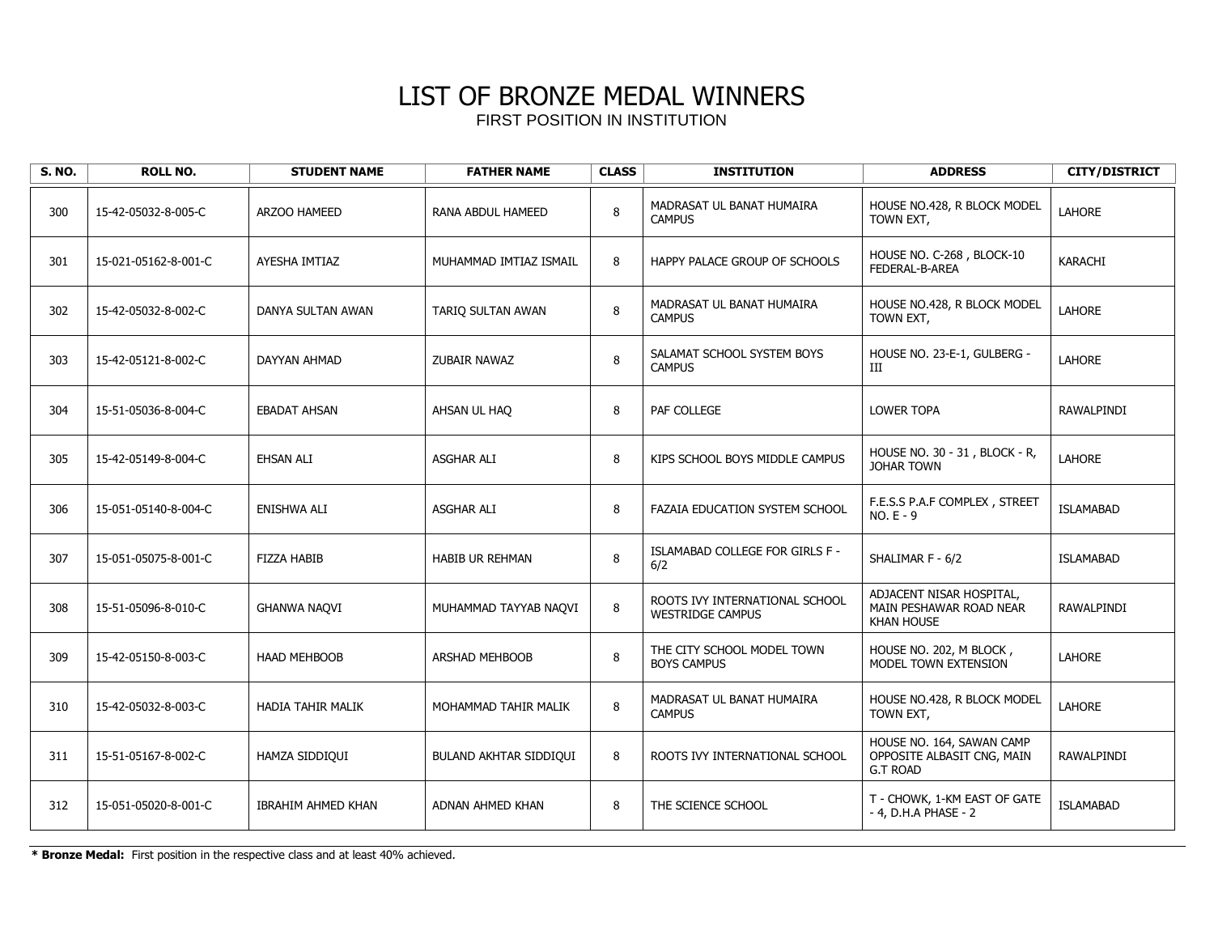| <b>S. NO.</b> | <b>ROLL NO.</b>      | <b>STUDENT NAME</b>       | <b>FATHER NAME</b>     | <b>CLASS</b> | <b>INSTITUTION</b>                                        | <b>ADDRESS</b>                                                             | <b>CITY/DISTRICT</b> |
|---------------|----------------------|---------------------------|------------------------|--------------|-----------------------------------------------------------|----------------------------------------------------------------------------|----------------------|
| 300           | 15-42-05032-8-005-C  | ARZOO HAMEED              | RANA ABDUL HAMEED      | 8            | MADRASAT UL BANAT HUMAIRA<br><b>CAMPUS</b>                | HOUSE NO.428, R BLOCK MODEL<br>TOWN EXT,                                   | <b>LAHORE</b>        |
| 301           | 15-021-05162-8-001-C | AYESHA IMTIAZ             | MUHAMMAD IMTIAZ ISMAIL | 8            | HAPPY PALACE GROUP OF SCHOOLS                             | HOUSE NO. C-268, BLOCK-10<br>FEDERAL-B-AREA                                | KARACHI              |
| 302           | 15-42-05032-8-002-C  | DANYA SULTAN AWAN         | TARIQ SULTAN AWAN      | 8            | MADRASAT UL BANAT HUMAIRA<br><b>CAMPUS</b>                | HOUSE NO.428, R BLOCK MODEL<br>TOWN EXT,                                   | LAHORE               |
| 303           | 15-42-05121-8-002-C  | DAYYAN AHMAD              | ZUBAIR NAWAZ           | 8            | SALAMAT SCHOOL SYSTEM BOYS<br><b>CAMPUS</b>               | HOUSE NO. 23-E-1, GULBERG -<br>Ш                                           | <b>LAHORE</b>        |
| 304           | 15-51-05036-8-004-C  | <b>EBADAT AHSAN</b>       | AHSAN UL HAO           | 8            | PAF COLLEGE                                               | <b>LOWER TOPA</b>                                                          | RAWALPINDI           |
| 305           | 15-42-05149-8-004-C  | EHSAN ALI                 | <b>ASGHAR ALI</b>      | 8            | KIPS SCHOOL BOYS MIDDLE CAMPUS                            | HOUSE NO. 30 - 31, BLOCK - R,<br><b>JOHAR TOWN</b>                         | <b>LAHORE</b>        |
| 306           | 15-051-05140-8-004-C | <b>ENISHWA ALI</b>        | <b>ASGHAR ALI</b>      | 8            | FAZAIA EDUCATION SYSTEM SCHOOL                            | F.E.S.S P.A.F COMPLEX, STREET<br>$NO.E - 9$                                | <b>ISLAMABAD</b>     |
| 307           | 15-051-05075-8-001-C | <b>FIZZA HABIB</b>        | <b>HABIB UR REHMAN</b> | 8            | ISLAMABAD COLLEGE FOR GIRLS F -<br>6/2                    | SHALIMAR F - 6/2                                                           | <b>ISLAMABAD</b>     |
| 308           | 15-51-05096-8-010-C  | <b>GHANWA NAQVI</b>       | MUHAMMAD TAYYAB NAQVI  | 8            | ROOTS IVY INTERNATIONAL SCHOOL<br><b>WESTRIDGE CAMPUS</b> | ADJACENT NISAR HOSPITAL,<br>MAIN PESHAWAR ROAD NEAR<br><b>KHAN HOUSE</b>   | RAWALPINDI           |
| 309           | 15-42-05150-8-003-C  | <b>HAAD MEHBOOB</b>       | <b>ARSHAD MEHBOOB</b>  | 8            | THE CITY SCHOOL MODEL TOWN<br><b>BOYS CAMPUS</b>          | HOUSE NO. 202, M BLOCK,<br>MODEL TOWN EXTENSION                            | <b>LAHORE</b>        |
| 310           | 15-42-05032-8-003-C  | <b>HADIA TAHIR MALIK</b>  | MOHAMMAD TAHIR MALIK   | 8            | MADRASAT UL BANAT HUMAIRA<br><b>CAMPUS</b>                | HOUSE NO.428, R BLOCK MODEL<br>TOWN EXT,                                   | <b>LAHORE</b>        |
| 311           | 15-51-05167-8-002-C  | HAMZA SIDDIQUI            | BULAND AKHTAR SIDDIQUI | 8            | ROOTS IVY INTERNATIONAL SCHOOL                            | HOUSE NO. 164, SAWAN CAMP<br>OPPOSITE ALBASIT CNG, MAIN<br><b>G.T ROAD</b> | RAWALPINDI           |
| 312           | 15-051-05020-8-001-C | <b>IBRAHIM AHMED KHAN</b> | ADNAN AHMED KHAN       | 8            | THE SCIENCE SCHOOL                                        | T - CHOWK, 1-KM EAST OF GATE<br>- 4, D.H.A PHASE - 2                       | <b>ISLAMABAD</b>     |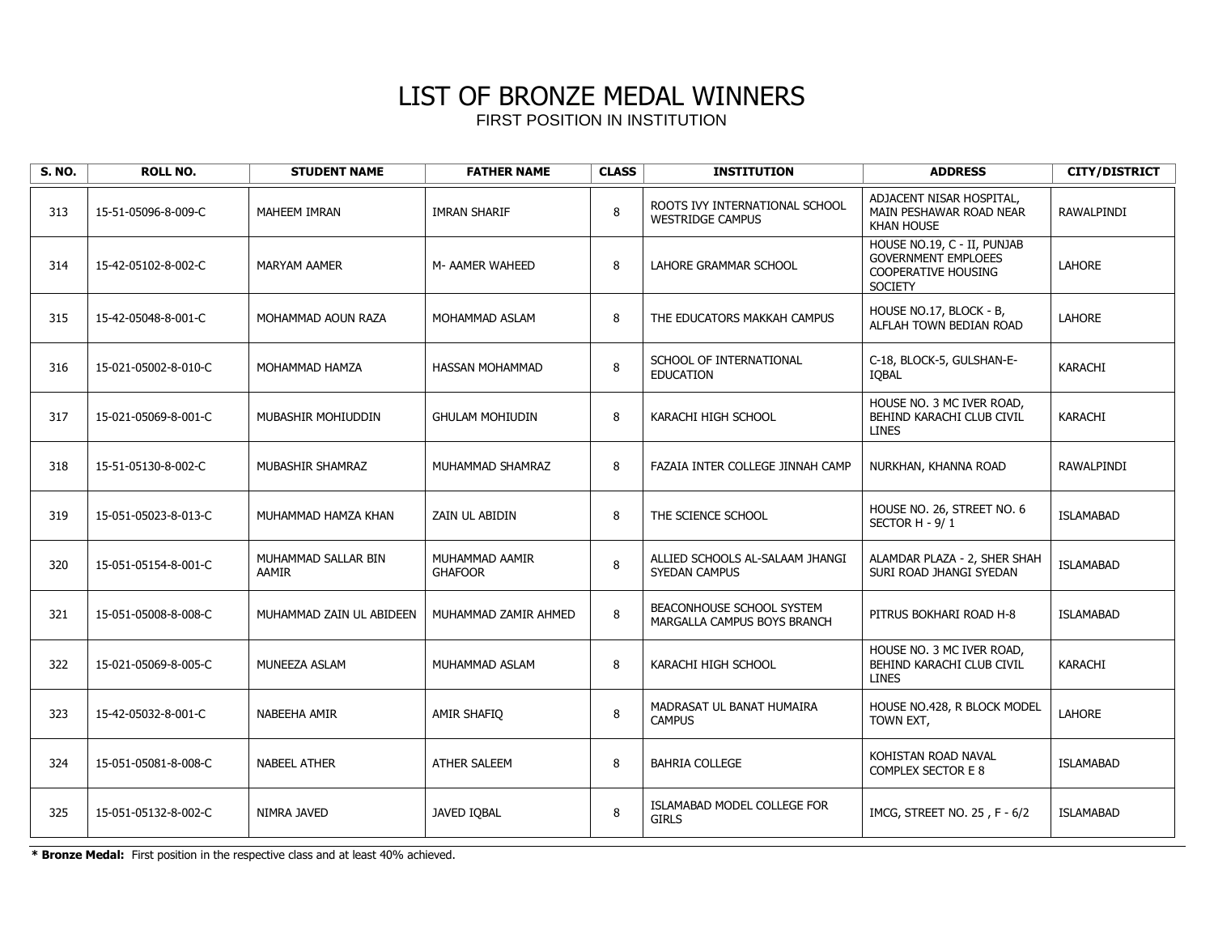| <b>S. NO.</b> | <b>ROLL NO.</b>      | <b>STUDENT NAME</b>                 | <b>FATHER NAME</b>               | <b>CLASS</b> | <b>INSTITUTION</b>                                        | <b>ADDRESS</b>                                                                                     | <b>CITY/DISTRICT</b> |
|---------------|----------------------|-------------------------------------|----------------------------------|--------------|-----------------------------------------------------------|----------------------------------------------------------------------------------------------------|----------------------|
| 313           | 15-51-05096-8-009-C  | <b>MAHEEM IMRAN</b>                 | <b>IMRAN SHARIF</b>              | 8            | ROOTS IVY INTERNATIONAL SCHOOL<br><b>WESTRIDGE CAMPUS</b> | ADJACENT NISAR HOSPITAL,<br>MAIN PESHAWAR ROAD NEAR<br><b>KHAN HOUSE</b>                           | RAWALPINDI           |
| 314           | 15-42-05102-8-002-C  | <b>MARYAM AAMER</b>                 | M- AAMER WAHEED                  | 8            | LAHORE GRAMMAR SCHOOL                                     | HOUSE NO.19, C - II, PUNJAB<br><b>GOVERNMENT EMPLOEES</b><br>COOPERATIVE HOUSING<br><b>SOCIETY</b> | <b>LAHORE</b>        |
| 315           | 15-42-05048-8-001-C  | MOHAMMAD AOUN RAZA                  | MOHAMMAD ASLAM                   | 8            | THE EDUCATORS MAKKAH CAMPUS                               | HOUSE NO.17, BLOCK - B,<br>ALFLAH TOWN BEDIAN ROAD                                                 | <b>LAHORE</b>        |
| 316           | 15-021-05002-8-010-C | MOHAMMAD HAMZA                      | <b>HASSAN MOHAMMAD</b>           | 8            | SCHOOL OF INTERNATIONAL<br><b>EDUCATION</b>               | C-18, BLOCK-5, GULSHAN-E-<br><b>IOBAL</b>                                                          | <b>KARACHI</b>       |
| 317           | 15-021-05069-8-001-C | MUBASHIR MOHIUDDIN                  | <b>GHULAM MOHIUDIN</b>           | 8            | KARACHI HIGH SCHOOL                                       | HOUSE NO. 3 MC IVER ROAD,<br>BEHIND KARACHI CLUB CIVIL<br><b>LINES</b>                             | KARACHI              |
| 318           | 15-51-05130-8-002-C  | MUBASHIR SHAMRAZ                    | MUHAMMAD SHAMRAZ                 | 8            | FAZAIA INTER COLLEGE JINNAH CAMP                          | NURKHAN, KHANNA ROAD                                                                               | <b>RAWALPINDI</b>    |
| 319           | 15-051-05023-8-013-C | MUHAMMAD HAMZA KHAN                 | ZAIN UL ABIDIN                   | 8            | THE SCIENCE SCHOOL                                        | HOUSE NO. 26, STREET NO. 6<br>SECTOR H - 9/1                                                       | <b>ISLAMABAD</b>     |
| 320           | 15-051-05154-8-001-C | MUHAMMAD SALLAR BIN<br><b>AAMIR</b> | MUHAMMAD AAMIR<br><b>GHAFOOR</b> | 8            | ALLIED SCHOOLS AL-SALAAM JHANGI<br>SYEDAN CAMPUS          | ALAMDAR PLAZA - 2, SHER SHAH<br>SURI ROAD JHANGI SYEDAN                                            | <b>ISLAMABAD</b>     |
| 321           | 15-051-05008-8-008-C | MUHAMMAD ZAIN UL ABIDEEN            | MUHAMMAD ZAMIR AHMED             | 8            | BEACONHOUSE SCHOOL SYSTEM<br>MARGALLA CAMPUS BOYS BRANCH  | PITRUS BOKHARI ROAD H-8                                                                            | <b>ISLAMABAD</b>     |
| 322           | 15-021-05069-8-005-C | MUNEEZA ASLAM                       | MUHAMMAD ASLAM                   | 8            | KARACHI HIGH SCHOOL                                       | HOUSE NO. 3 MC IVER ROAD,<br>BEHIND KARACHI CLUB CIVIL<br><b>LINES</b>                             | KARACHI              |
| 323           | 15-42-05032-8-001-C  | NABEEHA AMIR                        | AMIR SHAFIO                      | 8            | MADRASAT UL BANAT HUMAIRA<br><b>CAMPUS</b>                | HOUSE NO.428, R BLOCK MODEL<br>TOWN EXT,                                                           | <b>LAHORE</b>        |
| 324           | 15-051-05081-8-008-C | <b>NABEEL ATHER</b>                 | <b>ATHER SALEEM</b>              | 8            | <b>BAHRIA COLLEGE</b>                                     | KOHISTAN ROAD NAVAL<br>COMPLEX SECTOR E 8                                                          | <b>ISLAMABAD</b>     |
| 325           | 15-051-05132-8-002-C | NIMRA JAVED                         | JAVED IQBAL                      | 8            | ISLAMABAD MODEL COLLEGE FOR<br><b>GIRLS</b>               | IMCG, STREET NO. 25, F - 6/2                                                                       | <b>ISLAMABAD</b>     |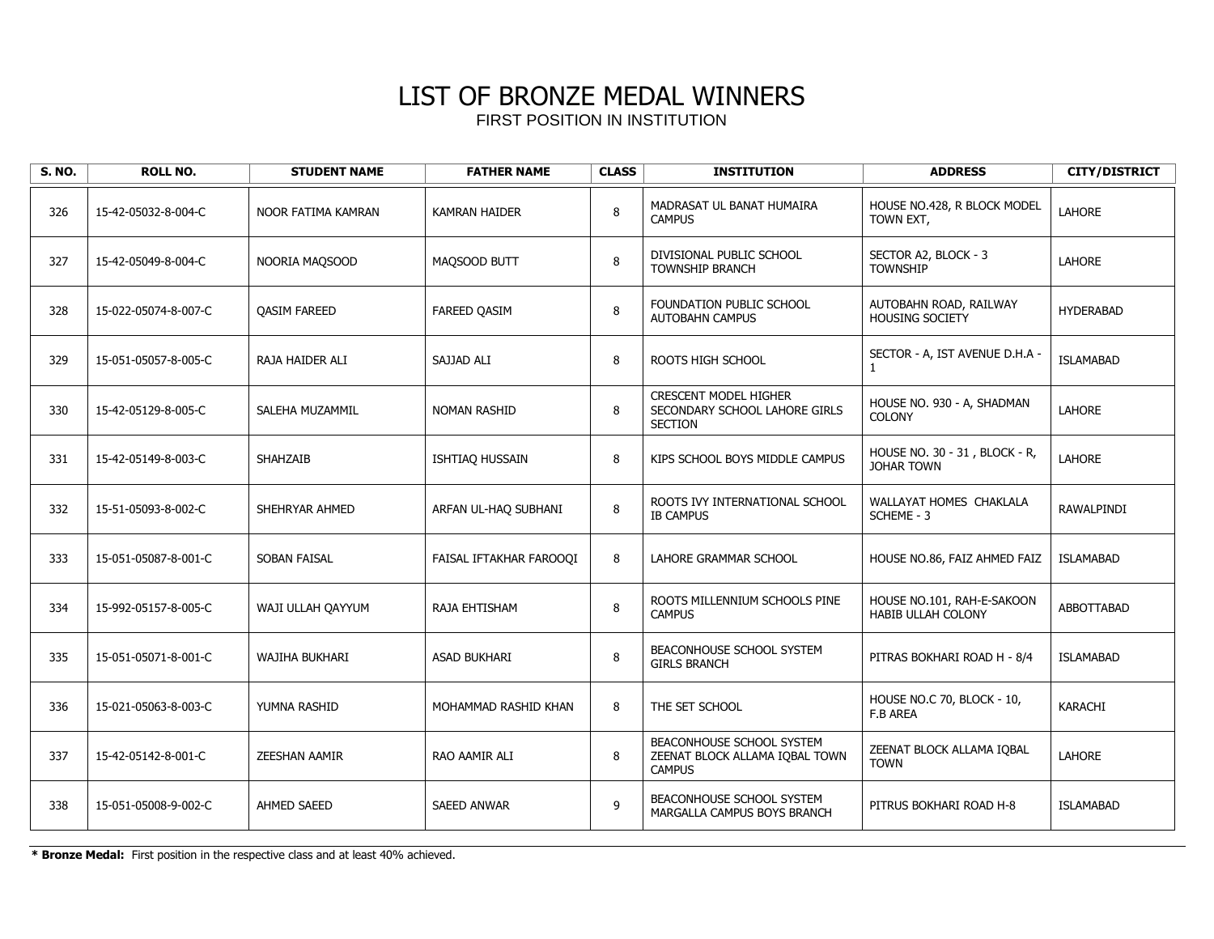| <b>S. NO.</b> | <b>ROLL NO.</b>      | <b>STUDENT NAME</b>   | <b>FATHER NAME</b>      | <b>CLASS</b> | <b>INSTITUTION</b>                                                              | <b>ADDRESS</b>                                          | <b>CITY/DISTRICT</b> |
|---------------|----------------------|-----------------------|-------------------------|--------------|---------------------------------------------------------------------------------|---------------------------------------------------------|----------------------|
| 326           | 15-42-05032-8-004-C  | NOOR FATIMA KAMRAN    | <b>KAMRAN HAIDER</b>    | 8            | MADRASAT UL BANAT HUMAIRA<br><b>CAMPUS</b>                                      | HOUSE NO.428, R BLOCK MODEL<br>TOWN EXT,                | <b>LAHORE</b>        |
| 327           | 15-42-05049-8-004-C  | NOORIA MAQSOOD        | MAQSOOD BUTT            | 8            | DIVISIONAL PUBLIC SCHOOL<br><b>TOWNSHIP BRANCH</b>                              | SECTOR A2, BLOCK - 3<br><b>TOWNSHIP</b>                 | <b>LAHORE</b>        |
| 328           | 15-022-05074-8-007-C | <b>QASIM FAREED</b>   | <b>FAREED QASIM</b>     | 8            | FOUNDATION PUBLIC SCHOOL<br><b>AUTOBAHN CAMPUS</b>                              | AUTOBAHN ROAD, RAILWAY<br><b>HOUSING SOCIETY</b>        | <b>HYDERABAD</b>     |
| 329           | 15-051-05057-8-005-C | RAJA HAIDER ALI       | SAJJAD ALI              | 8            | ROOTS HIGH SCHOOL                                                               | SECTOR - A, IST AVENUE D.H.A -                          | <b>ISLAMABAD</b>     |
| 330           | 15-42-05129-8-005-C  | SALEHA MUZAMMIL       | <b>NOMAN RASHID</b>     | 8            | <b>CRESCENT MODEL HIGHER</b><br>SECONDARY SCHOOL LAHORE GIRLS<br><b>SECTION</b> | HOUSE NO. 930 - A, SHADMAN<br><b>COLONY</b>             | LAHORE               |
| 331           | 15-42-05149-8-003-C  | <b>SHAHZAIB</b>       | ISHTIAQ HUSSAIN         | 8            | KIPS SCHOOL BOYS MIDDLE CAMPUS                                                  | HOUSE NO. 30 - 31, BLOCK - R,<br>JOHAR TOWN             | LAHORE               |
| 332           | 15-51-05093-8-002-C  | SHEHRYAR AHMED        | ARFAN UL-HAQ SUBHANI    | $\bf 8$      | ROOTS IVY INTERNATIONAL SCHOOL<br><b>IB CAMPUS</b>                              | WALLAYAT HOMES CHAKLALA<br>SCHEME - 3                   | RAWALPINDI           |
| 333           | 15-051-05087-8-001-C | SOBAN FAISAL          | FAISAL IFTAKHAR FAROOQI | 8            | LAHORE GRAMMAR SCHOOL                                                           | HOUSE NO.86, FAIZ AHMED FAIZ                            | <b>ISLAMABAD</b>     |
| 334           | 15-992-05157-8-005-C | WAJI ULLAH QAYYUM     | RAJA EHTISHAM           | 8            | ROOTS MILLENNIUM SCHOOLS PINE<br><b>CAMPUS</b>                                  | HOUSE NO.101, RAH-E-SAKOON<br><b>HABIB ULLAH COLONY</b> | ABBOTTABAD           |
| 335           | 15-051-05071-8-001-C | <b>WAJIHA BUKHARI</b> | <b>ASAD BUKHARI</b>     | 8            | BEACONHOUSE SCHOOL SYSTEM<br><b>GIRLS BRANCH</b>                                | PITRAS BOKHARI ROAD H - 8/4                             | <b>ISLAMABAD</b>     |
| 336           | 15-021-05063-8-003-C | YUMNA RASHID          | MOHAMMAD RASHID KHAN    | 8            | THE SET SCHOOL                                                                  | HOUSE NO.C 70, BLOCK - 10,<br>F.B AREA                  | KARACHI              |
| 337           | 15-42-05142-8-001-C  | <b>ZEESHAN AAMIR</b>  | RAO AAMIR ALI           | 8            | BEACONHOUSE SCHOOL SYSTEM<br>ZEENAT BLOCK ALLAMA IOBAL TOWN<br><b>CAMPUS</b>    | ZEENAT BLOCK ALLAMA IQBAL<br><b>TOWN</b>                | LAHORE               |
| 338           | 15-051-05008-9-002-C | <b>AHMED SAEED</b>    | <b>SAEED ANWAR</b>      | 9            | BEACONHOUSE SCHOOL SYSTEM<br>MARGALLA CAMPUS BOYS BRANCH                        | PITRUS BOKHARI ROAD H-8                                 | <b>ISLAMABAD</b>     |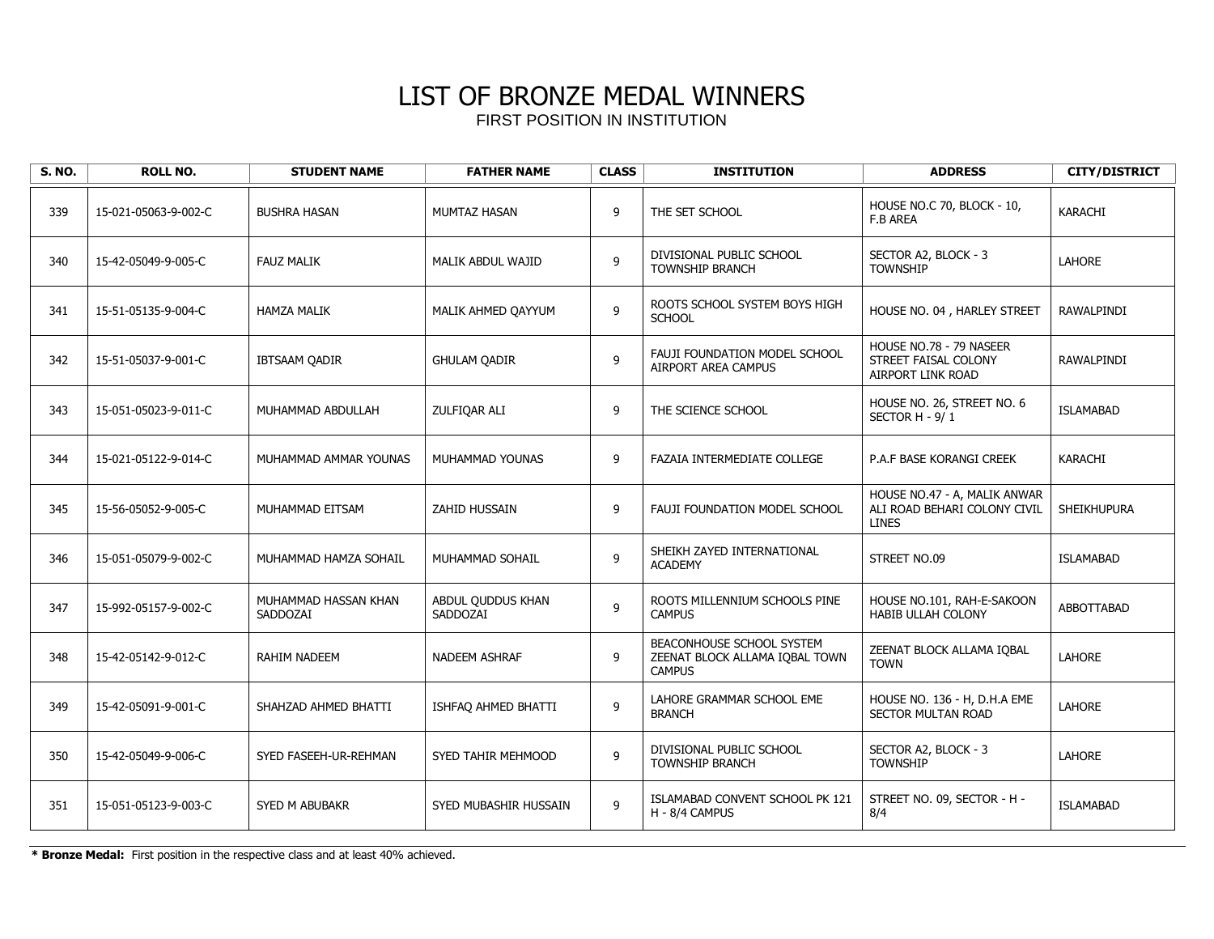| <b>S. NO.</b> | <b>ROLL NO.</b>      | <b>STUDENT NAME</b>              | <b>FATHER NAME</b>            | <b>CLASS</b> | <b>INSTITUTION</b>                                                           | <b>ADDRESS</b>                                                               | <b>CITY/DISTRICT</b> |
|---------------|----------------------|----------------------------------|-------------------------------|--------------|------------------------------------------------------------------------------|------------------------------------------------------------------------------|----------------------|
| 339           | 15-021-05063-9-002-C | <b>BUSHRA HASAN</b>              | MUMTAZ HASAN                  | 9            | THE SET SCHOOL                                                               | HOUSE NO.C 70, BLOCK - 10,<br>F.B AREA                                       | KARACHI              |
| 340           | 15-42-05049-9-005-C  | <b>FAUZ MALIK</b>                | MALIK ABDUL WAJID             | 9            | DIVISIONAL PUBLIC SCHOOL<br>TOWNSHIP BRANCH                                  | SECTOR A2, BLOCK - 3<br><b>TOWNSHIP</b>                                      | <b>LAHORE</b>        |
| 341           | 15-51-05135-9-004-C  | <b>HAMZA MALIK</b>               | MALIK AHMED QAYYUM            | 9            | ROOTS SCHOOL SYSTEM BOYS HIGH<br><b>SCHOOL</b>                               | HOUSE NO. 04, HARLEY STREET                                                  | RAWALPINDI           |
| 342           | 15-51-05037-9-001-C  | IBTSAAM QADIR                    | <b>GHULAM QADIR</b>           | 9            | FAUJI FOUNDATION MODEL SCHOOL<br>AIRPORT AREA CAMPUS                         | HOUSE NO.78 - 79 NASEER<br>STREET FAISAL COLONY<br><b>AIRPORT LINK ROAD</b>  | RAWALPINDI           |
| 343           | 15-051-05023-9-011-C | MUHAMMAD ABDULLAH                | ZULFIQAR ALI                  | 9            | THE SCIENCE SCHOOL                                                           | HOUSE NO. 26, STREET NO. 6<br>SECTOR H - 9/1                                 | <b>ISLAMABAD</b>     |
| 344           | 15-021-05122-9-014-C | MUHAMMAD AMMAR YOUNAS            | MUHAMMAD YOUNAS               | 9            | FAZAIA INTERMEDIATE COLLEGE                                                  | P.A.F BASE KORANGI CREEK                                                     | KARACHI              |
| 345           | 15-56-05052-9-005-C  | MUHAMMAD EITSAM                  | <b>ZAHID HUSSAIN</b>          | 9            | FAUJI FOUNDATION MODEL SCHOOL                                                | HOUSE NO.47 - A, MALIK ANWAR<br>ALI ROAD BEHARI COLONY CIVIL<br><b>LINES</b> | <b>SHEIKHUPURA</b>   |
| 346           | 15-051-05079-9-002-C | MUHAMMAD HAMZA SOHAIL            | MUHAMMAD SOHAIL               | 9            | SHEIKH ZAYED INTERNATIONAL<br><b>ACADEMY</b>                                 | STREET NO.09                                                                 | <b>ISLAMABAD</b>     |
| 347           | 15-992-05157-9-002-C | MUHAMMAD HASSAN KHAN<br>SADDOZAI | ABDUL QUDDUS KHAN<br>SADDOZAI | 9            | ROOTS MILLENNIUM SCHOOLS PINE<br><b>CAMPUS</b>                               | HOUSE NO.101, RAH-E-SAKOON<br><b>HABIB ULLAH COLONY</b>                      | ABBOTTABAD           |
| 348           | 15-42-05142-9-012-C  | <b>RAHIM NADEEM</b>              | NADEEM ASHRAF                 | 9            | BEACONHOUSE SCHOOL SYSTEM<br>ZEENAT BLOCK ALLAMA IQBAL TOWN<br><b>CAMPUS</b> | ZEENAT BLOCK ALLAMA IOBAL<br><b>TOWN</b>                                     | <b>LAHORE</b>        |
| 349           | 15-42-05091-9-001-C  | SHAHZAD AHMED BHATTI             | ISHFAQ AHMED BHATTI           | 9            | LAHORE GRAMMAR SCHOOL EME<br><b>BRANCH</b>                                   | HOUSE NO. 136 - H, D.H.A EME<br>SECTOR MULTAN ROAD                           | LAHORE               |
| 350           | 15-42-05049-9-006-C  | SYED FASEEH-UR-REHMAN            | SYED TAHIR MEHMOOD            | 9            | DIVISIONAL PUBLIC SCHOOL<br><b>TOWNSHIP BRANCH</b>                           | SECTOR A2, BLOCK - 3<br><b>TOWNSHIP</b>                                      | LAHORE               |
| 351           | 15-051-05123-9-003-C | SYED M ABUBAKR                   | SYED MUBASHIR HUSSAIN         | 9            | ISLAMABAD CONVENT SCHOOL PK 121<br>H - 8/4 CAMPUS                            | STREET NO. 09, SECTOR - H -<br>8/4                                           | <b>ISLAMABAD</b>     |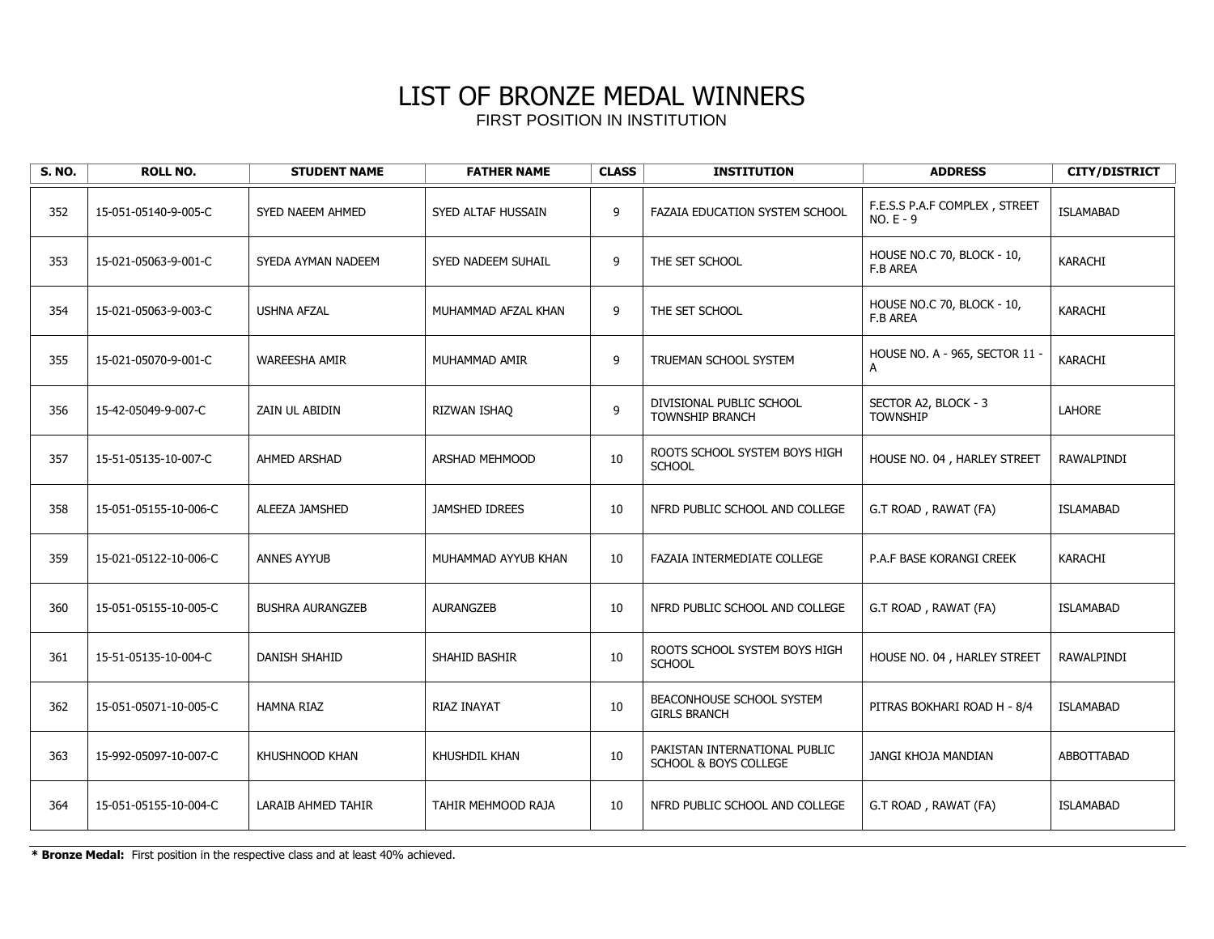| <b>S. NO.</b> | <b>ROLL NO.</b>       | <b>STUDENT NAME</b>     | <b>FATHER NAME</b>    | <b>CLASS</b> | <b>INSTITUTION</b>                                     | <b>ADDRESS</b>                              | <b>CITY/DISTRICT</b> |
|---------------|-----------------------|-------------------------|-----------------------|--------------|--------------------------------------------------------|---------------------------------------------|----------------------|
| 352           | 15-051-05140-9-005-C  | SYED NAEEM AHMED        | SYED ALTAF HUSSAIN    | 9            | FAZAIA EDUCATION SYSTEM SCHOOL                         | F.E.S.S P.A.F COMPLEX, STREET<br>$NO.E - 9$ | <b>ISLAMABAD</b>     |
| 353           | 15-021-05063-9-001-C  | SYEDA AYMAN NADEEM      | SYED NADEEM SUHAIL    | 9            | THE SET SCHOOL                                         | HOUSE NO.C 70, BLOCK - 10,<br>F.B AREA      | KARACHI              |
| 354           | 15-021-05063-9-003-C  | <b>USHNA AFZAL</b>      | MUHAMMAD AFZAL KHAN   | 9            | THE SET SCHOOL                                         | HOUSE NO.C 70, BLOCK - 10,<br>F.B AREA      | KARACHI              |
| 355           | 15-021-05070-9-001-C  | <b>WAREESHA AMIR</b>    | MUHAMMAD AMIR         | 9            | TRUEMAN SCHOOL SYSTEM                                  | HOUSE NO. A - 965, SECTOR 11 -              | KARACHI              |
| 356           | 15-42-05049-9-007-C   | ZAIN UL ABIDIN          | RIZWAN ISHAO          | 9            | DIVISIONAL PUBLIC SCHOOL<br><b>TOWNSHIP BRANCH</b>     | SECTOR A2, BLOCK - 3<br><b>TOWNSHIP</b>     | LAHORE               |
| 357           | 15-51-05135-10-007-C  | AHMED ARSHAD            | ARSHAD MEHMOOD        | 10           | ROOTS SCHOOL SYSTEM BOYS HIGH<br><b>SCHOOL</b>         | HOUSE NO. 04, HARLEY STREET                 | RAWALPINDI           |
| 358           | 15-051-05155-10-006-C | ALEEZA JAMSHED          | <b>JAMSHED IDREES</b> | 10           | NFRD PUBLIC SCHOOL AND COLLEGE                         | G.T ROAD, RAWAT (FA)                        | <b>ISLAMABAD</b>     |
| 359           | 15-021-05122-10-006-C | <b>ANNES AYYUB</b>      | MUHAMMAD AYYUB KHAN   | 10           | FAZAIA INTERMEDIATE COLLEGE                            | P.A.F BASE KORANGI CREEK                    | KARACHI              |
| 360           | 15-051-05155-10-005-C | <b>BUSHRA AURANGZEB</b> | <b>AURANGZEB</b>      | 10           | NFRD PUBLIC SCHOOL AND COLLEGE                         | G.T ROAD, RAWAT (FA)                        | <b>ISLAMABAD</b>     |
| 361           | 15-51-05135-10-004-C  | <b>DANISH SHAHID</b>    | SHAHID BASHIR         | 10           | ROOTS SCHOOL SYSTEM BOYS HIGH<br><b>SCHOOL</b>         | HOUSE NO. 04, HARLEY STREET                 | RAWALPINDI           |
| 362           | 15-051-05071-10-005-C | <b>HAMNA RIAZ</b>       | RIAZ INAYAT           | 10           | BEACONHOUSE SCHOOL SYSTEM<br><b>GIRLS BRANCH</b>       | PITRAS BOKHARI ROAD H - 8/4                 | <b>ISLAMABAD</b>     |
| 363           | 15-992-05097-10-007-C | KHUSHNOOD KHAN          | <b>KHUSHDIL KHAN</b>  | 10           | PAKISTAN INTERNATIONAL PUBLIC<br>SCHOOL & BOYS COLLEGE | JANGI KHOJA MANDIAN                         | ABBOTTABAD           |
| 364           | 15-051-05155-10-004-C | LARAIB AHMED TAHIR      | TAHIR MEHMOOD RAJA    | 10           | NFRD PUBLIC SCHOOL AND COLLEGE                         | G.T ROAD, RAWAT (FA)                        | <b>ISLAMABAD</b>     |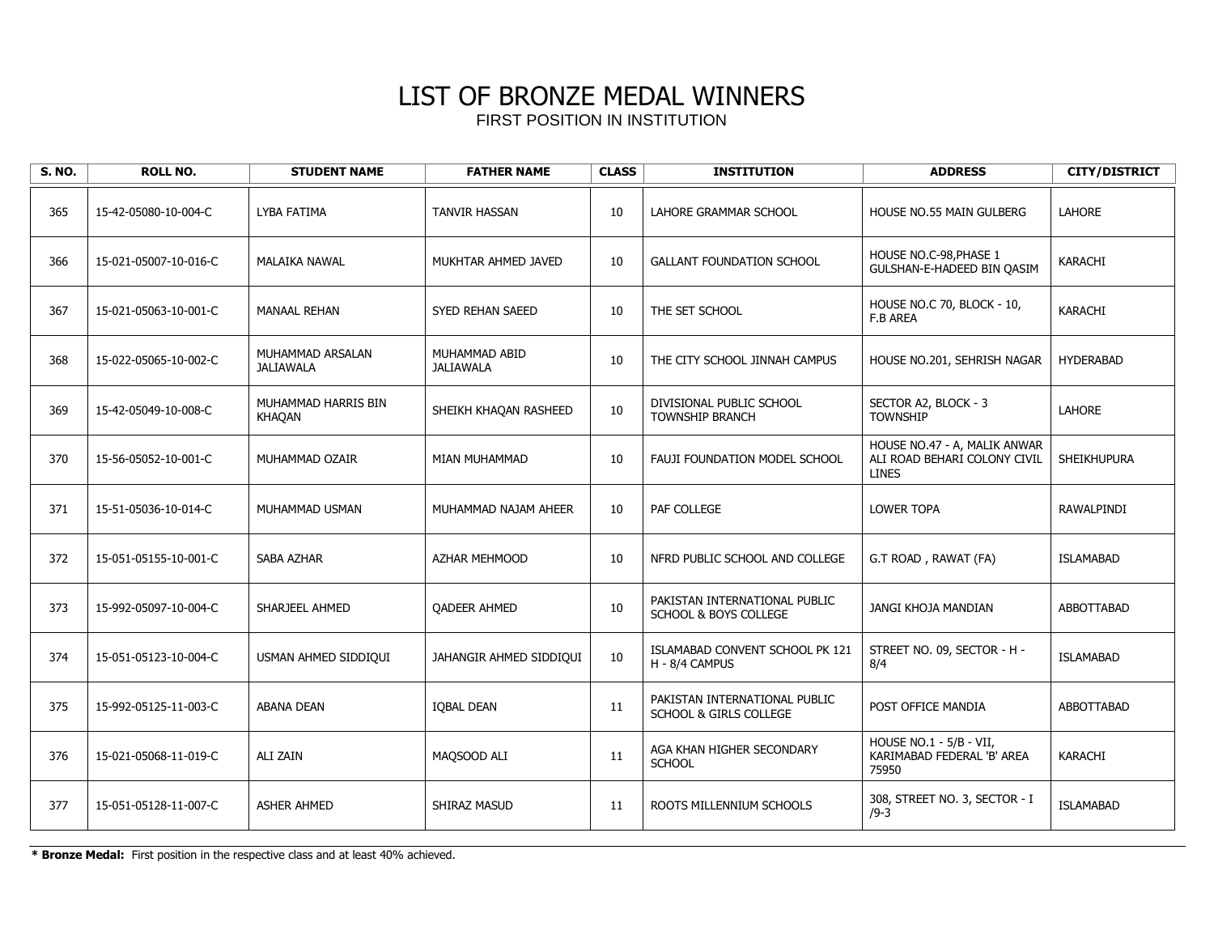| <b>S. NO.</b> | <b>ROLL NO.</b>       | <b>STUDENT NAME</b>                  | <b>FATHER NAME</b>                | <b>CLASS</b> | <b>INSTITUTION</b>                                                | <b>ADDRESS</b>                                                               | <b>CITY/DISTRICT</b> |
|---------------|-----------------------|--------------------------------------|-----------------------------------|--------------|-------------------------------------------------------------------|------------------------------------------------------------------------------|----------------------|
| 365           | 15-42-05080-10-004-C  | LYBA FATIMA                          | <b>TANVIR HASSAN</b>              | 10           | LAHORE GRAMMAR SCHOOL                                             | <b>HOUSE NO.55 MAIN GULBERG</b>                                              | <b>LAHORE</b>        |
| 366           | 15-021-05007-10-016-C | MALAIKA NAWAL                        | MUKHTAR AHMED JAVED               | 10           | <b>GALLANT FOUNDATION SCHOOL</b>                                  | HOUSE NO.C-98, PHASE 1<br>GULSHAN-E-HADEED BIN OASIM                         | <b>KARACHI</b>       |
| 367           | 15-021-05063-10-001-C | <b>MANAAL REHAN</b>                  | <b>SYED REHAN SAEED</b>           | 10           | THE SET SCHOOL                                                    | HOUSE NO.C 70, BLOCK - 10,<br><b>F.B AREA</b>                                | <b>KARACHI</b>       |
| 368           | 15-022-05065-10-002-C | MUHAMMAD ARSALAN<br><b>JALIAWALA</b> | MUHAMMAD ABID<br><b>JALIAWALA</b> | 10           | THE CITY SCHOOL JINNAH CAMPUS                                     | HOUSE NO.201, SEHRISH NAGAR                                                  | <b>HYDERABAD</b>     |
| 369           | 15-42-05049-10-008-C  | MUHAMMAD HARRIS BIN<br><b>KHAQAN</b> | SHEIKH KHAQAN RASHEED             | 10           | DIVISIONAL PUBLIC SCHOOL<br><b>TOWNSHIP BRANCH</b>                | SECTOR A2, BLOCK - 3<br><b>TOWNSHIP</b>                                      | <b>LAHORE</b>        |
| 370           | 15-56-05052-10-001-C  | MUHAMMAD OZAIR                       | MIAN MUHAMMAD                     | 10           | FAUJI FOUNDATION MODEL SCHOOL                                     | HOUSE NO.47 - A, MALIK ANWAR<br>ALI ROAD BEHARI COLONY CIVIL<br><b>LINES</b> | SHEIKHUPURA          |
| 371           | 15-51-05036-10-014-C  | MUHAMMAD USMAN                       | MUHAMMAD NAJAM AHEER              | 10           | PAF COLLEGE                                                       | <b>LOWER TOPA</b>                                                            | RAWALPINDI           |
| 372           | 15-051-05155-10-001-C | SABA AZHAR                           | <b>AZHAR MEHMOOD</b>              | 10           | NFRD PUBLIC SCHOOL AND COLLEGE                                    | G.T ROAD, RAWAT (FA)                                                         | <b>ISLAMABAD</b>     |
| 373           | 15-992-05097-10-004-C | SHARJEEL AHMED                       | <b>QADEER AHMED</b>               | 10           | PAKISTAN INTERNATIONAL PUBLIC<br><b>SCHOOL &amp; BOYS COLLEGE</b> | JANGI KHOJA MANDIAN                                                          | ABBOTTABAD           |
| 374           | 15-051-05123-10-004-C | USMAN AHMED SIDDIQUI                 | JAHANGIR AHMED SIDDIQUI           | 10           | ISLAMABAD CONVENT SCHOOL PK 121<br>H - 8/4 CAMPUS                 | STREET NO. 09, SECTOR - H -<br>8/4                                           | <b>ISLAMABAD</b>     |
| 375           | 15-992-05125-11-003-C | <b>ABANA DEAN</b>                    | <b>IOBAL DEAN</b>                 | 11           | PAKISTAN INTERNATIONAL PUBLIC<br>SCHOOL & GIRLS COLLEGE           | POST OFFICE MANDIA                                                           | ABBOTTABAD           |
| 376           | 15-021-05068-11-019-C | <b>ALI ZAIN</b>                      | MAQSOOD ALI                       | 11           | AGA KHAN HIGHER SECONDARY<br><b>SCHOOL</b>                        | HOUSE NO.1 - 5/B - VII,<br>KARIMABAD FEDERAL 'B' AREA<br>75950               | KARACHI              |
| 377           | 15-051-05128-11-007-C | <b>ASHER AHMED</b>                   | SHIRAZ MASUD                      | 11           | ROOTS MILLENNIUM SCHOOLS                                          | 308, STREET NO. 3, SECTOR - I<br>$/9 - 3$                                    | <b>ISLAMABAD</b>     |